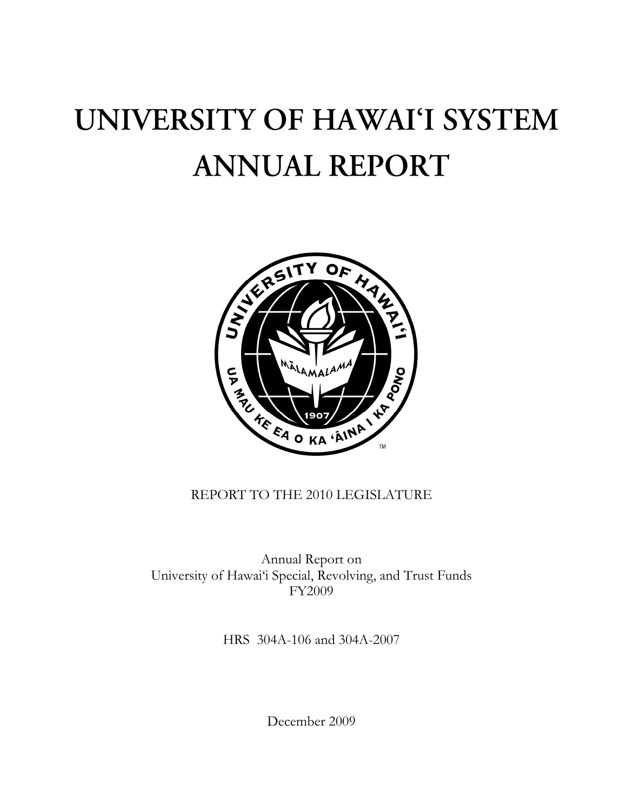# UNIVERSITY OF HAWAI'I SYSTEM **ANNUAL REPORT**



# REPORT TO THE 2010 LEGISLATURE

Annual Report on University of Hawai'i Special, Revolving, and Trust Funds FY2009

HRS 304A-106 and 304A-2007

December 2009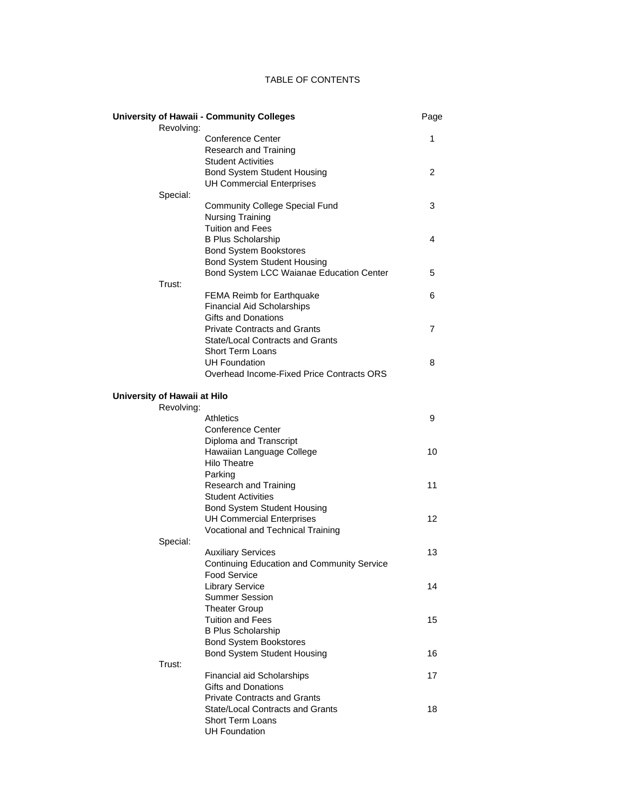# TABLE OF CONTENTS

|                              | <b>University of Hawaii - Community Colleges</b>  | Page |
|------------------------------|---------------------------------------------------|------|
| Revolving:                   |                                                   |      |
|                              | <b>Conference Center</b>                          | 1    |
|                              | Research and Training                             |      |
|                              | <b>Student Activities</b>                         |      |
|                              | <b>Bond System Student Housing</b>                | 2    |
|                              | <b>UH Commercial Enterprises</b>                  |      |
| Special:                     |                                                   |      |
|                              | <b>Community College Special Fund</b>             | 3    |
|                              | <b>Nursing Training</b>                           |      |
|                              | <b>Tuition and Fees</b>                           |      |
|                              | <b>B Plus Scholarship</b>                         | 4    |
|                              | <b>Bond System Bookstores</b>                     |      |
|                              | <b>Bond System Student Housing</b>                |      |
|                              | Bond System LCC Waianae Education Center          | 5    |
| Trust:                       |                                                   |      |
|                              | <b>FEMA Reimb for Earthquake</b>                  | 6    |
|                              | <b>Financial Aid Scholarships</b>                 |      |
|                              | Gifts and Donations                               |      |
|                              | <b>Private Contracts and Grants</b>               | 7    |
|                              | State/Local Contracts and Grants                  |      |
|                              | <b>Short Term Loans</b>                           |      |
|                              | <b>UH Foundation</b>                              | 8    |
|                              | Overhead Income-Fixed Price Contracts ORS         |      |
|                              |                                                   |      |
| University of Hawaii at Hilo |                                                   |      |
| Revolving:                   |                                                   |      |
|                              | <b>Athletics</b>                                  | 9    |
|                              | Conference Center                                 |      |
|                              | Diploma and Transcript                            |      |
|                              | Hawaiian Language College                         | 10   |
|                              | <b>Hilo Theatre</b>                               |      |
|                              | Parking                                           |      |
|                              | Research and Training                             | 11   |
|                              | <b>Student Activities</b>                         |      |
|                              | <b>Bond System Student Housing</b>                |      |
|                              | <b>UH Commercial Enterprises</b>                  | 12   |
|                              | Vocational and Technical Training                 |      |
| Special:                     |                                                   |      |
|                              | <b>Auxiliary Services</b>                         | 13   |
|                              | <b>Continuing Education and Community Service</b> |      |
|                              | <b>Food Service</b>                               |      |
|                              | <b>Library Service</b>                            | 14   |
|                              | <b>Summer Session</b>                             |      |
|                              | <b>Theater Group</b>                              |      |
|                              | <b>Tuition and Fees</b>                           | 15   |
|                              | <b>B Plus Scholarship</b>                         |      |
|                              | <b>Bond System Bookstores</b>                     |      |
|                              | <b>Bond System Student Housing</b>                | 16   |
| Trust:                       |                                                   |      |
|                              | <b>Financial aid Scholarships</b>                 | 17   |
|                              | Gifts and Donations                               |      |
|                              | <b>Private Contracts and Grants</b>               |      |
|                              | State/Local Contracts and Grants                  | 18   |
|                              | <b>Short Term Loans</b>                           |      |
|                              | <b>UH Foundation</b>                              |      |
|                              |                                                   |      |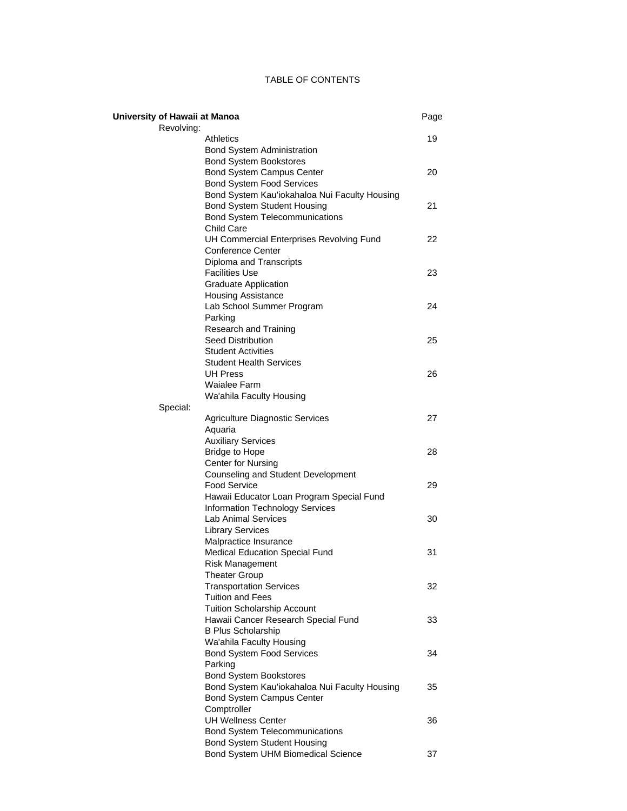# TABLE OF CONTENTS

| University of Hawaii at Manoa |                                                                                | Page |
|-------------------------------|--------------------------------------------------------------------------------|------|
| Revolving:                    |                                                                                |      |
|                               | Athletics                                                                      | 19   |
|                               | <b>Bond System Administration</b>                                              |      |
|                               | <b>Bond System Bookstores</b><br><b>Bond System Campus Center</b>              | 20   |
|                               | <b>Bond System Food Services</b>                                               |      |
|                               | Bond System Kau'iokahaloa Nui Faculty Housing                                  |      |
|                               | <b>Bond System Student Housing</b>                                             | 21   |
|                               | <b>Bond System Telecommunications</b>                                          |      |
|                               | <b>Child Care</b>                                                              |      |
|                               | UH Commercial Enterprises Revolving Fund                                       | 22   |
|                               | <b>Conference Center</b>                                                       |      |
|                               | Diploma and Transcripts                                                        |      |
|                               | <b>Facilities Use</b>                                                          | 23   |
|                               | <b>Graduate Application</b>                                                    |      |
|                               | <b>Housing Assistance</b>                                                      |      |
|                               | Lab School Summer Program                                                      | 24   |
|                               | Parking                                                                        |      |
|                               | Research and Training                                                          |      |
|                               | <b>Seed Distribution</b>                                                       | 25   |
|                               | <b>Student Activities</b>                                                      |      |
|                               | <b>Student Health Services</b>                                                 |      |
|                               | <b>UH Press</b>                                                                | 26   |
|                               | Waialee Farm                                                                   |      |
|                               | Wa'ahila Faculty Housing                                                       |      |
| Special:                      |                                                                                |      |
|                               | <b>Agriculture Diagnostic Services</b>                                         | 27   |
|                               | Aquaria                                                                        |      |
|                               | <b>Auxiliary Services</b>                                                      |      |
|                               | <b>Bridge to Hope</b>                                                          | 28   |
|                               | <b>Center for Nursing</b>                                                      |      |
|                               | Counseling and Student Development                                             |      |
|                               | <b>Food Service</b>                                                            | 29   |
|                               | Hawaii Educator Loan Program Special Fund                                      |      |
|                               | <b>Information Technology Services</b>                                         |      |
|                               | Lab Animal Services                                                            | 30   |
|                               | <b>Library Services</b>                                                        |      |
|                               | Malpractice Insurance                                                          |      |
|                               | Medical Education Special Fund                                                 | 31   |
|                               | <b>Risk Management</b>                                                         |      |
|                               | Theater Group                                                                  |      |
|                               | <b>Transportation Services</b>                                                 | 32   |
|                               | <b>Tuition and Fees</b>                                                        |      |
|                               | <b>Tuition Scholarship Account</b>                                             |      |
|                               | Hawaii Cancer Research Special Fund                                            | 33   |
|                               | <b>B Plus Scholarship</b>                                                      |      |
|                               | Wa'ahila Faculty Housing<br><b>Bond System Food Services</b>                   | 34   |
|                               | Parking                                                                        |      |
|                               |                                                                                |      |
|                               | <b>Bond System Bookstores</b><br>Bond System Kau'iokahaloa Nui Faculty Housing | 35   |
|                               |                                                                                |      |
|                               | <b>Bond System Campus Center</b><br>Comptroller                                |      |
|                               | <b>UH Wellness Center</b>                                                      | 36   |
|                               | <b>Bond System Telecommunications</b>                                          |      |
|                               | <b>Bond System Student Housing</b>                                             |      |
|                               | Bond System UHM Biomedical Science                                             | 37   |
|                               |                                                                                |      |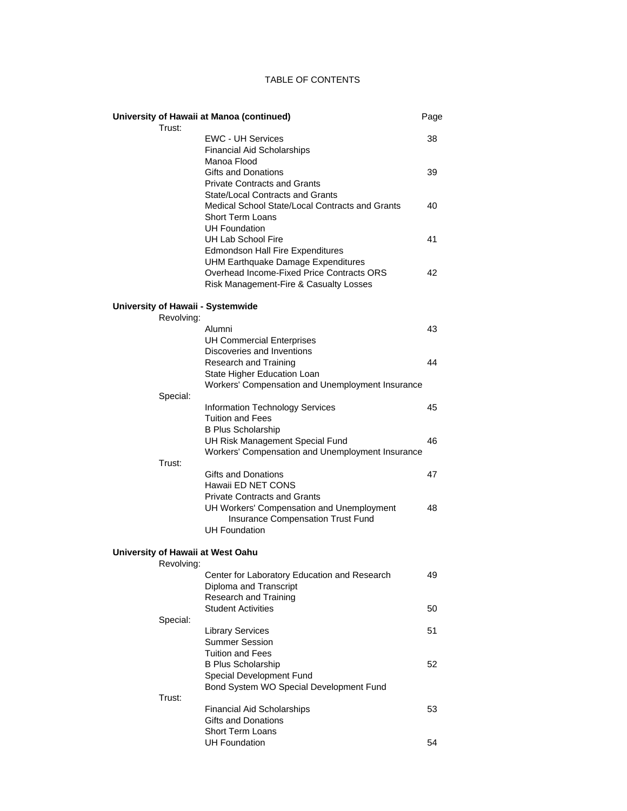# TABLE OF CONTENTS

|                                   | University of Hawaii at Manoa (continued)        | Page |
|-----------------------------------|--------------------------------------------------|------|
| Trust:                            |                                                  |      |
|                                   | <b>EWC - UH Services</b>                         | 38   |
|                                   | <b>Financial Aid Scholarships</b>                |      |
|                                   | Manoa Flood                                      |      |
|                                   | Gifts and Donations                              | 39   |
|                                   | <b>Private Contracts and Grants</b>              |      |
|                                   | State/Local Contracts and Grants                 |      |
|                                   | Medical School State/Local Contracts and Grants  | 40   |
|                                   | Short Term Loans                                 |      |
|                                   | <b>UH Foundation</b>                             |      |
|                                   | UH Lab School Fire                               | 41   |
|                                   | <b>Edmondson Hall Fire Expenditures</b>          |      |
|                                   | UHM Earthquake Damage Expenditures               |      |
|                                   | Overhead Income-Fixed Price Contracts ORS        | 42   |
|                                   | Risk Management-Fire & Casualty Losses           |      |
|                                   |                                                  |      |
| University of Hawaii - Systemwide |                                                  |      |
| Revolving:                        |                                                  |      |
|                                   | Alumni                                           | 43   |
|                                   | <b>UH Commercial Enterprises</b>                 |      |
|                                   | Discoveries and Inventions                       |      |
|                                   | Research and Training                            | 44   |
|                                   | State Higher Education Loan                      |      |
|                                   | Workers' Compensation and Unemployment Insurance |      |
| Special:                          |                                                  |      |
|                                   | <b>Information Technology Services</b>           | 45   |
|                                   | <b>Tuition and Fees</b>                          |      |
|                                   | <b>B Plus Scholarship</b>                        |      |
|                                   | UH Risk Management Special Fund                  | 46   |
|                                   | Workers' Compensation and Unemployment Insurance |      |
| Trust:                            |                                                  |      |
|                                   | Gifts and Donations                              | 47   |
|                                   | Hawaii ED NET CONS                               |      |
|                                   | <b>Private Contracts and Grants</b>              |      |
|                                   |                                                  | 48   |
|                                   | UH Workers' Compensation and Unemployment        |      |
|                                   | <b>Insurance Compensation Trust Fund</b>         |      |
|                                   | <b>UH Foundation</b>                             |      |
| University of Hawaii at West Oahu |                                                  |      |
| Revolving:                        |                                                  |      |
|                                   | Center for Laboratory Education and Research     | 49   |
|                                   | Diploma and Transcript                           |      |
|                                   | Research and Training                            |      |
|                                   | <b>Student Activities</b>                        | 50   |
| Special:                          |                                                  |      |
|                                   | <b>Library Services</b>                          | 51   |
|                                   | <b>Summer Session</b>                            |      |
|                                   | Tuition and Fees                                 |      |
|                                   |                                                  | 52   |
|                                   | <b>B Plus Scholarship</b>                        |      |
|                                   | Special Development Fund                         |      |
|                                   | Bond System WO Special Development Fund          |      |
| Trust:                            |                                                  |      |
|                                   | <b>Financial Aid Scholarships</b>                | 53   |
|                                   | Gifts and Donations                              |      |
|                                   | <b>Short Term Loans</b>                          |      |
|                                   | <b>UH Foundation</b>                             | 54   |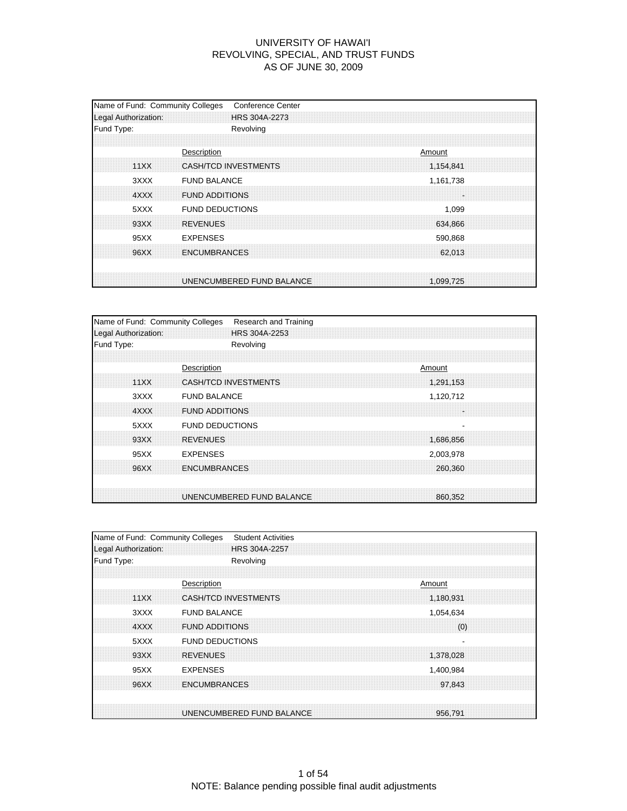| Name of Fund: Community Colleges<br>Legal Authorization: | <b>Conference Center</b><br>HRS 304A-2273                  |
|----------------------------------------------------------|------------------------------------------------------------|
| Fund Type:                                               | Revolving                                                  |
| 11XX                                                     | Description<br>Amount<br>CASH/TCD INVESTMENTS<br>1,154,841 |
| 3XXX<br>4XXX                                             | <b>FUND BALANCE</b><br>1,161,738<br><b>FUND ADDITIONS</b>  |
| 5XXX<br>93XX                                             | <b>FUND DEDUCTIONS</b><br>1,099<br><b>REVENUES</b>         |
| 95XX                                                     | 634,866<br><b>EXPENSES</b><br>590,868                      |
| 96XX                                                     | <b>ENCUMBRANCES</b><br>62,013                              |
|                                                          | UNENCUMBERED FUND BALANCE<br>1.099.725                     |

| Name of Fund: Community Colleges |                             | Research and Training |  |        |           |  |
|----------------------------------|-----------------------------|-----------------------|--|--------|-----------|--|
| Legal Authorization:             |                             | HRS 304A-2253         |  |        |           |  |
| Fund Type:                       | Revolving                   |                       |  |        |           |  |
|                                  |                             |                       |  |        |           |  |
|                                  | Description                 |                       |  | Amount |           |  |
| 11XX                             | <b>CASH/TCD INVESTMENTS</b> |                       |  |        | 1,291,153 |  |
| 3XXX                             | <b>FUND BALANCE</b>         |                       |  |        | 1,120,712 |  |
| 4XXX                             | <b>FUND ADDITIONS</b>       |                       |  |        | ÷         |  |
| 5XXX                             | <b>FUND DEDUCTIONS</b>      |                       |  |        |           |  |
| 93XX                             | <b>REVENUES</b>             |                       |  |        | 1,686,856 |  |
| 95XX                             | <b>EXPENSES</b>             |                       |  |        | 2,003,978 |  |
| 96XX                             | <b>ENCUMBRANCES</b>         |                       |  |        | 260.360   |  |
|                                  |                             |                       |  |        |           |  |
|                                  | UNENCUMBERED FUND BALANCE   |                       |  |        | 860,352   |  |

| Name of Fund: Community Colleges | <b>Student Activities</b>            |
|----------------------------------|--------------------------------------|
| Legal Authorization:             | HRS 304A-2257                        |
| Fund Type:                       | Revolving                            |
|                                  |                                      |
|                                  | Description<br>Amount                |
| 11XX                             | CASH/TCD INVESTMENTS<br>1,180,931    |
| 3XXX                             | <b>FUND BALANCE</b><br>1,054,634     |
| 4XXX                             | <b>FUND ADDITIONS</b><br>(0)         |
| 5XXX                             | <b>FUND DEDUCTIONS</b>               |
| 93XX                             | <b>REVENUES</b><br>1,378,028         |
| 95XX                             | <b>EXPENSES</b><br>1,400,984         |
| 96XX                             | <b>ENCUMBRANCES</b><br>97.843        |
|                                  |                                      |
|                                  | UNENCUMBERED FUND BALANCE<br>956.791 |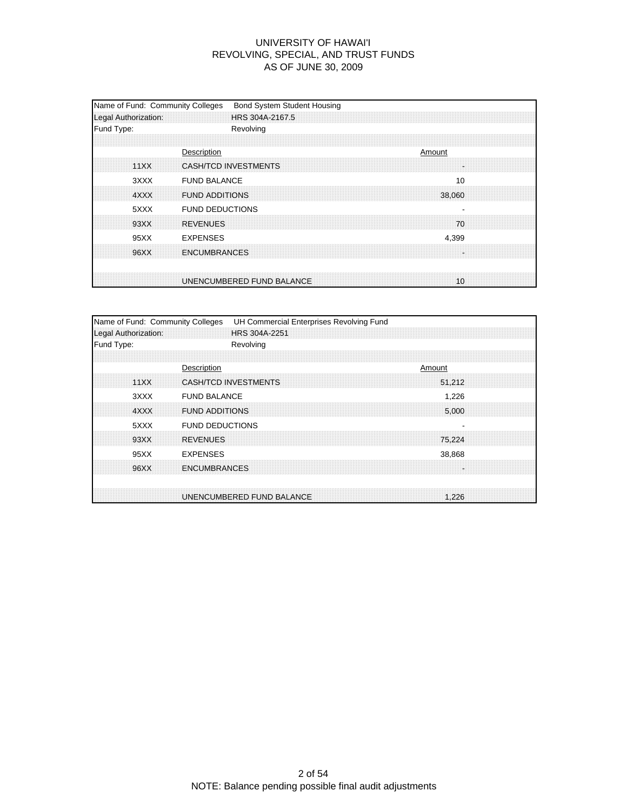| Name of Fund: Community Colleges<br>Legal Authorization: | <b>Bond System Student Housing</b><br>HRS 304A-2167.5        |
|----------------------------------------------------------|--------------------------------------------------------------|
| Fund Type:                                               | Revolving                                                    |
| 11XX                                                     | Description<br>Amount<br>CASH/TCD INVESTMENTS                |
| 3XXX<br>4XXX                                             | <b>FUND BALANCE</b><br>10<br><b>FUND ADDITIONS</b><br>38,060 |
| 5XXX<br>93XX                                             | <b>FUND DEDUCTIONS</b><br><b>REVENUES</b><br>70              |
| 95XX                                                     | <b>EXPENSES</b><br>4,399                                     |
| 96XX                                                     | <b>ENCUMBRANCES</b>                                          |
|                                                          | UNENCUMBERED FUND BALANCE<br>10                              |

| Name of Fund: Community Colleges | UH Commercial Enterprises Revolving Fund |
|----------------------------------|------------------------------------------|
| Legal Authorization:             | HRS 304A-2251                            |
| Fund Type:                       | Revolving                                |
|                                  |                                          |
|                                  | Description<br>Amount                    |
| 11XX                             | <b>CASH/TCD INVESTMENTS</b><br>51.212    |
| 3XXX                             | <b>FUND BALANCE</b><br>1,226             |
| 4XXX                             | <b>FUND ADDITIONS</b><br>5,000           |
| 5XXX                             | <b>FUND DEDUCTIONS</b>                   |
| 93XX                             | <b>REVENUES</b><br>75.224                |
| 95XX                             | <b>EXPENSES</b><br>38,868                |
| 96XX                             | <b>ENCUMBRANCES</b>                      |
|                                  |                                          |
|                                  | UNENCUMBERED FUND BALANCE<br>1.226       |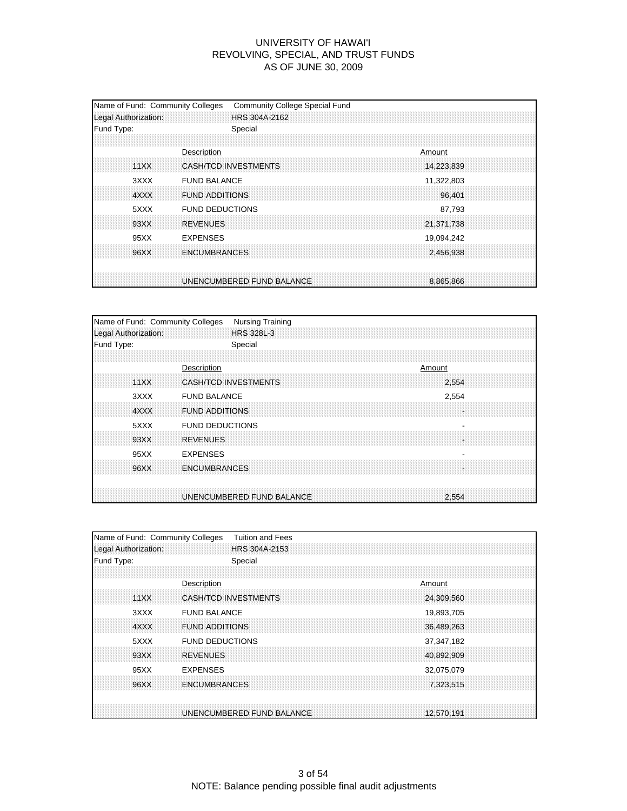| Name of Fund: Community Colleges<br>Legal Authorization: | <b>Community College Special Fund</b><br>HRS 304A-2162               |  |
|----------------------------------------------------------|----------------------------------------------------------------------|--|
| Fund Type:                                               | Special                                                              |  |
| 11XX                                                     | Description<br>Amount<br><b>CASH/TCD INVESTMENTS</b><br>14,223,839   |  |
| 3XXX<br>4XXX                                             | <b>FUND BALANCE</b><br>11,322,803<br><b>FUND ADDITIONS</b><br>96,401 |  |
| 5XXX                                                     | <b>FUND DEDUCTIONS</b><br>87,793                                     |  |
| 93XX<br>95XX                                             | <b>REVENUES</b><br>21,371,738<br><b>EXPENSES</b><br>19,094,242       |  |
| 96XX                                                     | <b>ENCUMBRANCES</b><br>2,456,938                                     |  |
|                                                          | UNENCUMBERED FUND BALANCE<br>8.865.866                               |  |

| Name of Fund: Community Colleges | <b>Nursing Training</b>              |
|----------------------------------|--------------------------------------|
| Legal Authorization:             | HRS 328L-3                           |
| Fund Type:                       | Special                              |
|                                  |                                      |
|                                  | Description<br>Amount                |
| 11XX                             | <b>CASH/TCD INVESTMENTS</b><br>2.554 |
| 3XXX                             | <b>FUND BALANCE</b><br>2,554         |
| 4XXX                             | <b>FUND ADDITIONS</b><br>H.          |
| 5XXX                             | <b>FUND DEDUCTIONS</b>               |
| 93XX                             | <b>REVENUES</b><br>×                 |
| 95XX                             | <b>EXPENSES</b>                      |
| 96XX                             | <b>ENCUMBRANCES</b><br>i.            |
|                                  | UNENCUMBERED FUND BALANCE<br>2.554   |

| Name of Fund: Community Colleges | <b>Tuition and Fees</b>   |        |            |
|----------------------------------|---------------------------|--------|------------|
| Legal Authorization:             | HRS 304A-2153             |        |            |
| Fund Type:                       | Special                   |        |            |
|                                  |                           |        |            |
|                                  | Description               | Amount |            |
| 11XX                             | CASH/TCD INVESTMENTS      |        | 24.309.560 |
| 3XXX                             | <b>FUND BALANCE</b>       |        | 19,893,705 |
| 4XXX                             | <b>FUND ADDITIONS</b>     |        | 36.489.263 |
| 5XXX                             | <b>FUND DEDUCTIONS</b>    |        | 37,347,182 |
| 93XX                             | <b>REVENUES</b>           |        | 40.892,909 |
| 95XX                             | <b>EXPENSES</b>           |        | 32,075,079 |
| 96XX                             | <b>ENCUMBRANCES</b>       |        | 7,323,515  |
|                                  |                           |        |            |
|                                  | UNENCUMBERED FUND BALANCE |        | 12,570,191 |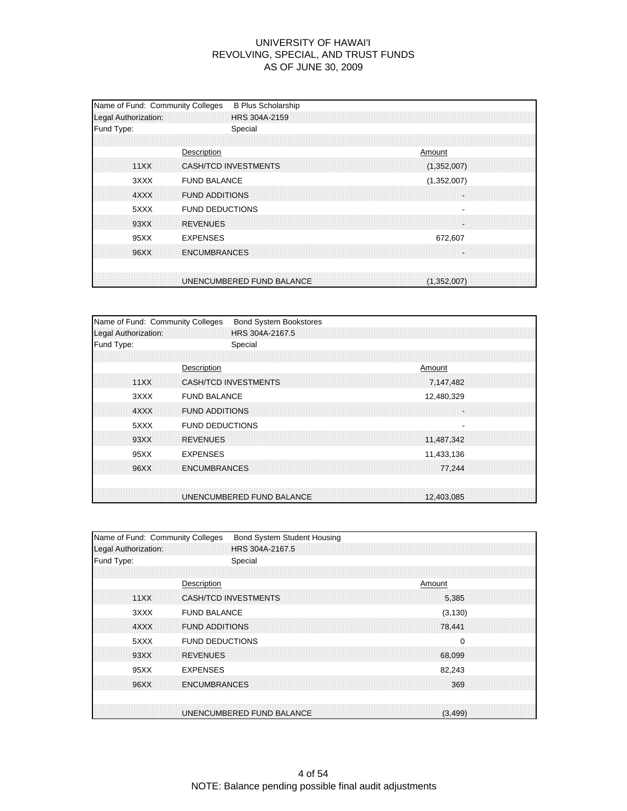| Fund Type:<br>Special<br>Description<br>Amount<br><b>CASH/TCD INVESTMENTS</b><br>11XX<br>(1,352,007)<br>3XXX<br><b>FUND BALANCE</b><br>(1,352,007)<br>4XXX<br><b>FUND ADDITIONS</b><br><b>FUND DEDUCTIONS</b><br>5XXX<br><b>REVENUES</b><br>93XX<br><b>EXPENSES</b><br>95XX<br>672,607<br><b>ENCUMBRANCES</b><br>96XX | Name of Fund: Community Colleges<br>Legal Authorization: | <b>B Plus Scholarship</b><br>HRS 304A-2159 |  |  |  |
|-----------------------------------------------------------------------------------------------------------------------------------------------------------------------------------------------------------------------------------------------------------------------------------------------------------------------|----------------------------------------------------------|--------------------------------------------|--|--|--|
|                                                                                                                                                                                                                                                                                                                       |                                                          |                                            |  |  |  |
|                                                                                                                                                                                                                                                                                                                       |                                                          |                                            |  |  |  |
|                                                                                                                                                                                                                                                                                                                       |                                                          |                                            |  |  |  |
|                                                                                                                                                                                                                                                                                                                       |                                                          |                                            |  |  |  |
|                                                                                                                                                                                                                                                                                                                       |                                                          |                                            |  |  |  |
| UNENCUMBERED FUND BALANCE                                                                                                                                                                                                                                                                                             |                                                          |                                            |  |  |  |

| Name of Fund: Community Colleges |                             | <b>Bond System Bookstores</b> |  |            |  |
|----------------------------------|-----------------------------|-------------------------------|--|------------|--|
| Legal Authorization:             |                             | HRS 304A-2167.5               |  |            |  |
| Fund Type:                       |                             | Special                       |  |            |  |
|                                  |                             |                               |  |            |  |
|                                  | Description                 |                               |  | Amount     |  |
| 11XX                             | <b>CASH/TCD INVESTMENTS</b> |                               |  | 7,147,482  |  |
| 3XXX                             | <b>FUND BALANCE</b>         |                               |  | 12,480,329 |  |
| 4XXX                             | <b>FUND ADDITIONS</b>       |                               |  |            |  |
| 5XXX                             | <b>FUND DEDUCTIONS</b>      |                               |  |            |  |
| 93XX                             | <b>REVENUES</b>             |                               |  | 11,487,342 |  |
| 95XX                             | <b>EXPENSES</b>             |                               |  | 11,433,136 |  |
| 96XX                             | <b>ENCUMBRANCES</b>         |                               |  | 77.244     |  |
|                                  | UNENCUMBERED FUND BALANCE   |                               |  | 12,403,085 |  |
|                                  |                             |                               |  |            |  |

| Name of Fund: Community Colleges | <b>Bond System Student Housing</b>   |
|----------------------------------|--------------------------------------|
| Legal Authorization:             | HRS 304A-2167.5                      |
| Fund Type:                       | Special                              |
|                                  |                                      |
|                                  | Description<br>Amount                |
| 11XX                             | CASH/TCD INVESTMENTS<br>5.385        |
| 3XXX                             | <b>FUND BALANCE</b><br>(3, 130)      |
| 4XXX                             | <b>FUND ADDITIONS</b><br>78,441      |
| 5XXX                             | <b>FUND DEDUCTIONS</b><br>0          |
| 93XX                             | <b>REVENUES</b><br>68,099            |
| 95XX                             | <b>EXPENSES</b><br>82,243            |
| 96XX                             | <b>ENCUMBRANCES</b><br>369           |
|                                  |                                      |
|                                  | UNENCUMBERED FUND BALANCE<br>(3.499) |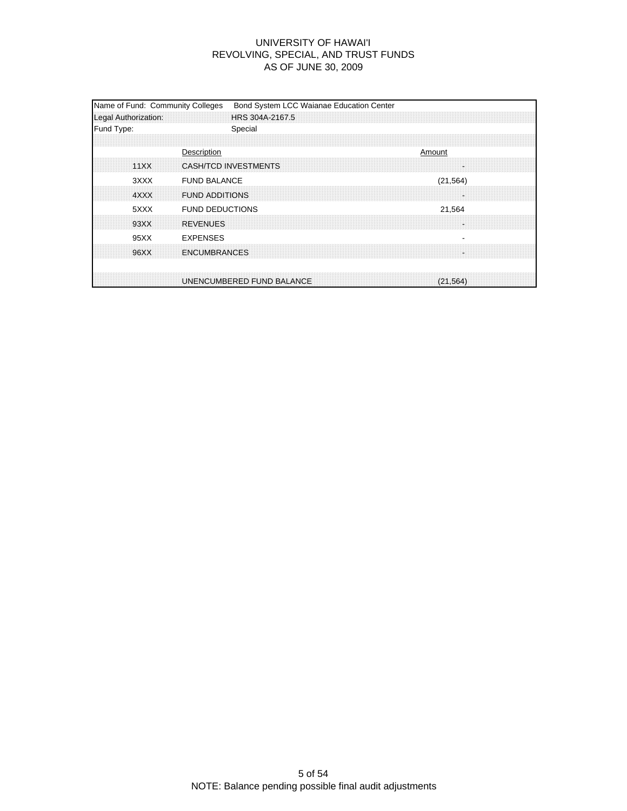| Name of Fund: Community Colleges<br>Legal Authorization: | Bond System LCC Waianae Education Center<br>HRS 304A-2167.5 |
|----------------------------------------------------------|-------------------------------------------------------------|
| Fund Type:                                               | Special                                                     |
| 11XX                                                     | Description<br>Amount<br>CASH/TCD INVESTMENTS               |
| 3XXX<br>4XXX                                             | <b>FUND BALANCE</b><br>(21, 564)<br><b>FUND ADDITIONS</b>   |
| 5XXX<br>93XX                                             | <b>FUND DEDUCTIONS</b><br>21,564<br><b>REVENUES</b>         |
| 95XX<br>96XX                                             | <b>EXPENSES</b><br><b>ENCUMBRANCES</b>                      |
|                                                          | UNENCUMBERED FUND BALANCE<br>(21, 564)                      |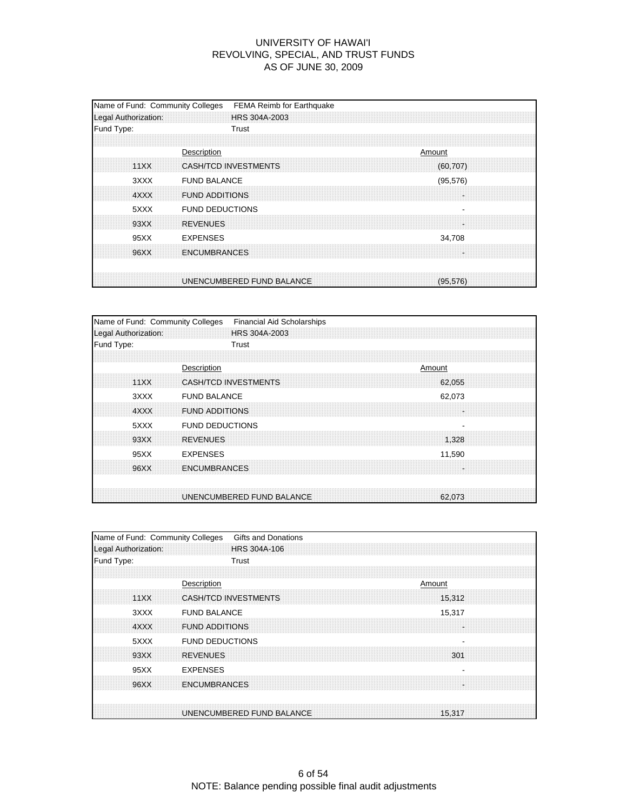| Name of Fund: Community Colleges<br>Legal Authorization: |                                              | FEMA Reimb for Earthquake<br>HRS 304A-2003 |  |        |           |  |  |
|----------------------------------------------------------|----------------------------------------------|--------------------------------------------|--|--------|-----------|--|--|
| Fund Type:                                               | Trust                                        |                                            |  |        |           |  |  |
| 11XX                                                     | Description<br><b>CASH/TCD INVESTMENTS</b>   |                                            |  | Amount | (60, 707) |  |  |
| 3XXX<br>4XXX                                             | <b>FUND BALANCE</b><br><b>FUND ADDITIONS</b> |                                            |  |        | (95, 576) |  |  |
| 5XXX<br>93XX                                             | <b>FUND DEDUCTIONS</b><br><b>REVENUES</b>    |                                            |  |        |           |  |  |
| 95XX                                                     | <b>EXPENSES</b>                              |                                            |  |        | 34,708    |  |  |
| 96XX                                                     | <b>ENCUMBRANCES</b>                          |                                            |  |        |           |  |  |
|                                                          | UNENCUMBERED FUND BALANCE                    |                                            |  |        | (95, 576) |  |  |

| Name of Fund: Community Colleges | <b>Financial Aid Scholarships</b>     |
|----------------------------------|---------------------------------------|
| Legal Authorization:             | HRS 304A-2003                         |
| Fund Type:                       | Trust                                 |
|                                  |                                       |
|                                  | Description<br>Amount                 |
| 11XX                             | <b>CASH/TCD INVESTMENTS</b><br>62.055 |
| 3XXX                             | <b>FUND BALANCE</b><br>62,073         |
| 4XXX                             | <b>FUND ADDITIONS</b><br>÷.           |
| 5XXX                             | <b>FUND DEDUCTIONS</b>                |
| 93XX                             | <b>REVENUES</b><br>1,328              |
| 95XX                             | <b>EXPENSES</b><br>11,590             |
| 96XX                             | <b>ENCUMBRANCES</b>                   |
|                                  | UNENCUMBERED FUND BALANCE<br>62.073   |

| Name of Fund: Community Colleges | Gifts and Donations                   |
|----------------------------------|---------------------------------------|
| Legal Authorization:             | HRS 304A-106                          |
| Fund Type:                       | Trust                                 |
|                                  |                                       |
|                                  | Description<br>Amount                 |
| 11XX                             | <b>CASH/TCD INVESTMENTS</b><br>15,312 |
| 3XXX                             | <b>FUND BALANCE</b><br>15,317         |
| 4XXX                             | <b>FUND ADDITIONS</b>                 |
| 5XXX                             | <b>FUND DEDUCTIONS</b>                |
| 93XX                             | <b>REVENUES</b><br>301                |
| 95XX                             | <b>EXPENSES</b>                       |
| 96XX                             | <b>ENCUMBRANCES</b>                   |
|                                  |                                       |
|                                  | UNENCUMBERED FUND BALANCE<br>15,317   |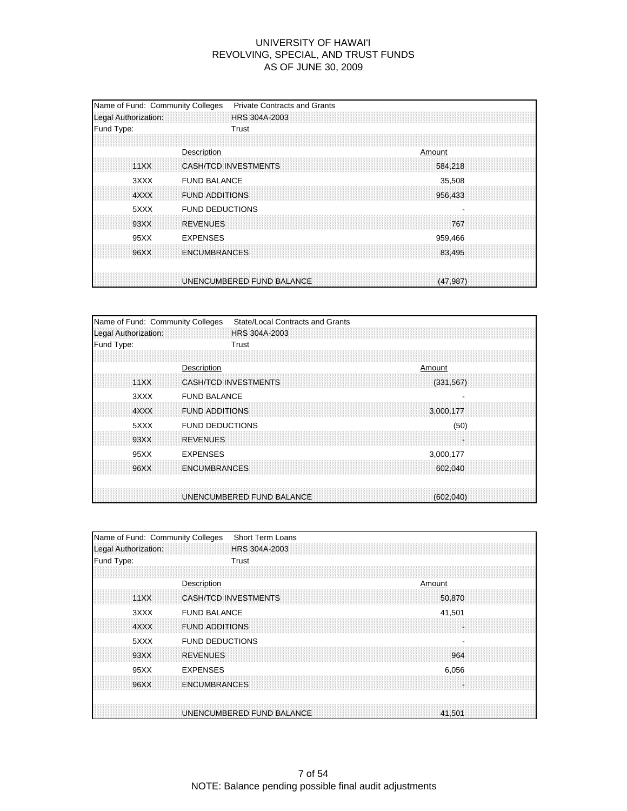| Name of Fund: Community Colleges<br>Legal Authorization: | <b>Private Contracts and Grants</b><br>HRS 304A-2003              |
|----------------------------------------------------------|-------------------------------------------------------------------|
| Fund Type:                                               | Trust                                                             |
| 11XX                                                     | Description<br>Amount<br>CASH/TCD INVESTMENTS<br>584.218          |
| 3XXX<br>4XXX                                             | <b>FUND BALANCE</b><br>35,508<br><b>FUND ADDITIONS</b><br>956,433 |
| 5XXX<br>93XX                                             | <b>FUND DEDUCTIONS</b><br><b>REVENUES</b><br>767                  |
| 95XX<br>96XX                                             | <b>EXPENSES</b><br>959,466<br><b>ENCUMBRANCES</b><br>83,495       |
|                                                          | UNENCUMBERED FUND BALANCE<br>(47.987)                             |

| Name of Fund: Community Colleges | <b>State/Local Contracts and Grants</b>   |
|----------------------------------|-------------------------------------------|
| Legal Authorization:             | <b>HRS 304A-2003</b>                      |
| Fund Type:                       | Trust                                     |
|                                  |                                           |
|                                  | Description<br>Amount                     |
| 11XX                             | <b>CASH/TCD INVESTMENTS</b><br>(331, 567) |
| 3XXX                             | <b>FUND BALANCE</b>                       |
| 4XXX                             | <b>FUND ADDITIONS</b><br>3,000,177        |
| 5XXX                             | <b>FUND DEDUCTIONS</b><br>(50)            |
| 93XX                             | <b>REVENUES</b><br>÷                      |
| 95XX                             | <b>EXPENSES</b><br>3,000,177              |
| 96XX                             | <b>ENCUMBRANCES</b><br>602.040            |
|                                  |                                           |
|                                  | UNENCUMBERED FUND BALANCE<br>(602,040)    |

| Name of Fund: Community Colleges | <b>Short Term Loans</b>               |
|----------------------------------|---------------------------------------|
| Legal Authorization:             | HRS 304A-2003                         |
| Fund Type:                       | Trust                                 |
|                                  |                                       |
|                                  | Description<br>Amount                 |
| 11XX                             | <b>CASH/TCD INVESTMENTS</b><br>50,870 |
| 3XXX                             | <b>FUND BALANCE</b><br>41,501         |
| 4XXX                             | <b>FUND ADDITIONS</b>                 |
| 5XXX                             | <b>FUND DEDUCTIONS</b>                |
| 93XX                             | <b>REVENUES</b><br>964                |
| 95XX                             | <b>EXPENSES</b><br>6,056              |
| 96XX                             | <b>ENCUMBRANCES</b>                   |
|                                  |                                       |
|                                  | UNENCUMBERED FUND BALANCE<br>41,501   |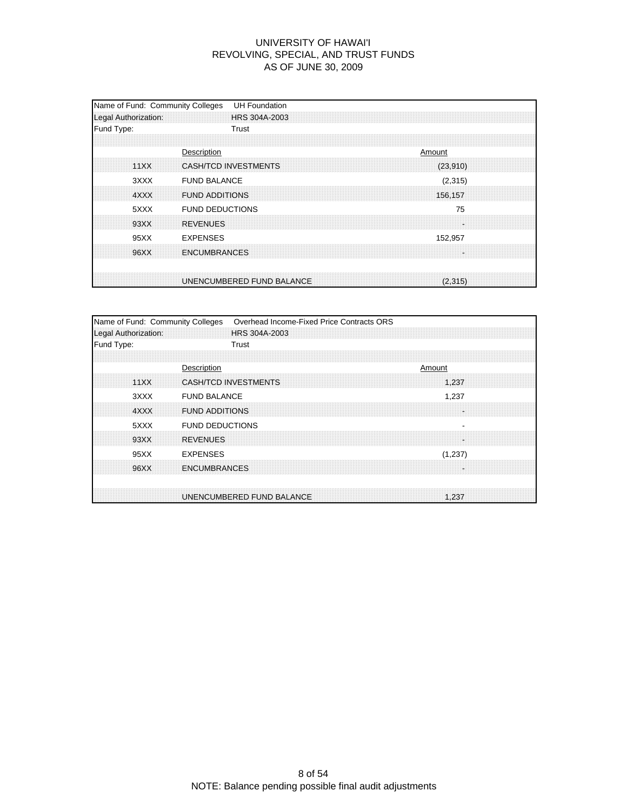| Name of Fund: Community Colleges<br>Legal Authorization: | <b>UH Foundation</b><br>HRS 304A-2003                              |
|----------------------------------------------------------|--------------------------------------------------------------------|
| Fund Type:                                               | Trust                                                              |
| 11XX                                                     | Description<br>Amount<br><b>CASH/TCD INVESTMENTS</b><br>(23,910)   |
| 3XXX<br>4XXX                                             | <b>FUND BALANCE</b><br>(2,315)<br><b>FUND ADDITIONS</b><br>156,157 |
| 5XXX<br>93XX                                             | <b>FUND DEDUCTIONS</b><br>75<br><b>REVENUES</b>                    |
| 95XX                                                     | <b>EXPENSES</b><br>152,957                                         |
| 96XX                                                     | <b>ENCUMBRANCES</b>                                                |
|                                                          | UNENCUMBERED FUND BALANCE<br>(2.315)                               |

| Overhead Income-Fixed Price Contracts ORS |                                                                                                                                                                                                                                                             |
|-------------------------------------------|-------------------------------------------------------------------------------------------------------------------------------------------------------------------------------------------------------------------------------------------------------------|
| HRS 304A-2003                             |                                                                                                                                                                                                                                                             |
| Trust                                     |                                                                                                                                                                                                                                                             |
|                                           |                                                                                                                                                                                                                                                             |
| Amount                                    |                                                                                                                                                                                                                                                             |
| 1.237                                     |                                                                                                                                                                                                                                                             |
| 1,237                                     |                                                                                                                                                                                                                                                             |
|                                           |                                                                                                                                                                                                                                                             |
| $\overline{\phantom{0}}$                  |                                                                                                                                                                                                                                                             |
|                                           |                                                                                                                                                                                                                                                             |
| (1,237)                                   |                                                                                                                                                                                                                                                             |
|                                           |                                                                                                                                                                                                                                                             |
|                                           |                                                                                                                                                                                                                                                             |
|                                           | Name of Fund: Community Colleges<br>Description<br><b>CASH/TCD INVESTMENTS</b><br><b>FUND BALANCE</b><br><b>FUND ADDITIONS</b><br><b>FUND DEDUCTIONS</b><br><b>REVENUES</b><br><b>EXPENSES</b><br><b>ENCUMBRANCES</b><br>UNENCUMBERED FUND BALANCE<br>1.237 |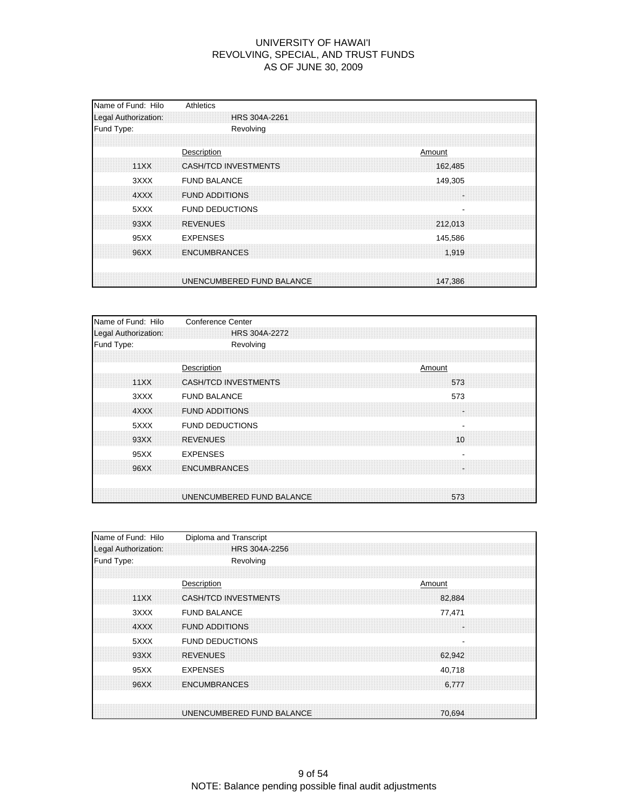| Name of Fund: Hilo<br>Legal Authorization: | Athletics<br>HRS 304A-2261                                      |
|--------------------------------------------|-----------------------------------------------------------------|
| Fund Type:                                 | Revolving                                                       |
|                                            |                                                                 |
| 11XX                                       | Description<br>Amount<br><b>CASH/TCD INVESTMENTS</b><br>162,485 |
| 3XXX                                       | <b>FUND BALANCE</b><br>149,305                                  |
| 4XXX                                       | <b>FUND ADDITIONS</b>                                           |
| 5XXX                                       | <b>FUND DEDUCTIONS</b>                                          |
| 93XX                                       | <b>REVENUES</b><br>212,013                                      |
| 95XX                                       | <b>EXPENSES</b><br>145,586                                      |
| 96XX                                       | <b>ENCUMBRANCES</b><br>1,919                                    |
|                                            | UNENCUMBERED FUND BALANCE<br>147,386                            |

| Name of Fund: Hilo   | <b>Conference Center</b>           |
|----------------------|------------------------------------|
| Legal Authorization: | <b>HRS 304A-2272</b>               |
| Fund Type:           | Revolving                          |
|                      |                                    |
|                      | Description<br>Amount              |
| 11XX                 | <b>CASH/TCD INVESTMENTS</b><br>573 |
| 3XXX                 | <b>FUND BALANCE</b><br>573         |
| 4XXX                 | <b>FUND ADDITIONS</b><br>×         |
| 5XXX                 | <b>FUND DEDUCTIONS</b>             |
| 93XX                 | <b>REVENUES</b><br>10              |
| 95XX                 | <b>EXPENSES</b>                    |
| 96XX                 | <b>ENCUMBRANCES</b><br>a.          |
|                      | UNENCUMBERED FUND BALANCE<br>573   |

| Name of Fund: Hilo   | Diploma and Transcript                |
|----------------------|---------------------------------------|
| Legal Authorization: | HRS 304A-2256                         |
| Fund Type:           | Revolving                             |
|                      |                                       |
|                      | Description<br>Amount                 |
| 11XX                 | <b>CASH/TCD INVESTMENTS</b><br>82,884 |
| 3XXX                 | <b>FUND BALANCE</b><br>77,471         |
| 4XXX                 | <b>FUND ADDITIONS</b>                 |
| 5XXX                 | <b>FUND DEDUCTIONS</b>                |
| 93XX                 | <b>REVENUES</b><br>62,942             |
| 95XX                 | <b>EXPENSES</b><br>40,718             |
| 96XX                 | <b>ENCUMBRANCES</b><br>6,777          |
|                      |                                       |
|                      | UNENCUMBERED FUND BALANCE<br>70.694   |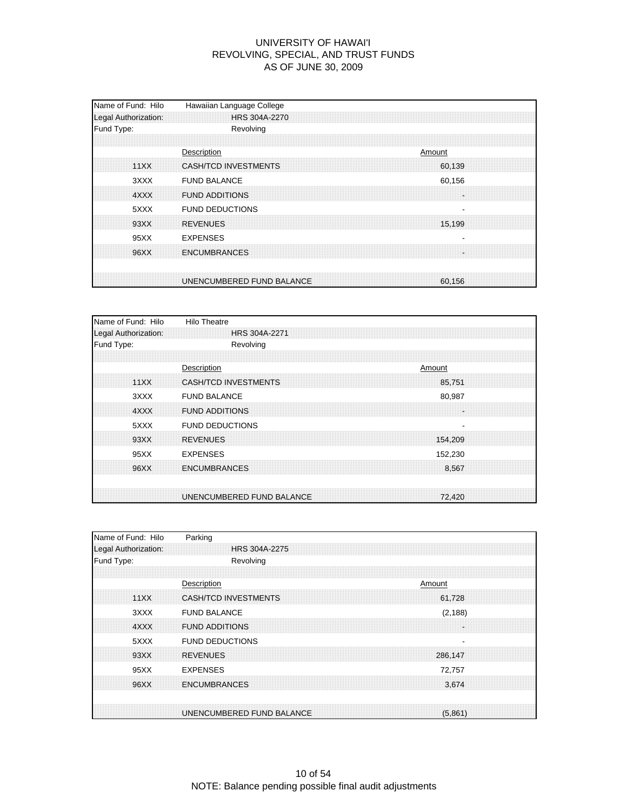| Name of Fund: Hilo<br>Legal Authorization: | Hawaiian Language College<br>HRS 304A-2270                     |
|--------------------------------------------|----------------------------------------------------------------|
| Fund Type:                                 | Revolving                                                      |
| 11XX                                       | Description<br>Amount<br><b>CASH/TCD INVESTMENTS</b><br>60,139 |
| 3XXX<br>4XXX                               | <b>FUND BALANCE</b><br>60,156<br><b>FUND ADDITIONS</b>         |
| 5XXX                                       | <b>FUND DEDUCTIONS</b>                                         |
| 93XX<br>95XX                               | <b>REVENUES</b><br>15,199<br><b>EXPENSES</b>                   |
| 96XX                                       | <b>ENCUMBRANCES</b>                                            |
|                                            | UNENCUMBERED FUND BALANCE<br>60.156                            |

| Name of Fund: Hilo   | <b>Hilo Theatre</b>                   |
|----------------------|---------------------------------------|
| Legal Authorization: | HRS 304A-2271                         |
| Fund Type:           | Revolving                             |
|                      |                                       |
|                      | Description<br>Amount                 |
| 11XX                 | <b>CASH/TCD INVESTMENTS</b><br>85,751 |
| 3XXX                 | <b>FUND BALANCE</b><br>80,987         |
| 4XXX                 | <b>FUND ADDITIONS</b><br>l.           |
| 5XXX                 | <b>FUND DEDUCTIONS</b>                |
| 93XX                 | <b>REVENUES</b><br>154.209            |
| 95XX                 | <b>EXPENSES</b><br>152,230            |
| 96XX                 | <b>ENCUMBRANCES</b><br>8,567          |
|                      |                                       |
|                      | UNENCUMBERED FUND BALANCE<br>72,420   |

| Name of Fund: Hilo   | Parking                                  |
|----------------------|------------------------------------------|
| Legal Authorization: | HRS 304A-2275                            |
| Fund Type:           | Revolving                                |
|                      |                                          |
|                      | Description<br>Amount                    |
| 11XX                 | <b>CASH/TCD INVESTMENTS</b><br>61,728    |
| 3XXX                 | <b>FUND BALANCE</b><br>(2, 188)          |
| 4XXX                 | <b>FUND ADDITIONS</b>                    |
| 5XXX                 | <b>FUND DEDUCTIONS</b><br>$\blacksquare$ |
| 93XX                 | <b>REVENUES</b><br>286,147               |
| 95XX                 | <b>EXPENSES</b><br>72,757                |
| 96XX                 | <b>ENCUMBRANCES</b><br>3.674             |
|                      |                                          |
|                      | UNENCUMBERED FUND BALANCE<br>(5.861)     |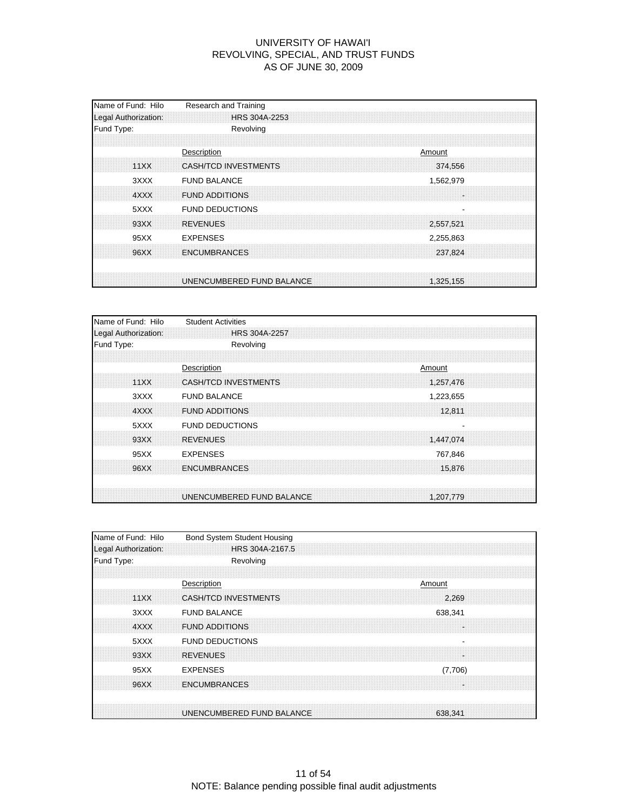| Name of Fund: Hilo<br>Legal Authorization: | Research and Training<br>HRS 304A-2253                          |
|--------------------------------------------|-----------------------------------------------------------------|
| Fund Type:                                 | Revolving                                                       |
| 11XX                                       | Description<br>Amount<br>CASH/TCD INVESTMENTS<br>374,556        |
| 3XXX<br>4XXX                               | <b>FUND BALANCE</b><br>1,562,979<br><b>FUND ADDITIONS</b><br>14 |
| 5XXX<br>93XX                               | <b>FUND DEDUCTIONS</b><br><b>REVENUES</b><br>2,557,521          |
| 95XX                                       | <b>EXPENSES</b><br>2,255,863                                    |
| 96XX                                       | <b>ENCUMBRANCES</b><br>237,824                                  |
|                                            | UNENCUMBERED FUND BALANCE<br>1,325,155                          |

| Name of Fund: Hilo   | <b>Student Activities</b>                |
|----------------------|------------------------------------------|
| Legal Authorization: | <b>HRS 304A-2257</b>                     |
| Fund Type:           | Revolving                                |
|                      |                                          |
|                      | Description<br>Amount                    |
| 11XX                 | <b>CASH/TCD INVESTMENTS</b><br>1,257,476 |
| 3XXX                 | <b>FUND BALANCE</b><br>1,223,655         |
| 4XXX                 | <b>FUND ADDITIONS</b><br>12,811          |
| 5XXX                 | <b>FUND DEDUCTIONS</b>                   |
| 93XX                 | <b>REVENUES</b><br>1,447,074             |
| 95XX                 | <b>EXPENSES</b><br>767,846               |
| 96XX                 | <b>ENCUMBRANCES</b><br>15,876            |
|                      |                                          |
|                      | UNENCUMBERED FUND BALANCE<br>1,207,779   |

| Name of Fund: Hilo   | Bond System Student Housing          |
|----------------------|--------------------------------------|
| Legal Authorization: | HRS 304A-2167.5                      |
| Fund Type:           | Revolving                            |
|                      |                                      |
|                      | Description<br>Amount                |
| 11XX                 | <b>CASH/TCD INVESTMENTS</b><br>2.269 |
| 3XXX                 | <b>FUND BALANCE</b><br>638,341       |
| 4XXX                 | <b>FUND ADDITIONS</b>                |
| 5XXX                 | <b>FUND DEDUCTIONS</b>               |
| 93XX                 | <b>REVENUES</b>                      |
| 95XX                 | <b>EXPENSES</b><br>(7,706)           |
| 96XX                 | <b>ENCUMBRANCES</b>                  |
|                      |                                      |
|                      | UNENCUMBERED FUND BALANCE<br>638.341 |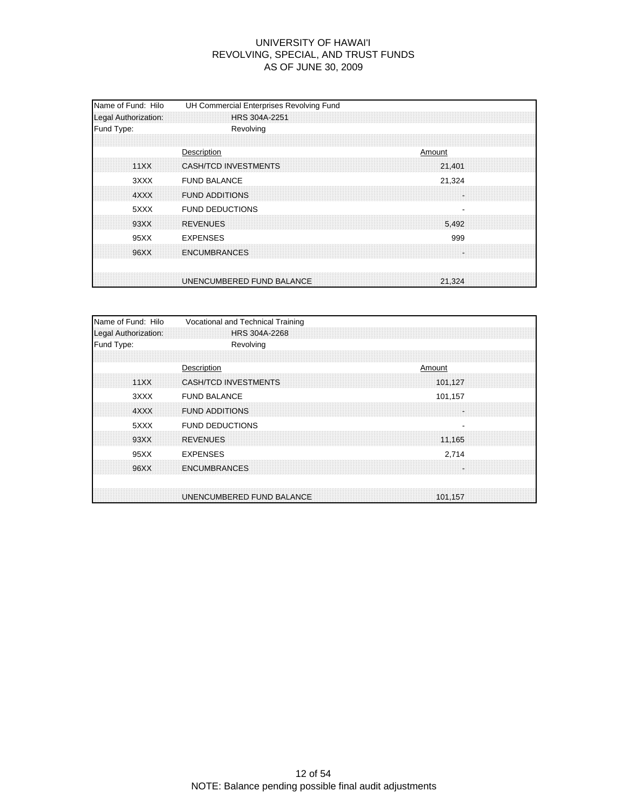| Name of Fund: Hilo<br>Legal Authorization: | UH Commercial Enterprises Revolving Fund<br>HRS 304A-2251   |
|--------------------------------------------|-------------------------------------------------------------|
| Fund Type:                                 | Revolving                                                   |
| 11XX                                       | Description<br>Amount<br>CASH/TCD INVESTMENTS<br>21,401     |
| 3XXX<br>4XXX                               | <b>FUND BALANCE</b><br>21,324<br><b>FUND ADDITIONS</b><br>÷ |
| 5XXX<br>93XX                               | <b>FUND DEDUCTIONS</b><br><b>REVENUES</b><br>5.492          |
| 95XX                                       | <b>EXPENSES</b><br>999                                      |
| 96XX                                       | <b>ENCUMBRANCES</b><br>S.                                   |
|                                            | UNENCUMBERED FUND BALANCE<br>21.324                         |

| Name of Fund: Hilo   | Vocational and Technical Training |  |         |  |
|----------------------|-----------------------------------|--|---------|--|
| Legal Authorization: | HRS 304A-2268                     |  |         |  |
| Fund Type:           | Revolving                         |  |         |  |
|                      |                                   |  |         |  |
|                      | Description                       |  | Amount  |  |
| 11XX                 | <b>CASH/TCD INVESTMENTS</b>       |  | 101.127 |  |
| 3XXX                 | <b>FUND BALANCE</b>               |  | 101,157 |  |
| 4XXX                 | <b>FUND ADDITIONS</b>             |  |         |  |
| 5XXX                 | <b>FUND DEDUCTIONS</b>            |  | ٠       |  |
| 93XX                 | <b>REVENUES</b>                   |  | 11,165  |  |
| 95XX                 | <b>EXPENSES</b>                   |  | 2,714   |  |
| 96XX                 | <b>ENCUMBRANCES</b>               |  |         |  |
|                      |                                   |  |         |  |
|                      | UNENCUMBERED FUND BALANCE         |  | 101.157 |  |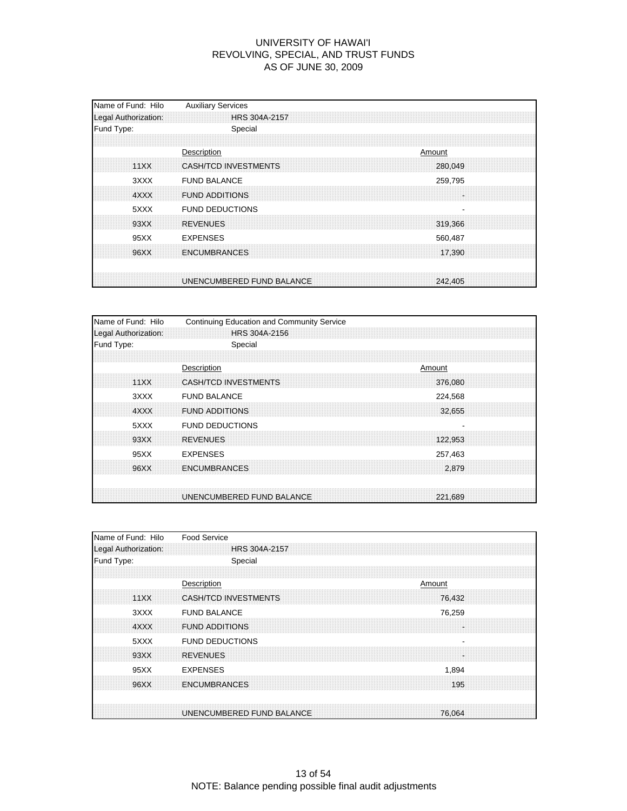| Name of Fund: Hilo<br>Legal Authorization: | <b>Auxiliary Services</b><br>HRS 304A-2157               |
|--------------------------------------------|----------------------------------------------------------|
| Fund Type:                                 | Special                                                  |
| 11XX                                       | Description<br>Amount<br>CASH/TCD INVESTMENTS<br>280,049 |
| 3XXX<br>4XXX                               | <b>FUND BALANCE</b><br>259,795<br><b>FUND ADDITIONS</b>  |
| 5XXX<br>93XX                               | <b>FUND DEDUCTIONS</b><br><b>REVENUES</b><br>319,366     |
| 95XX                                       | <b>EXPENSES</b><br>560,487                               |
| 96XX                                       | <b>ENCUMBRANCES</b><br>17.390                            |
|                                            | UNENCUMBERED FUND BALANCE<br>242,405                     |

| Name of Fund: Hilo   | Continuing Education and Community Service |  |        |         |  |
|----------------------|--------------------------------------------|--|--------|---------|--|
| Legal Authorization: | HRS 304A-2156                              |  |        |         |  |
| Fund Type:           | Special                                    |  |        |         |  |
|                      |                                            |  |        |         |  |
|                      | Description                                |  | Amount |         |  |
| 11XX                 | <b>CASH/TCD INVESTMENTS</b>                |  |        | 376.080 |  |
| 3XXX                 | <b>FUND BALANCE</b>                        |  |        | 224,568 |  |
| 4XXX                 | <b>FUND ADDITIONS</b>                      |  |        | 32,655  |  |
| 5XXX                 | <b>FUND DEDUCTIONS</b>                     |  |        |         |  |
| 93XX                 | <b>REVENUES</b>                            |  |        | 122,953 |  |
| 95XX                 | <b>EXPENSES</b>                            |  |        | 257,463 |  |
| 96XX                 | <b>ENCUMBRANCES</b>                        |  |        | 2.879   |  |
|                      |                                            |  |        |         |  |
|                      | UNENCUMBERED FUND BALANCE                  |  |        | 221,689 |  |

| Name of Fund: Hilo   | <b>Food Service</b>                                |
|----------------------|----------------------------------------------------|
| Legal Authorization: | <b>HRS 304A-2157</b>                               |
| Fund Type:           | Special                                            |
|                      |                                                    |
|                      | Description<br>Amount                              |
| 11XX                 | <b>CASH/TCD INVESTMENTS</b><br>76,432              |
| 3XXX                 | <b>FUND BALANCE</b><br>76,259                      |
| 4XXX                 | <b>FUND ADDITIONS</b>                              |
| 5XXX                 | <b>FUND DEDUCTIONS</b><br>$\overline{\phantom{0}}$ |
| 93XX                 | <b>REVENUES</b>                                    |
| 95XX                 | <b>EXPENSES</b><br>1,894                           |
| 96XX                 | <b>ENCUMBRANCES</b><br>195                         |
|                      |                                                    |
|                      | UNENCUMBERED FUND BALANCE<br>76.064                |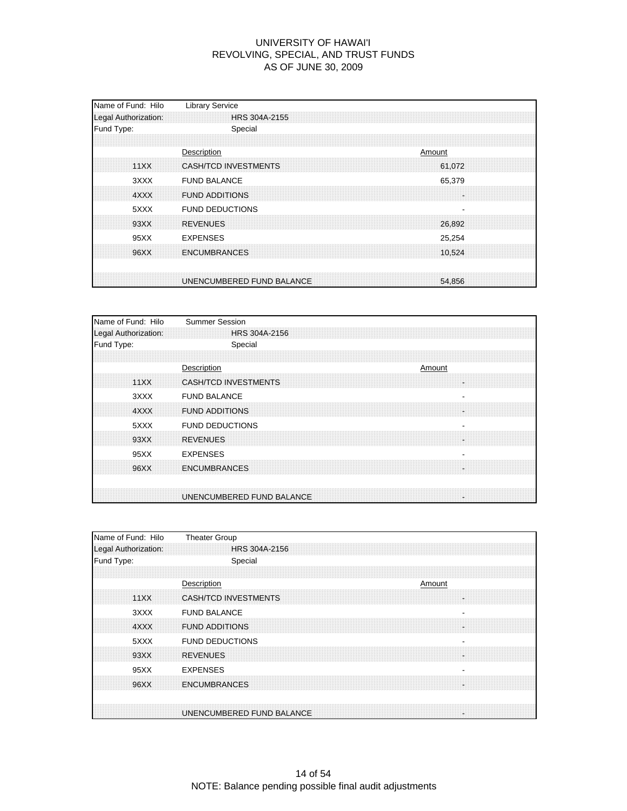| Name of Fund: Hilo<br>Legal Authorization: | <b>Library Service</b><br>HRS 304A-2155                     |
|--------------------------------------------|-------------------------------------------------------------|
| Fund Type:                                 | Special                                                     |
| 11XX                                       | Description<br>Amount<br>CASH/TCD INVESTMENTS<br>61,072     |
| 3XXX<br>4XXX                               | <b>FUND BALANCE</b><br>65,379<br><b>FUND ADDITIONS</b><br>× |
| 5XXX<br>93XX                               | <b>FUND DEDUCTIONS</b><br><b>REVENUES</b><br>26,892         |
| 95XX                                       | <b>EXPENSES</b><br>25,254                                   |
| 96XX                                       | <b>ENCUMBRANCES</b><br>10.524                               |
|                                            | UNENCUMBERED FUND BALANCE<br>54,856                         |

| Name of Fund: Hilo   | <b>Summer Session</b>                           |
|----------------------|-------------------------------------------------|
| Legal Authorization: | HRS 304A-2156                                   |
| Fund Type:           | Special                                         |
|                      |                                                 |
|                      | Description<br>Amount                           |
| 11XX                 | <b>CASH/TCD INVESTMENTS</b><br>H.               |
| 3XXX                 | <b>FUND BALANCE</b><br>$\overline{\phantom{a}}$ |
| 4XXX                 | <b>FUND ADDITIONS</b><br>H.                     |
| 5XXX                 | <b>FUND DEDUCTIONS</b>                          |
| 93XX                 | <b>REVENUES</b><br>×                            |
| 95XX                 | <b>EXPENSES</b>                                 |
| 96XX                 | <b>ENCUMBRANCES</b><br>a.                       |
|                      | UNENCUMBERED FUND BALANCE<br>×                  |

| Name of Fund: Hilo   | <b>Theater Group</b>                     |
|----------------------|------------------------------------------|
| Legal Authorization: | HRS 304A-2156                            |
| Fund Type:           | Special                                  |
|                      |                                          |
|                      | Description<br>Amount                    |
| 11XX                 | <b>CASH/TCD INVESTMENTS</b>              |
| 3XXX                 | <b>FUND BALANCE</b><br>۰                 |
| 4XXX                 | <b>FUND ADDITIONS</b>                    |
| 5XXX                 | <b>FUND DEDUCTIONS</b><br>$\blacksquare$ |
| 93XX                 | <b>REVENUES</b>                          |
| 95XX                 | <b>EXPENSES</b>                          |
| 96XX                 | <b>ENCUMBRANCES</b>                      |
|                      |                                          |
|                      | UNENCUMBERED FUND BALANCE<br>S.          |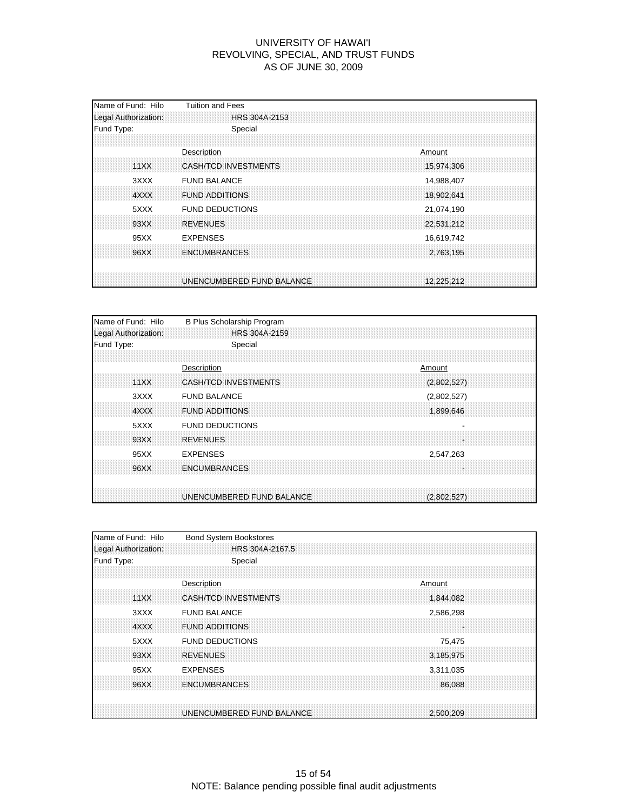| Name of Fund: Hilo<br>Legal Authorization: | <b>Tuition and Fees</b><br>HRS 304A-2153     |                          |
|--------------------------------------------|----------------------------------------------|--------------------------|
| Fund Type:                                 | Special                                      |                          |
| 11XX                                       | Description<br>CASH/TCD INVESTMENTS          | Amount<br>15,974,306     |
| 3XXX<br>4XXX                               | <b>FUND BALANCE</b><br><b>FUND ADDITIONS</b> | 14,988,407<br>18,902,641 |
| 5XXX<br>93XX                               | <b>FUND DEDUCTIONS</b><br><b>REVENUES</b>    | 21,074,190<br>22,531,212 |
| 95XX                                       | <b>EXPENSES</b>                              | 16,619,742               |
| 96XX                                       | <b>ENCUMBRANCES</b>                          | 2,763,195                |
|                                            | UNENCUMBERED FUND BALANCE                    | 12.225.212               |

| Name of Fund: Hilo   | B Plus Scholarship Program  |        |             |  |
|----------------------|-----------------------------|--------|-------------|--|
| Legal Authorization: | HRS 304A-2159               |        |             |  |
| Fund Type:           | Special                     |        |             |  |
|                      |                             |        |             |  |
|                      | Description                 | Amount |             |  |
| 11XX                 | <b>CASH/TCD INVESTMENTS</b> |        | (2,802,527) |  |
| 3XXX                 | <b>FUND BALANCE</b>         |        | (2,802,527) |  |
| 4XXX                 | <b>FUND ADDITIONS</b>       |        | 1,899,646   |  |
| 5XXX                 | <b>FUND DEDUCTIONS</b>      |        |             |  |
| 93XX                 | <b>REVENUES</b>             |        | l.          |  |
| 95XX                 | <b>EXPENSES</b>             |        | 2,547,263   |  |
| 96XX                 | <b>ENCUMBRANCES</b>         |        |             |  |
|                      |                             |        |             |  |
|                      | UNENCUMBERED FUND BALANCE   |        | (2,802,527) |  |

| Name of Fund: Hilo   | <b>Bond System Bookstores</b>          |
|----------------------|----------------------------------------|
| Legal Authorization: | HRS 304A-2167.5                        |
| Fund Type:           | Special                                |
|                      |                                        |
|                      | Description<br>Amount                  |
| 11XX                 | CASH/TCD INVESTMENTS<br>1,844,082      |
| 3XXX                 | <b>FUND BALANCE</b><br>2,586,298       |
| 4XXX                 | <b>FUND ADDITIONS</b>                  |
| 5XXX                 | <b>FUND DEDUCTIONS</b><br>75,475       |
| 93XX                 | <b>REVENUES</b><br>3,185,975           |
| 95XX                 | <b>EXPENSES</b><br>3,311,035           |
| 96XX                 | <b>ENCUMBRANCES</b><br>86,088          |
|                      |                                        |
|                      | UNENCUMBERED FUND BALANCE<br>2.500.209 |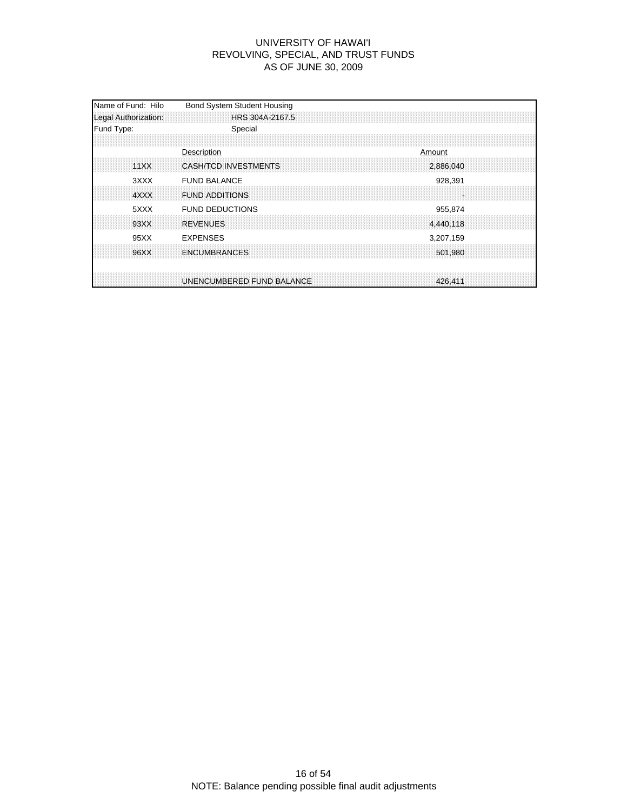| Name of Fund: Hilo<br>Legal Authorization: | <b>Bond System Student Housing</b><br>HRS 304A-2167.5             |
|--------------------------------------------|-------------------------------------------------------------------|
| Fund Type:                                 | Special                                                           |
| 11XX                                       | Description<br>Amount<br><b>CASH/TCD INVESTMENTS</b><br>2,886,040 |
| 3XXX<br>4XXX                               | <b>FUND BALANCE</b><br>928,391<br><b>FUND ADDITIONS</b>           |
| 5XXX<br>93XX                               | <b>FUND DEDUCTIONS</b><br>955,874<br><b>REVENUES</b><br>4,440,118 |
| 95XX<br>96XX                               | <b>EXPENSES</b><br>3,207,159<br><b>ENCUMBRANCES</b><br>501,980    |
|                                            | UNENCUMBERED FUND BALANCE<br>426.411                              |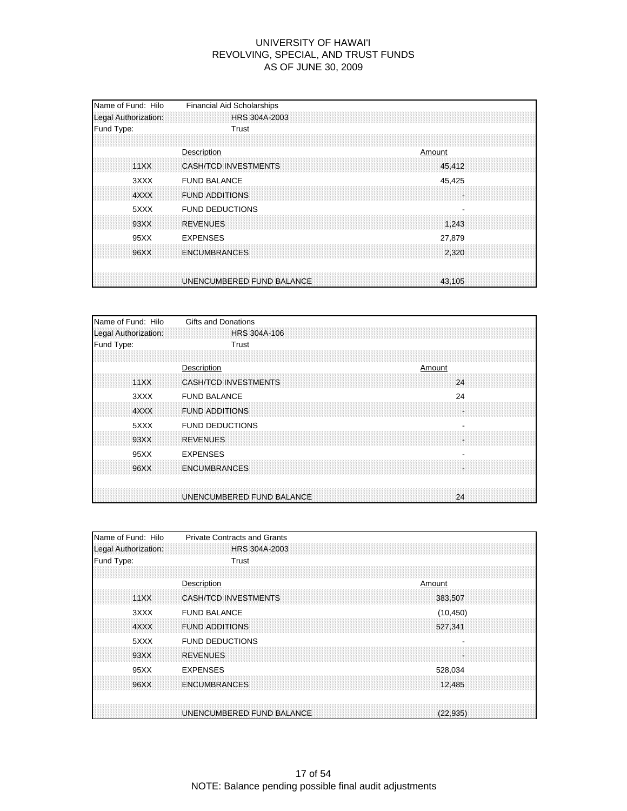| Name of Fund: Hilo<br>Legal Authorization: | <b>Financial Aid Scholarships</b><br>HRS 304A-2003          |
|--------------------------------------------|-------------------------------------------------------------|
| Fund Type:                                 | Trust                                                       |
| 11XX                                       | Description<br>Amount<br>CASH/TCD INVESTMENTS<br>45,412     |
| 3XXX<br>4XXX                               | <b>FUND BALANCE</b><br>45,425<br><b>FUND ADDITIONS</b><br>÷ |
| 5XXX<br>93XX                               | <b>FUND DEDUCTIONS</b><br><b>REVENUES</b><br>1,243          |
| 95XX                                       | <b>EXPENSES</b><br>27,879                                   |
| 96XX                                       | <b>ENCUMBRANCES</b><br>2,320                                |
|                                            | UNENCUMBERED FUND BALANCE<br>43.105                         |

| Name of Fund: Hilo   | <b>Gifts and Donations</b>        |
|----------------------|-----------------------------------|
| Legal Authorization: | <b>HRS 304A-106</b>               |
| Fund Type:           | Trust                             |
|                      |                                   |
|                      | Description<br>Amount             |
| 11XX                 | <b>CASH/TCD INVESTMENTS</b><br>24 |
| 3XXX                 | 24<br><b>FUND BALANCE</b>         |
| 4XXX                 | <b>FUND ADDITIONS</b><br>H.       |
| 5XXX                 | <b>FUND DEDUCTIONS</b>            |
| 93XX                 | <b>REVENUES</b><br>×.             |
| 95XX                 | <b>EXPENSES</b>                   |
| 96XX                 | <b>ENCUMBRANCES</b><br>a.         |
|                      | UNENCUMBERED FUND BALANCE<br>24   |

| Name of Fund: Hilo   | <b>Private Contracts and Grants</b>    |
|----------------------|----------------------------------------|
| Legal Authorization: | HRS 304A-2003                          |
| Fund Type:           | Trust                                  |
|                      |                                        |
|                      | Description<br>Amount                  |
| 11XX                 | <b>CASH/TCD INVESTMENTS</b><br>383,507 |
| 3XXX                 | <b>FUND BALANCE</b><br>(10, 450)       |
| 4XXX                 | <b>FUND ADDITIONS</b><br>527,341       |
| 5XXX                 | <b>FUND DEDUCTIONS</b>                 |
| 93XX                 | <b>REVENUES</b>                        |
| 95XX                 | <b>EXPENSES</b><br>528,034             |
| 96XX                 | <b>ENCUMBRANCES</b><br>12,485          |
|                      |                                        |
|                      | UNENCUMBERED FUND BALANCE<br>(22.935)  |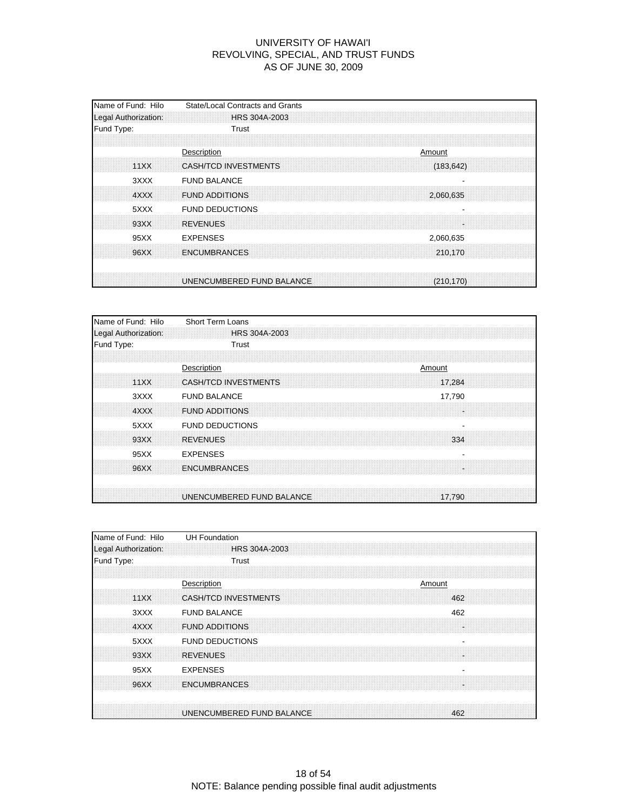| Name of Fund: Hilo<br>Legal Authorization: | State/Local Contracts and Grants<br>HRS 304A-2003              |
|--------------------------------------------|----------------------------------------------------------------|
| Fund Type:                                 | Trust                                                          |
| 11XX                                       | Description<br>Amount<br>CASH/TCD INVESTMENTS<br>(183, 642)    |
| 3XXX<br>4XXX                               | <b>FUND BALANCE</b><br><b>FUND ADDITIONS</b><br>2,060,635      |
| 5XXX<br>93XX                               | <b>FUND DEDUCTIONS</b><br><b>REVENUES</b>                      |
| 95XX<br>96XX                               | <b>EXPENSES</b><br>2,060,635<br><b>ENCUMBRANCES</b><br>210,170 |
|                                            | UNENCUMBERED FUND BALANCE<br>(210.170)                         |

| Name of Fund: Hilo   | Short Term Loans                      |
|----------------------|---------------------------------------|
| Legal Authorization: | HRS 304A-2003                         |
| Fund Type:           | Trust                                 |
|                      |                                       |
|                      | Description<br>Amount                 |
| 11XX                 | <b>CASH/TCD INVESTMENTS</b><br>17.284 |
| 3XXX                 | <b>FUND BALANCE</b><br>17,790         |
| 4XXX                 | <b>FUND ADDITIONS</b><br>÷.           |
| 5XXX                 | <b>FUND DEDUCTIONS</b>                |
| 93XX                 | <b>REVENUES</b><br>334                |
| 95XX                 | <b>EXPENSES</b>                       |
| 96XX                 | <b>ENCUMBRANCES</b>                   |
|                      |                                       |
|                      | UNENCUMBERED FUND BALANCE<br>17,790   |

| Name of Fund: Hilo   | <b>UH Foundation</b>                               |
|----------------------|----------------------------------------------------|
| Legal Authorization: | HRS 304A-2003                                      |
| Fund Type:           | Trust                                              |
|                      |                                                    |
|                      | Description<br>Amount                              |
| 11XX                 | <b>CASH/TCD INVESTMENTS</b><br>462                 |
| 3XXX                 | <b>FUND BALANCE</b><br>462                         |
| 4XXX                 | <b>FUND ADDITIONS</b>                              |
| 5XXX                 | <b>FUND DEDUCTIONS</b><br>$\overline{\phantom{a}}$ |
| 93XX                 | <b>REVENUES</b>                                    |
| 95XX                 | <b>EXPENSES</b>                                    |
| 96XX                 | <b>ENCUMBRANCES</b>                                |
|                      |                                                    |
|                      | UNENCUMBERED FUND BALANCE<br>462                   |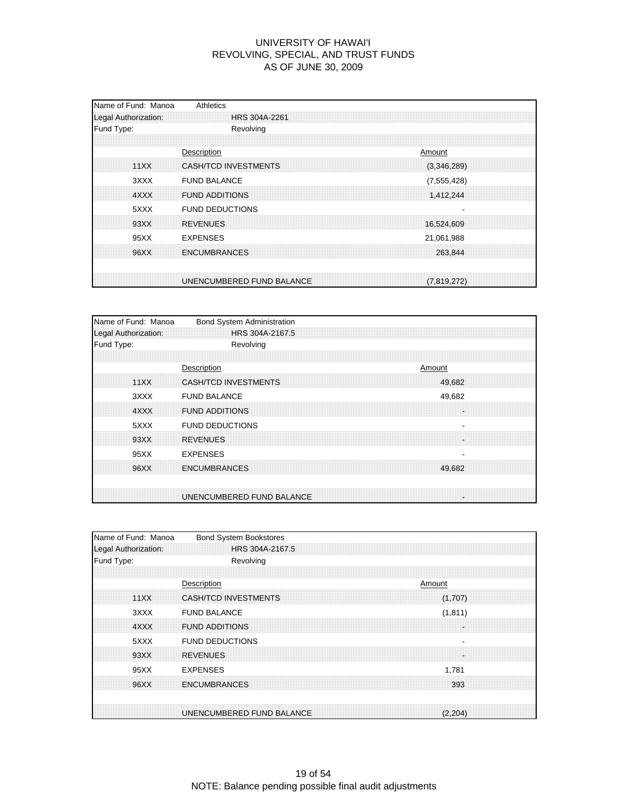| Name of Fund: Manoa<br>Legal Authorization: | Athletics<br>HRS 304A-2261                   |  |                            |  |
|---------------------------------------------|----------------------------------------------|--|----------------------------|--|
| Fund Type:                                  | Revolving                                    |  |                            |  |
| 11XX                                        | Description<br>CASH/TCD INVESTMENTS          |  | Amount<br>(3,346,289)      |  |
| 3XXX<br>4XXX                                | <b>FUND BALANCE</b><br><b>FUND ADDITIONS</b> |  | (7, 555, 428)<br>1,412,244 |  |
| 5XXX<br>93XX                                | <b>FUND DEDUCTIONS</b><br><b>REVENUES</b>    |  | 16,524,609                 |  |
| 95XX                                        | <b>EXPENSES</b>                              |  | 21,061,988                 |  |
| 96XX                                        | <b>ENCUMBRANCES</b>                          |  | 263.844                    |  |
|                                             | UNENCUMBERED FUND BALANCE                    |  | (7,819,272)                |  |

| Name of Fund: Manoa<br>Legal Authorization: | <b>Bond System Administration</b><br>HRS 304A-2167.5 |        |              |  |
|---------------------------------------------|------------------------------------------------------|--------|--------------|--|
| Fund Type:                                  | Revolving                                            |        |              |  |
| 11XX                                        | Description<br><b>CASH/TCD INVESTMENTS</b>           | Amount | 49,682       |  |
| 3XXX<br>4XXX                                | <b>FUND BALANCE</b><br><b>FUND ADDITIONS</b>         |        | 49,682<br>÷. |  |
| 5XXX<br>93XX                                | <b>FUND DEDUCTIONS</b><br><b>REVENUES</b>            |        | ÷.           |  |
| 95XX                                        | <b>EXPENSES</b>                                      |        |              |  |
| 96XX                                        | <b>ENCUMBRANCES</b>                                  |        | 49.682       |  |
|                                             | UNENCUMBERED FUND BALANCE                            |        | 'n.          |  |

| Name of Fund: Manoa  | <b>Bond System Bookstores</b>        |
|----------------------|--------------------------------------|
| Legal Authorization: | HRS 304A-2167.5                      |
| Fund Type:           | Revolving                            |
|                      |                                      |
|                      | Description<br>Amount                |
| 11XX                 | CASH/TCD INVESTMENTS<br>(1,707)      |
| 3XXX                 | <b>FUND BALANCE</b><br>(1, 811)      |
| 4XXX                 | <b>FUND ADDITIONS</b>                |
| 5XXX                 | <b>FUND DEDUCTIONS</b>               |
| 93XX                 | <b>REVENUES</b>                      |
| 95XX                 | <b>EXPENSES</b><br>1,781             |
| 96XX                 | <b>ENCUMBRANCES</b><br>393           |
|                      |                                      |
|                      | UNENCUMBERED FUND BALANCE<br>(2,204) |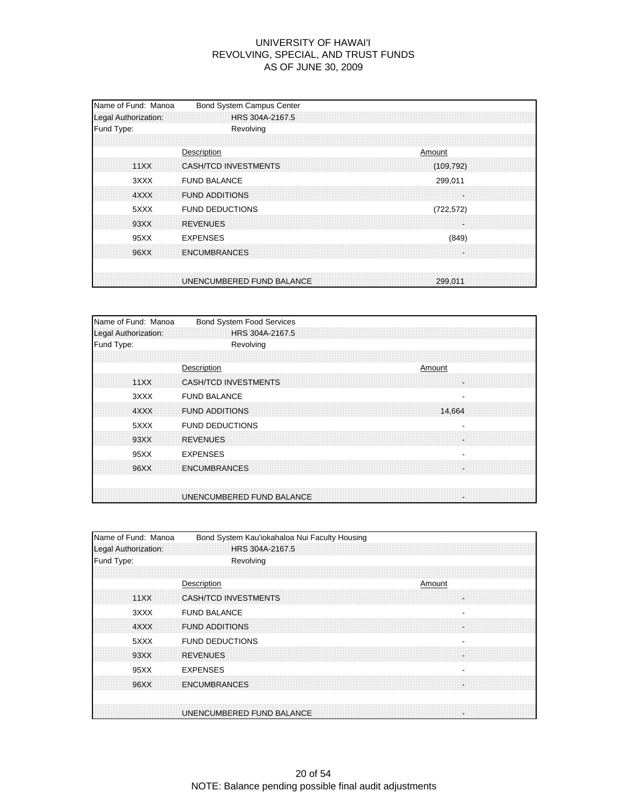| Name of Fund: Manoa<br>Legal Authorization: | <b>Bond System Campus Center</b><br>HRS 304A-2167.5         |
|---------------------------------------------|-------------------------------------------------------------|
| Fund Type:                                  | Revolving                                                   |
| 11XX                                        | Description<br>Amount<br>CASH/TCD INVESTMENTS<br>(109, 792) |
| 3XXX<br>4XXX                                | <b>FUND BALANCE</b><br>299,011<br><b>FUND ADDITIONS</b>     |
| 5XXX<br>93XX                                | <b>FUND DEDUCTIONS</b><br>(722, 572)<br><b>REVENUES</b>     |
| 95XX                                        | <b>EXPENSES</b><br>(849)                                    |
| 96XX                                        | <b>ENCUMBRANCES</b>                                         |
|                                             | UNENCUMBERED FUND BALANCE<br>299.011                        |

| Name of Fund: Manoa<br>Legal Authorization: | <b>Bond System Food Services</b><br>HRS 304A-2167.5 |
|---------------------------------------------|-----------------------------------------------------|
| Fund Type:                                  | Revolving                                           |
|                                             |                                                     |
|                                             | Description<br>Amount                               |
| 11XX                                        | <b>CASH/TCD INVESTMENTS</b>                         |
| 3XXX                                        | <b>FUND BALANCE</b><br>$\overline{\phantom{a}}$     |
| 4XXX                                        | <b>FUND ADDITIONS</b><br>14,664                     |
| 5XXX                                        | <b>FUND DEDUCTIONS</b>                              |
| 93XX                                        | <b>REVENUES</b><br>÷                                |
| 95XX                                        | <b>EXPENSES</b>                                     |
| 96XX                                        | <b>ENCUMBRANCES</b>                                 |
|                                             |                                                     |
|                                             | UNENCUMBERED FUND BALANCE<br>÷.                     |

| Name of Fund: Manoa  | Bond System Kau'iokahaloa Nui Faculty Housing |
|----------------------|-----------------------------------------------|
| Legal Authorization: | HRS 304A-2167.5                               |
| Fund Type:           | Revolving                                     |
|                      |                                               |
|                      | Description<br>Amount                         |
| 11XX                 | CASH/TCD INVESTMENTS                          |
| 3XXX                 | <b>FUND BALANCE</b>                           |
| 4XXX                 | <b>FUND ADDITIONS</b>                         |
| 5XXX                 | <b>FUND DEDUCTIONS</b>                        |
| 93XX                 | <b>REVENUES</b>                               |
| 95XX                 | <b>EXPENSES</b>                               |
| 96XX                 | <b>ENCUMBRANCES</b>                           |
|                      |                                               |
|                      | UNENCUMBERED FUND BALANCE                     |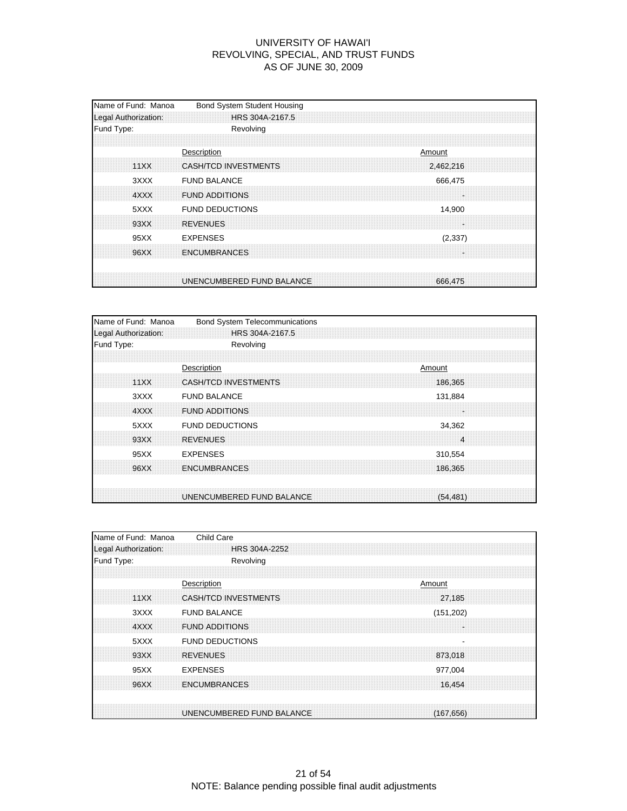| Fund Type:<br>Description                                    | Revolving                            |
|--------------------------------------------------------------|--------------------------------------|
|                                                              |                                      |
| CASH/TCD INVESTMENTS<br>11XX                                 | Amount<br>2,462,216                  |
| <b>FUND BALANCE</b><br>3XXX<br><b>FUND ADDITIONS</b><br>4XXX | 666,475<br>×                         |
| 5XXX<br><b>FUND DEDUCTIONS</b><br><b>REVENUES</b><br>93XX    | 14,900                               |
| <b>EXPENSES</b><br>95XX<br><b>ENCUMBRANCES</b><br>96XX       | (2, 337)                             |
|                                                              | UNENCUMBERED FUND BALANCE<br>666,475 |

| Name of Fund: Manoa  | <b>Bond System Telecommunications</b>  |
|----------------------|----------------------------------------|
| Legal Authorization: | HRS 304A-2167.5                        |
| Fund Type:           | Revolving                              |
|                      |                                        |
|                      | Description<br>Amount                  |
| 11XX                 | <b>CASH/TCD INVESTMENTS</b><br>186.365 |
| 3XXX                 | <b>FUND BALANCE</b><br>131,884         |
| 4XXX                 | <b>FUND ADDITIONS</b><br>÷             |
| 5XXX                 | <b>FUND DEDUCTIONS</b><br>34,362       |
| 93XX                 | <b>REVENUES</b><br>4                   |
| 95XX                 | <b>EXPENSES</b><br>310,554             |
| 96XX                 | <b>ENCUMBRANCES</b><br>186,365         |
|                      |                                        |
|                      | UNENCUMBERED FUND BALANCE<br>(54, 481) |

| Name of Fund: Manoa  | Child Care                              |
|----------------------|-----------------------------------------|
| Legal Authorization: | HRS 304A-2252                           |
| Fund Type:           | Revolving                               |
|                      |                                         |
|                      | Description<br>Amount                   |
| 11XX                 | CASH/TCD INVESTMENTS<br>27,185          |
| 3XXX                 | <b>FUND BALANCE</b><br>(151, 202)       |
| 4XXX                 | <b>FUND ADDITIONS</b>                   |
| 5XXX                 | <b>FUND DEDUCTIONS</b><br>٠             |
| 93XX                 | <b>REVENUES</b><br>873,018              |
| 95XX                 | <b>EXPENSES</b><br>977,004              |
| 96XX                 | <b>ENCUMBRANCES</b><br>16,454           |
|                      |                                         |
|                      | UNENCUMBERED FUND BALANCE<br>(167, 656) |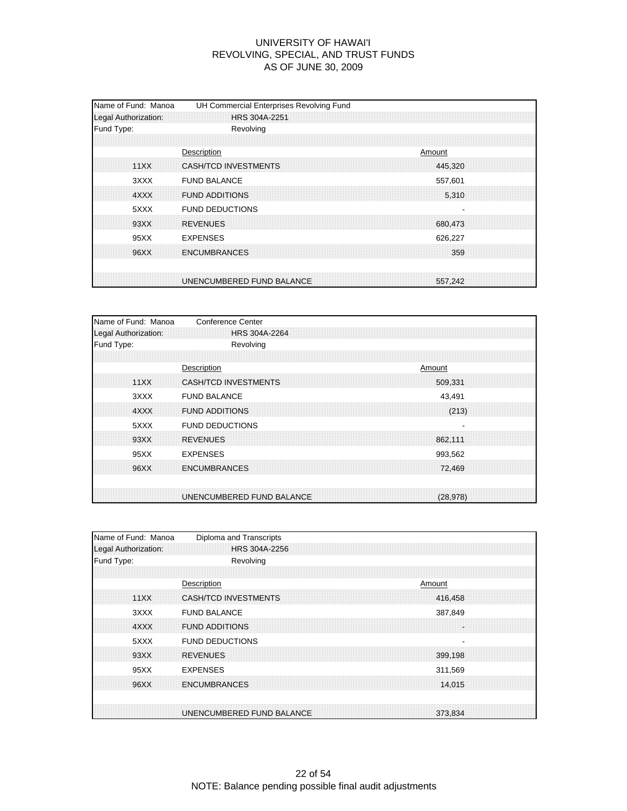| Name of Fund: Manoa<br>Legal Authorization: | UH Commercial Enterprises Revolving Fund<br><b>HRS 304A-2251</b> |
|---------------------------------------------|------------------------------------------------------------------|
| Fund Type:                                  | Revolving                                                        |
| 11XX                                        | Description<br>Amount<br>CASH/TCD INVESTMENTS<br>445.320         |
| 3XXX<br>4XXX                                | <b>FUND BALANCE</b><br>557,601<br><b>FUND ADDITIONS</b><br>5,310 |
| 5XXX                                        | <b>FUND DEDUCTIONS</b>                                           |
| 93XX<br>95XX                                | <b>REVENUES</b><br>680.473<br><b>EXPENSES</b><br>626,227         |
| 96XX                                        | <b>ENCUMBRANCES</b><br>359                                       |
|                                             | UNENCUMBERED FUND BALANCE<br>557.242                             |

| Name of Fund: Manoa  | <b>Conference Center</b>    |  |          |  |
|----------------------|-----------------------------|--|----------|--|
| Legal Authorization: | HRS 304A-2264               |  |          |  |
| Fund Type:           | Revolving                   |  |          |  |
|                      |                             |  |          |  |
|                      | Description                 |  | Amount   |  |
| 11XX                 | <b>CASH/TCD INVESTMENTS</b> |  | 509.331  |  |
| 3XXX                 | <b>FUND BALANCE</b>         |  | 43,491   |  |
| 4XXX                 | <b>FUND ADDITIONS</b>       |  | (213)    |  |
| 5XXX                 | <b>FUND DEDUCTIONS</b>      |  |          |  |
| 93XX                 | <b>REVENUES</b>             |  | 862,111  |  |
| 95XX                 | <b>EXPENSES</b>             |  | 993,562  |  |
| 96XX                 | <b>ENCUMBRANCES</b>         |  | 72,469   |  |
|                      |                             |  |          |  |
|                      | UNENCUMBERED FUND BALANCE   |  | (28.978) |  |

| Name of Fund: Manoa  | Diploma and Transcripts              |
|----------------------|--------------------------------------|
| Legal Authorization: | HRS 304A-2256                        |
| Fund Type:           | Revolving                            |
|                      |                                      |
|                      | Description<br>Amount                |
| 11XX                 | CASH/TCD INVESTMENTS<br>416,458      |
| 3XXX                 | <b>FUND BALANCE</b><br>387,849       |
| 4XXX                 | <b>FUND ADDITIONS</b>                |
| 5XXX                 | <b>FUND DEDUCTIONS</b>               |
| 93XX                 | <b>REVENUES</b><br>399,198           |
| 95XX                 | <b>EXPENSES</b><br>311,569           |
| 96XX                 | <b>ENCUMBRANCES</b><br>14.015        |
|                      |                                      |
|                      | UNENCUMBERED FUND BALANCE<br>373,834 |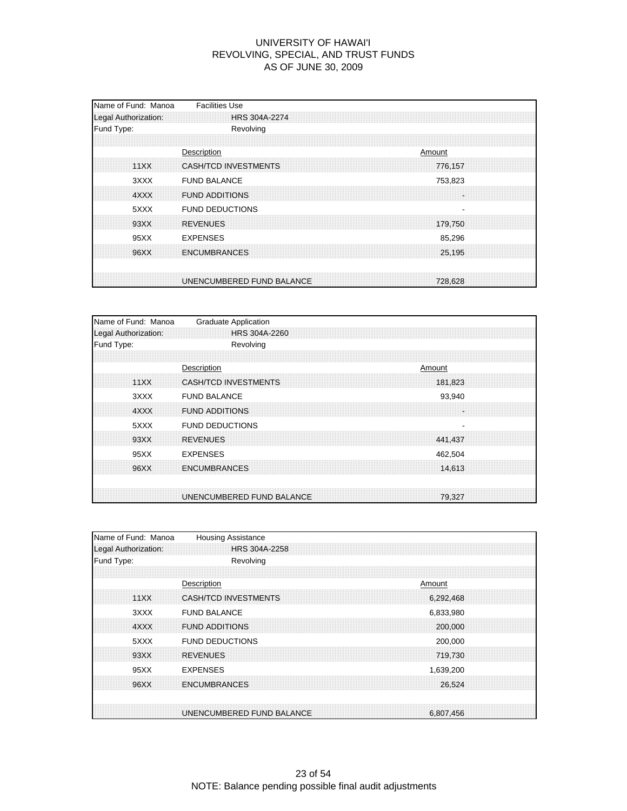| Name of Fund: Manoa<br>Legal Authorization: | <b>Facilities Use</b><br><b>HRS 304A-2274</b>              |
|---------------------------------------------|------------------------------------------------------------|
| Fund Type:                                  | Revolving                                                  |
| 11XX                                        | Description<br>Amount<br>CASH/TCD INVESTMENTS<br>776,157   |
| 3XXX<br>4XXX                                | <b>FUND BALANCE</b><br>753,823<br><b>FUND ADDITIONS</b>    |
| 5XXX<br>93XX                                | <b>FUND DEDUCTIONS</b><br><b>REVENUES</b><br>179,750       |
| 95XX<br>96XX                                | <b>EXPENSES</b><br>85,296<br><b>ENCUMBRANCES</b><br>25,195 |
|                                             |                                                            |
|                                             | UNENCUMBERED FUND BALANCE<br>728,628                       |

| Name of Fund: Manoa  | <b>Graduate Application</b>            |
|----------------------|----------------------------------------|
| Legal Authorization: | HRS 304A-2260                          |
| Fund Type:           | Revolving                              |
|                      |                                        |
|                      | Description<br>Amount                  |
| 11XX                 | <b>CASH/TCD INVESTMENTS</b><br>181,823 |
| 3XXX                 | <b>FUND BALANCE</b><br>93,940          |
| 4XXX                 | <b>FUND ADDITIONS</b>                  |
| 5XXX                 | <b>FUND DEDUCTIONS</b>                 |
| 93XX                 | <b>REVENUES</b><br>441.437             |
| 95XX                 | <b>EXPENSES</b><br>462,504             |
| 96XX                 | <b>ENCUMBRANCES</b><br>14,613          |
|                      |                                        |
|                      | UNENCUMBERED FUND BALANCE<br>79,327    |

| Name of Fund: Manoa  | <b>Housing Assistance</b> |           |
|----------------------|---------------------------|-----------|
| Legal Authorization: | HRS 304A-2258             |           |
| Fund Type:           | Revolving                 |           |
|                      |                           |           |
|                      | Description               | Amount    |
| 11XX                 | CASH/TCD INVESTMENTS      | 6,292,468 |
| 3XXX                 | <b>FUND BALANCE</b>       | 6,833,980 |
| 4XXX                 | <b>FUND ADDITIONS</b>     | 200,000   |
| 5XXX                 | <b>FUND DEDUCTIONS</b>    | 200,000   |
| 93XX                 | <b>REVENUES</b>           | 719.730   |
| 95XX                 | <b>EXPENSES</b>           | 1,639,200 |
| 96XX                 | <b>ENCUMBRANCES</b>       | 26,524    |
|                      |                           |           |
|                      | UNENCUMBERED FUND BALANCE | 6,807,456 |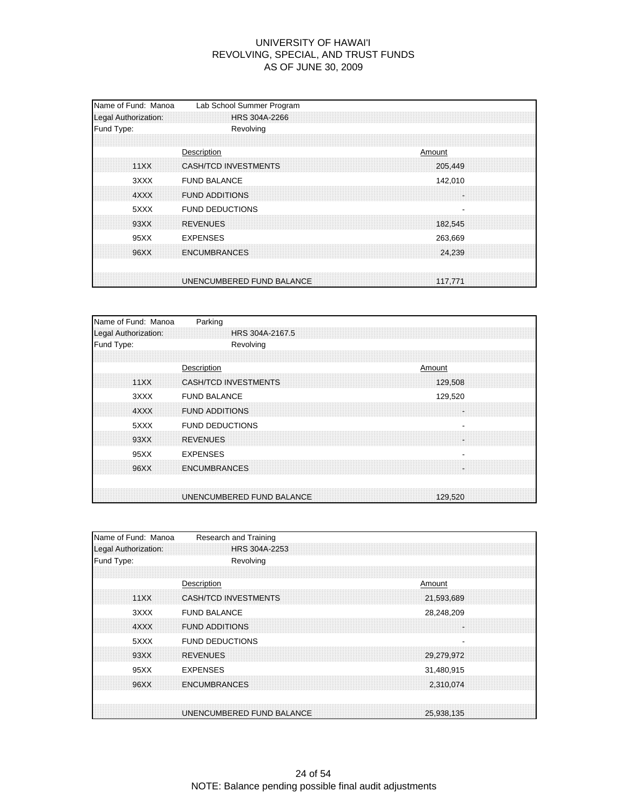| Name of Fund: Manoa<br>Legal Authorization: | Lab School Summer Program<br>HRS 304A-2266               |
|---------------------------------------------|----------------------------------------------------------|
| Fund Type:                                  | Revolving                                                |
| 11XX                                        | Description<br>Amount<br>CASH/TCD INVESTMENTS<br>205,449 |
| 3XXX<br>4XXX                                | <b>FUND BALANCE</b><br>142,010<br><b>FUND ADDITIONS</b>  |
| 5XXX<br>93XX                                | <b>FUND DEDUCTIONS</b><br><b>REVENUES</b>                |
| 95XX                                        | 182.545<br><b>EXPENSES</b><br>263,669                    |
| 96XX                                        | <b>ENCUMBRANCES</b><br>24,239                            |
|                                             | UNENCUMBERED FUND BALANCE<br>117.771                     |

| Name of Fund: Manoa  | Parking                     |         |
|----------------------|-----------------------------|---------|
| Legal Authorization: | HRS 304A-2167.5             |         |
| Fund Type:           | Revolving                   |         |
|                      |                             |         |
|                      | Description                 | Amount  |
| 11XX                 | <b>CASH/TCD INVESTMENTS</b> | 129,508 |
| 3XXX                 | <b>FUND BALANCE</b>         | 129,520 |
| 4XXX                 | <b>FUND ADDITIONS</b>       | ÷.      |
| 5XXX                 | <b>FUND DEDUCTIONS</b>      |         |
| 93XX                 | <b>REVENUES</b>             | ×       |
| 95XX                 | <b>EXPENSES</b>             |         |
| 96XX                 | <b>ENCUMBRANCES</b>         | a.      |
|                      | UNENCUMBERED FUND BALANCE   | 129.520 |

| Name of Fund: Manoa  | Research and Training       |  |            |  |
|----------------------|-----------------------------|--|------------|--|
| Legal Authorization: | HRS 304A-2253               |  |            |  |
| Fund Type:           | Revolving                   |  |            |  |
|                      |                             |  |            |  |
|                      | Description                 |  | Amount     |  |
| 11XX                 | <b>CASH/TCD INVESTMENTS</b> |  | 21.593.689 |  |
| 3XXX                 | <b>FUND BALANCE</b>         |  | 28,248,209 |  |
| 4XXX                 | <b>FUND ADDITIONS</b>       |  |            |  |
| 5XXX                 | <b>FUND DEDUCTIONS</b>      |  |            |  |
| 93XX                 | <b>REVENUES</b>             |  | 29,279,972 |  |
| 95XX                 | <b>EXPENSES</b>             |  | 31,480,915 |  |
| 96XX                 | <b>ENCUMBRANCES</b>         |  | 2,310,074  |  |
|                      |                             |  |            |  |
|                      | UNENCUMBERED FUND BALANCE   |  | 25,938,135 |  |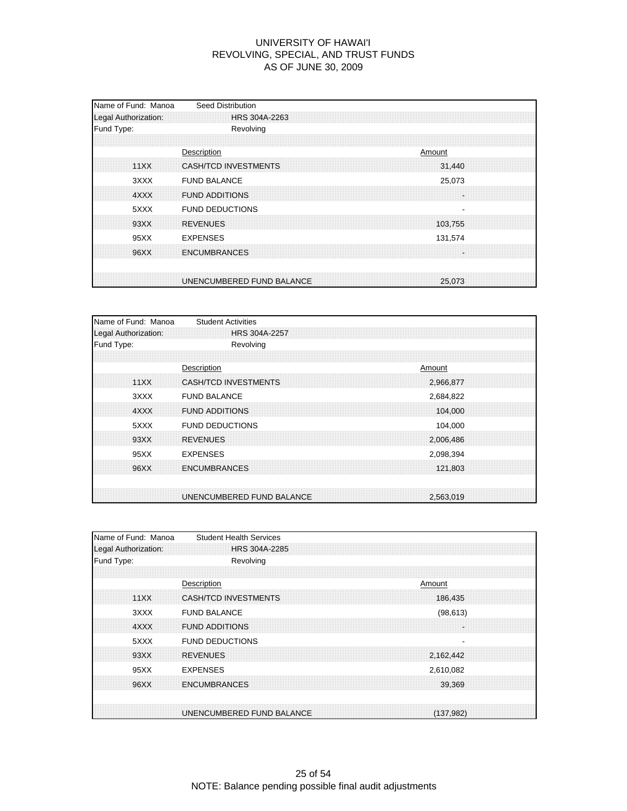| Name of Fund: Manoa<br>Legal Authorization: | <b>Seed Distribution</b><br>HRS 304A-2263               |  |
|---------------------------------------------|---------------------------------------------------------|--|
| Fund Type:                                  | Revolving                                               |  |
| 11XX                                        | Description<br>Amount<br>CASH/TCD INVESTMENTS<br>31,440 |  |
| 3XXX<br>4XXX                                | <b>FUND BALANCE</b><br>25,073<br><b>FUND ADDITIONS</b>  |  |
| 5XXX<br>93XX                                | <b>FUND DEDUCTIONS</b><br><b>REVENUES</b><br>103.755    |  |
| 95XX<br>96XX                                | <b>EXPENSES</b><br>131,574<br><b>ENCUMBRANCES</b>       |  |
|                                             | UNENCUMBERED FUND BALANCE<br>25,073                     |  |

| <b>Student Activities</b>   |                           |
|-----------------------------|---------------------------|
| <b>HRS 304A-2257</b>        |                           |
| Revolving                   |                           |
|                             |                           |
| Description                 | Amount                    |
| <b>CASH/TCD INVESTMENTS</b> | 2,966,877                 |
| <b>FUND BALANCE</b>         | 2,684,822                 |
| <b>FUND ADDITIONS</b>       | 104,000                   |
| <b>FUND DEDUCTIONS</b>      | 104,000                   |
| <b>REVENUES</b>             | 2,006,486                 |
| <b>EXPENSES</b>             | 2,098,394                 |
| <b>ENCUMBRANCES</b>         | 121,803                   |
|                             | 2.563.019                 |
|                             | UNENCUMBERED FUND BALANCE |

| Name of Fund: Manoa  | <b>Student Health Services</b> |           |  |
|----------------------|--------------------------------|-----------|--|
| Legal Authorization: | HRS 304A-2285                  |           |  |
| Fund Type:           | Revolving                      |           |  |
|                      |                                |           |  |
|                      | Description                    | Amount    |  |
| 11XX                 | CASH/TCD INVESTMENTS           | 186,435   |  |
| 3XXX                 | <b>FUND BALANCE</b>            | (98, 613) |  |
| 4XXX                 | <b>FUND ADDITIONS</b>          |           |  |
| 5XXX                 | <b>FUND DEDUCTIONS</b>         |           |  |
| 93XX                 | <b>REVENUES</b>                | 2,162,442 |  |
| 95XX                 | <b>EXPENSES</b>                | 2,610,082 |  |
| 96XX                 | <b>ENCUMBRANCES</b>            | 39,369    |  |
|                      |                                |           |  |
|                      | UNENCUMBERED FUND BALANCE      | (137.982) |  |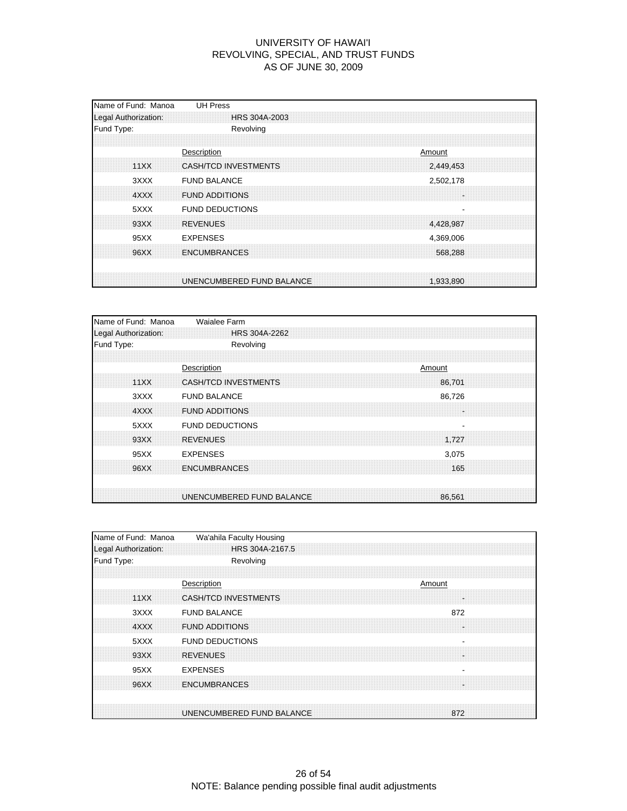| Name of Fund: Manoa<br>Legal Authorization: | <b>UH Press</b><br><b>HRS 304A-2003</b>                    |
|---------------------------------------------|------------------------------------------------------------|
| Fund Type:                                  | Revolving                                                  |
| 11XX                                        | Description<br>Amount<br>CASH/TCD INVESTMENTS<br>2,449,453 |
| 3XXX<br>4XXX                                | <b>FUND BALANCE</b><br>2,502,178<br><b>FUND ADDITIONS</b>  |
| 5XXX<br>93XX                                | <b>FUND DEDUCTIONS</b><br><b>REVENUES</b><br>4,428,987     |
| 95XX                                        | <b>EXPENSES</b><br>4,369,006<br><b>ENCUMBRANCES</b>        |
| 96XX                                        | 568,288                                                    |
|                                             | UNENCUMBERED FUND BALANCE<br>1,933,890                     |

| Name of Fund: Manoa  | Waialee Farm                          |
|----------------------|---------------------------------------|
| Legal Authorization: | HRS 304A-2262                         |
| Fund Type:           | Revolving                             |
|                      |                                       |
|                      | Description<br>Amount                 |
| 11XX                 | <b>CASH/TCD INVESTMENTS</b><br>86.701 |
| 3XXX                 | <b>FUND BALANCE</b><br>86,726         |
| 4XXX                 | <b>FUND ADDITIONS</b><br>H.           |
| 5XXX                 | <b>FUND DEDUCTIONS</b>                |
| 93XX                 | <b>REVENUES</b><br>1,727              |
| 95XX                 | <b>EXPENSES</b><br>3,075              |
| 96XX                 | <b>ENCUMBRANCES</b><br>165            |
|                      | UNENCUMBERED FUND BALANCE<br>86.561   |

| Name of Fund: Manoa  | Wa'ahila Faculty Housing                    |
|----------------------|---------------------------------------------|
| Legal Authorization: | HRS 304A-2167.5                             |
| Fund Type:           | Revolving                                   |
|                      |                                             |
|                      | Description<br>Amount                       |
| 11XX                 | CASH/TCD INVESTMENTS<br>۰,                  |
| 3XXX                 | <b>FUND BALANCE</b><br>872                  |
| 4XXX                 | <b>FUND ADDITIONS</b>                       |
| 5XXX                 | <b>FUND DEDUCTIONS</b>                      |
| 93XX                 | <b>REVENUES</b>                             |
| 95XX                 | <b>EXPENSES</b><br>$\overline{\phantom{a}}$ |
| 96XX                 | <b>ENCUMBRANCES</b>                         |
|                      |                                             |
|                      | UNENCUMBERED FUND BALANCE<br>872            |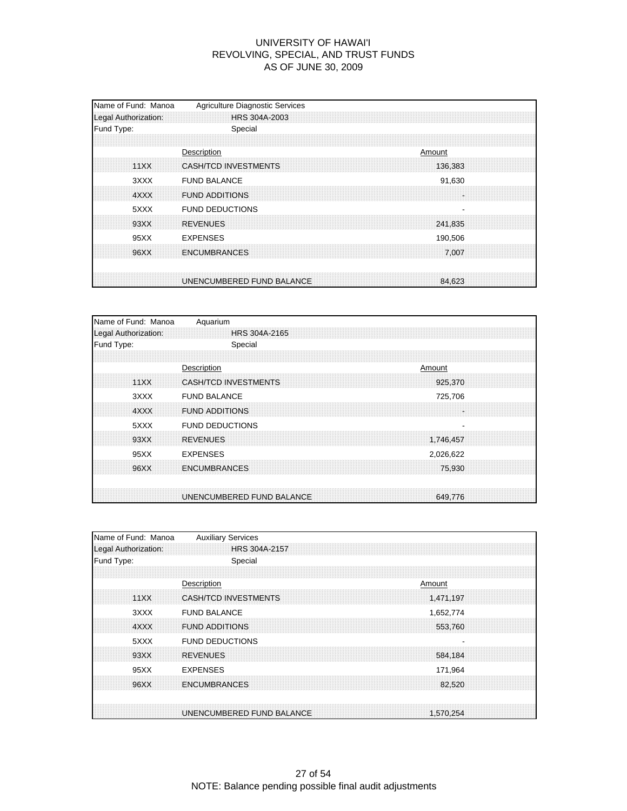| Name of Fund: Manoa<br>Legal Authorization: | Agriculture Diagnostic Services<br>HRS 304A-2003         |
|---------------------------------------------|----------------------------------------------------------|
| Fund Type:                                  | Special                                                  |
| 11XX                                        | Description<br>Amount<br>CASH/TCD INVESTMENTS<br>136,383 |
| 3XXX<br>4XXX                                | <b>FUND BALANCE</b><br>91,630<br><b>FUND ADDITIONS</b>   |
| 5XXX<br>93XX                                | <b>FUND DEDUCTIONS</b><br><b>REVENUES</b>                |
| 95XX                                        | 241,835<br><b>EXPENSES</b><br>190,506                    |
| 96XX                                        | <b>ENCUMBRANCES</b><br>7.007                             |
|                                             | UNENCUMBERED FUND BALANCE<br>84,623                      |

| Name of Fund: Manoa  | Aquarium                               |
|----------------------|----------------------------------------|
| Legal Authorization: | HRS 304A-2165                          |
| Fund Type:           | Special                                |
|                      |                                        |
|                      | Description<br>Amount                  |
| 11XX                 | <b>CASH/TCD INVESTMENTS</b><br>925,370 |
| 3XXX                 | <b>FUND BALANCE</b><br>725,706         |
| 4XXX                 | <b>FUND ADDITIONS</b><br>÷.            |
| 5XXX                 | <b>FUND DEDUCTIONS</b>                 |
| 93XX                 | <b>REVENUES</b><br>1,746,457           |
| 95XX                 | <b>EXPENSES</b><br>2,026,622           |
| 96XX                 | <b>ENCUMBRANCES</b><br>75,930          |
|                      |                                        |
|                      | UNENCUMBERED FUND BALANCE<br>649.776   |

| Name of Fund: Manoa  | <b>Auxiliary Services</b>                |
|----------------------|------------------------------------------|
| Legal Authorization: | HRS 304A-2157                            |
| Fund Type:           | Special                                  |
|                      |                                          |
|                      | Description<br>Amount                    |
| 11XX                 | <b>CASH/TCD INVESTMENTS</b><br>1,471,197 |
| 3XXX                 | <b>FUND BALANCE</b><br>1,652,774         |
| 4XXX                 | <b>FUND ADDITIONS</b><br>553,760         |
| 5XXX                 | <b>FUND DEDUCTIONS</b>                   |
| 93XX                 | <b>REVENUES</b><br>584,184               |
| 95XX                 | <b>EXPENSES</b><br>171,964               |
| 96XX                 | <b>ENCUMBRANCES</b><br>82.520            |
|                      |                                          |
|                      | UNENCUMBERED FUND BALANCE<br>1.570.254   |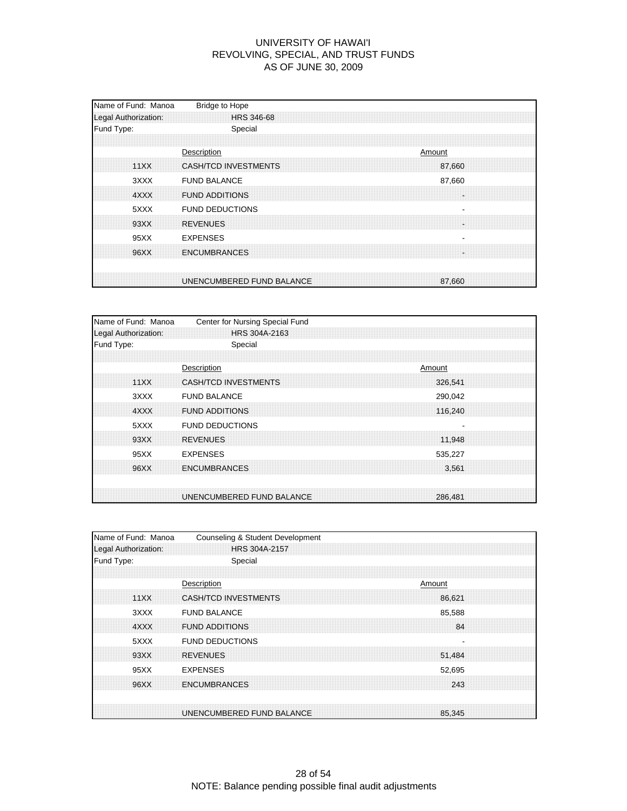| Name of Fund: Manoa<br>Legal Authorization: | <b>Bridge to Hope</b><br><b>HRS 346-68</b>                     |
|---------------------------------------------|----------------------------------------------------------------|
| Fund Type:                                  | Special                                                        |
| 11XX                                        | Description<br>Amount<br><b>CASH/TCD INVESTMENTS</b><br>87,660 |
| 3XXX<br>4XXX                                | <b>FUND BALANCE</b><br>87,660<br><b>FUND ADDITIONS</b>         |
| 5XXX<br>93XX                                | <b>FUND DEDUCTIONS</b><br><b>REVENUES</b>                      |
| 95XX<br>96XX                                | <b>EXPENSES</b><br><b>ENCUMBRANCES</b><br>u                    |
|                                             | UNENCUMBERED FUND BALANCE<br>87,660                            |

| Name of Fund: Manoa  | Center for Nursing Special Fund |  |        |         |  |
|----------------------|---------------------------------|--|--------|---------|--|
| Legal Authorization: | HRS 304A-2163                   |  |        |         |  |
| Fund Type:           | Special                         |  |        |         |  |
|                      |                                 |  |        |         |  |
|                      | Description                     |  | Amount |         |  |
| 11XX                 | <b>CASH/TCD INVESTMENTS</b>     |  |        | 326.541 |  |
| 3XXX                 | <b>FUND BALANCE</b>             |  |        | 290,042 |  |
| 4XXX                 | <b>FUND ADDITIONS</b>           |  |        | 116.240 |  |
| 5XXX                 | <b>FUND DEDUCTIONS</b>          |  |        |         |  |
| 93XX                 | <b>REVENUES</b>                 |  |        | 11,948  |  |
| 95XX                 | <b>EXPENSES</b>                 |  |        | 535,227 |  |
| 96XX                 | <b>ENCUMBRANCES</b>             |  |        | 3,561   |  |
|                      |                                 |  |        |         |  |
|                      | UNENCUMBERED FUND BALANCE       |  |        | 286,481 |  |

| Name of Fund: Manoa  | Counseling & Student Development      |
|----------------------|---------------------------------------|
| Legal Authorization: | HRS 304A-2157                         |
| Fund Type:           | Special                               |
|                      |                                       |
|                      | Description<br>Amount                 |
| 11XX                 | <b>CASH/TCD INVESTMENTS</b><br>86.621 |
| 3XXX                 | <b>FUND BALANCE</b><br>85,588         |
| 4XXX                 | <b>FUND ADDITIONS</b><br>84           |
| 5XXX                 | <b>FUND DEDUCTIONS</b>                |
| 93XX                 | <b>REVENUES</b><br>51,484             |
| 95XX                 | <b>EXPENSES</b><br>52,695             |
| 96XX                 | <b>ENCUMBRANCES</b><br>243            |
|                      |                                       |
|                      | UNENCUMBERED FUND BALANCE<br>85,345   |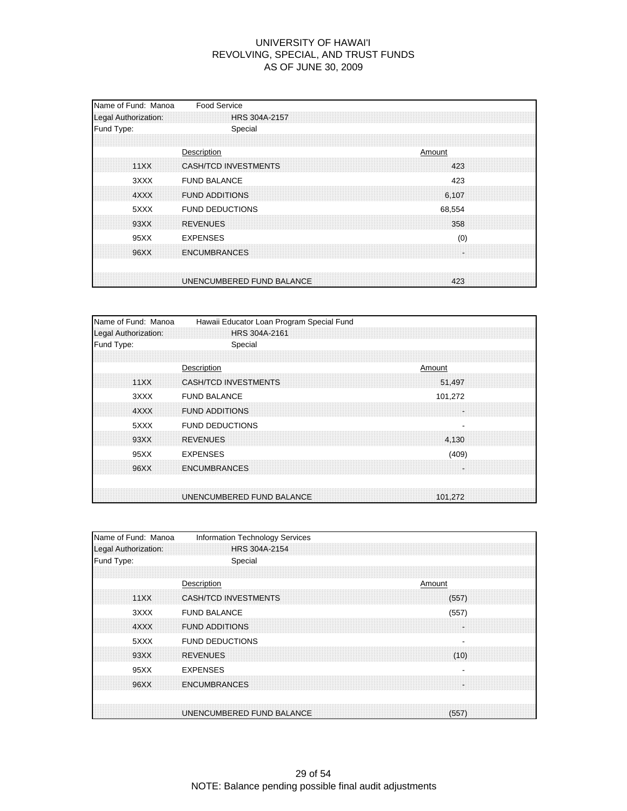| Name of Fund: Manoa<br>Legal Authorization: | <b>Food Service</b><br>HRS 304A-2157                         |
|---------------------------------------------|--------------------------------------------------------------|
| Fund Type:                                  | Special                                                      |
| 11XX                                        | Description<br>Amount<br><b>CASH/TCD INVESTMENTS</b><br>423  |
| 3XXX<br>4XXX                                | <b>FUND BALANCE</b><br>423<br><b>FUND ADDITIONS</b><br>6.107 |
| 5XXX<br>93XX                                | <b>FUND DEDUCTIONS</b><br>68,554<br><b>REVENUES</b><br>358   |
| 95XX                                        | <b>EXPENSES</b><br>(0)                                       |
| 96XX                                        | <b>ENCUMBRANCES</b><br>u,                                    |
|                                             | UNENCUMBERED FUND BALANCE<br>423                             |

| Name of Fund: Manoa  | Hawaii Educator Loan Program Special Fund |
|----------------------|-------------------------------------------|
| Legal Authorization: | HRS 304A-2161                             |
| Fund Type:           | Special                                   |
|                      |                                           |
|                      | Description<br>Amount                     |
| 11XX                 | <b>CASH/TCD INVESTMENTS</b><br>51,497     |
| 3XXX                 | <b>FUND BALANCE</b><br>101,272            |
| 4XXX                 | <b>FUND ADDITIONS</b><br>÷                |
| 5XXX                 | <b>FUND DEDUCTIONS</b>                    |
| 93XX                 | <b>REVENUES</b><br>4,130                  |
| 95XX                 | <b>EXPENSES</b><br>(409)                  |
| 96XX                 | <b>ENCUMBRANCES</b>                       |
|                      | UNENCUMBERED FUND BALANCE<br>101.272      |

| Name of Fund: Manoa  | Information Technology Services    |
|----------------------|------------------------------------|
| Legal Authorization: | HRS 304A-2154                      |
| Fund Type:           | Special                            |
|                      |                                    |
|                      | Description<br>Amount              |
| 11XX                 | CASH/TCD INVESTMENTS<br>(557)      |
| 3XXX                 | <b>FUND BALANCE</b><br>(557)       |
| 4XXX                 | <b>FUND ADDITIONS</b>              |
| 5XXX                 | <b>FUND DEDUCTIONS</b>             |
| 93XX                 | <b>REVENUES</b><br>(10)            |
| 95XX                 | <b>EXPENSES</b>                    |
| 96XX                 | <b>ENCUMBRANCES</b>                |
|                      |                                    |
|                      | UNENCUMBERED FUND BALANCE<br>(557) |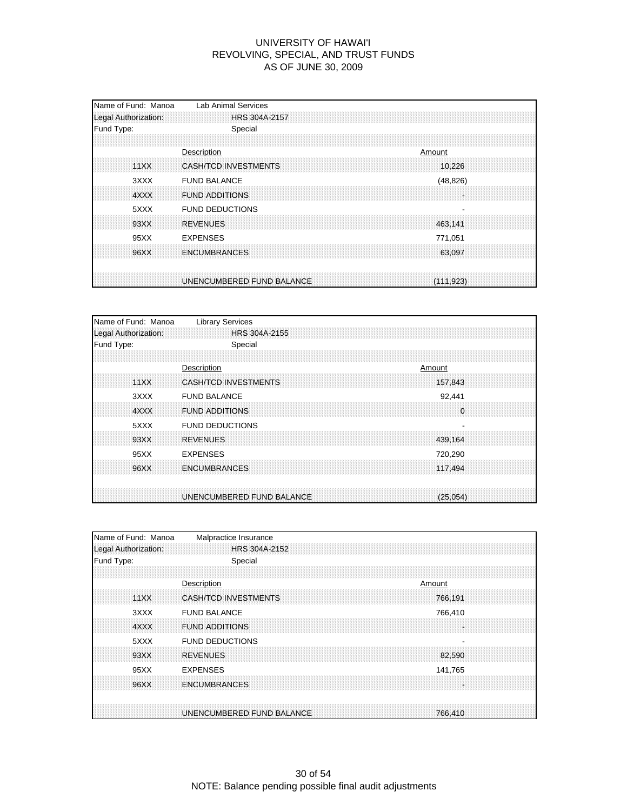| Fund Type:<br>Special<br>Description<br>11XX<br><b>CASH/TCD INVESTMENTS</b><br><b>FUND BALANCE</b><br>3XXX<br><b>FUND ADDITIONS</b><br>4XXX<br><b>FUND DEDUCTIONS</b><br>5XXX<br>93XX<br><b>REVENUES</b><br>95XX<br><b>EXPENSES</b> |                  |
|-------------------------------------------------------------------------------------------------------------------------------------------------------------------------------------------------------------------------------------|------------------|
|                                                                                                                                                                                                                                     |                  |
|                                                                                                                                                                                                                                     | Amount<br>10.226 |
|                                                                                                                                                                                                                                     | (48, 826)        |
|                                                                                                                                                                                                                                     | 463.141          |
| 96XX<br><b>ENCUMBRANCES</b>                                                                                                                                                                                                         | 771,051          |
| UNENCUMBERED FUND BALANCE                                                                                                                                                                                                           | 63,097           |

| Name of Fund: Manoa  | <b>Library Services</b>                |
|----------------------|----------------------------------------|
| Legal Authorization: | HRS 304A-2155                          |
| Fund Type:           | Special                                |
|                      |                                        |
|                      | Description<br>Amount                  |
| 11XX                 | <b>CASH/TCD INVESTMENTS</b><br>157,843 |
| 3XXX                 | <b>FUND BALANCE</b><br>92,441          |
| 4XXX                 | <b>FUND ADDITIONS</b><br>0             |
| 5XXX                 | <b>FUND DEDUCTIONS</b>                 |
| 93XX                 | <b>REVENUES</b><br>439,164             |
| 95XX                 | <b>EXPENSES</b><br>720,290             |
| 96XX                 | <b>ENCUMBRANCES</b><br>117,494         |
|                      | UNENCUMBERED FUND BALANCE<br>(25,054)  |

| Name of Fund: Manoa  | Malpractice Insurance                |  |
|----------------------|--------------------------------------|--|
| Legal Authorization: | HRS 304A-2152                        |  |
| Fund Type:           | Special                              |  |
|                      |                                      |  |
|                      | Description<br>Amount                |  |
| 11XX                 | CASH/TCD INVESTMENTS<br>766.191      |  |
| 3XXX                 | <b>FUND BALANCE</b><br>766,410       |  |
| 4XXX                 | <b>FUND ADDITIONS</b>                |  |
| 5XXX                 | <b>FUND DEDUCTIONS</b>               |  |
| 93XX                 | <b>REVENUES</b><br>82,590            |  |
| 95XX                 | <b>EXPENSES</b><br>141,765           |  |
| 96XX                 | <b>ENCUMBRANCES</b>                  |  |
|                      |                                      |  |
|                      | UNENCUMBERED FUND BALANCE<br>766,410 |  |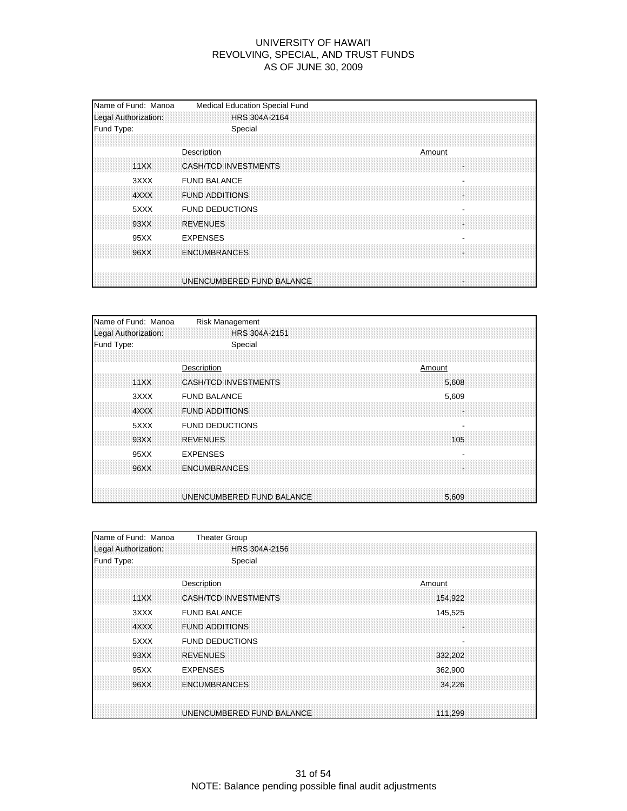| Name of Fund: Manoa<br>Legal Authorization: | Medical Education Special Fund<br><b>HRS 304A-2164</b> |
|---------------------------------------------|--------------------------------------------------------|
| Fund Type:                                  | Special                                                |
| 11XX                                        | Description<br>Amount<br>CASH/TCD INVESTMENTS          |
| 3XXX<br>4XXX                                | <b>FUND BALANCE</b><br><b>FUND ADDITIONS</b>           |
| 5XXX<br>93XX                                | <b>FUND DEDUCTIONS</b><br><b>REVENUES</b>              |
| 95XX                                        | <b>EXPENSES</b>                                        |
| 96XX                                        | <b>ENCUMBRANCES</b>                                    |
|                                             | UNENCUMBERED FUND BALANCE                              |

| Name of Fund: Manoa  | <b>Risk Management</b>               |
|----------------------|--------------------------------------|
| Legal Authorization: | HRS 304A-2151                        |
| Fund Type:           | Special                              |
|                      |                                      |
|                      | Description<br>Amount                |
| 11XX                 | <b>CASH/TCD INVESTMENTS</b><br>5,608 |
| 3XXX                 | <b>FUND BALANCE</b><br>5,609         |
| 4XXX                 | <b>FUND ADDITIONS</b><br>÷.          |
| 5XXX                 | <b>FUND DEDUCTIONS</b><br>۰          |
| 93XX                 | <b>REVENUES</b><br>105               |
| 95XX                 | <b>EXPENSES</b>                      |
| 96XX                 | <b>ENCUMBRANCES</b>                  |
|                      |                                      |
|                      | UNENCUMBERED FUND BALANCE<br>5,609   |

| Name of Fund: Manoa  | <b>Theater Group</b>      |  |         |  |
|----------------------|---------------------------|--|---------|--|
| Legal Authorization: | HRS 304A-2156             |  |         |  |
| Fund Type:           | Special                   |  |         |  |
|                      |                           |  |         |  |
|                      | Description               |  | Amount  |  |
| 11XX                 | CASH/TCD INVESTMENTS      |  | 154,922 |  |
| 3XXX                 | <b>FUND BALANCE</b>       |  | 145,525 |  |
| 4XXX                 | <b>FUND ADDITIONS</b>     |  |         |  |
| 5XXX                 | <b>FUND DEDUCTIONS</b>    |  |         |  |
| 93XX                 | <b>REVENUES</b>           |  | 332,202 |  |
| 95XX                 | <b>EXPENSES</b>           |  | 362,900 |  |
| 96XX                 | <b>ENCUMBRANCES</b>       |  | 34,226  |  |
|                      |                           |  |         |  |
|                      | UNENCUMBERED FUND BALANCE |  | 111,299 |  |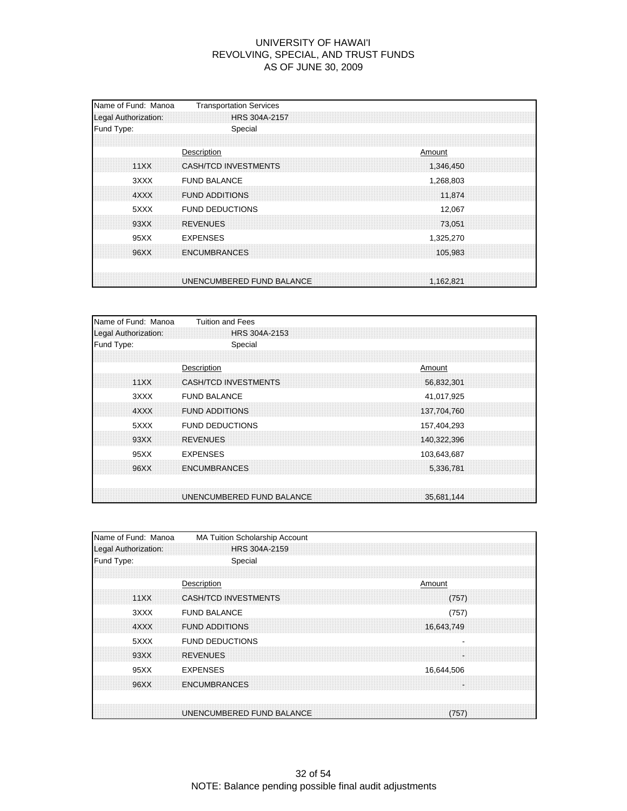| Name of Fund: Manoa<br>Legal Authorization: | <b>Transportation Services</b><br>HRS 304A-2157 |  |        |                     |  |
|---------------------------------------------|-------------------------------------------------|--|--------|---------------------|--|
| Fund Type:                                  | Special                                         |  |        |                     |  |
| 11XX                                        | Description<br>CASH/TCD INVESTMENTS             |  | Amount | 1,346,450           |  |
| 3XXX<br>4XXX                                | <b>FUND BALANCE</b><br><b>FUND ADDITIONS</b>    |  |        | 1,268,803<br>11.874 |  |
| 5XXX<br>93XX                                | <b>FUND DEDUCTIONS</b><br><b>REVENUES</b>       |  |        | 12,067<br>73.051    |  |
| 95XX<br>96XX                                | <b>EXPENSES</b><br><b>ENCUMBRANCES</b>          |  |        | 1,325,270           |  |
|                                             |                                                 |  |        | 105,983             |  |
|                                             | UNENCUMBERED FUND BALANCE                       |  |        | 1.162.821           |  |

| Name of Fund: Manoa  | <b>Tuition and Fees</b>     |  |             |  |
|----------------------|-----------------------------|--|-------------|--|
| Legal Authorization: | HRS 304A-2153               |  |             |  |
| Fund Type:           | Special                     |  |             |  |
|                      |                             |  |             |  |
|                      | Description                 |  | Amount      |  |
| 11XX                 | <b>CASH/TCD INVESTMENTS</b> |  | 56,832,301  |  |
| 3XXX                 | <b>FUND BALANCE</b>         |  | 41,017,925  |  |
| 4XXX                 | <b>FUND ADDITIONS</b>       |  | 137.704.760 |  |
| 5XXX                 | <b>FUND DEDUCTIONS</b>      |  | 157,404,293 |  |
| 93XX                 | <b>REVENUES</b>             |  | 140,322,396 |  |
| 95XX                 | <b>EXPENSES</b>             |  | 103,643,687 |  |
| 96XX                 | <b>ENCUMBRANCES</b>         |  | 5,336,781   |  |
|                      | UNENCUMBERED FUND BALANCE   |  | 35,681,144  |  |

| Name of Fund: Manoa  | MA Tuition Scholarship Account       |
|----------------------|--------------------------------------|
| Legal Authorization: | HRS 304A-2159                        |
| Fund Type:           | Special                              |
|                      |                                      |
|                      | Description<br>Amount                |
| 11XX                 | <b>CASH/TCD INVESTMENTS</b><br>(757) |
| 3XXX                 | <b>FUND BALANCE</b><br>(757)         |
| 4XXX                 | <b>FUND ADDITIONS</b><br>16,643,749  |
| 5XXX                 | <b>FUND DEDUCTIONS</b>               |
| 93XX                 | <b>REVENUES</b>                      |
| 95XX                 | <b>EXPENSES</b><br>16,644,506        |
| 96XX                 | <b>ENCUMBRANCES</b>                  |
|                      |                                      |
|                      | UNENCUMBERED FUND BALANCE<br>(757)   |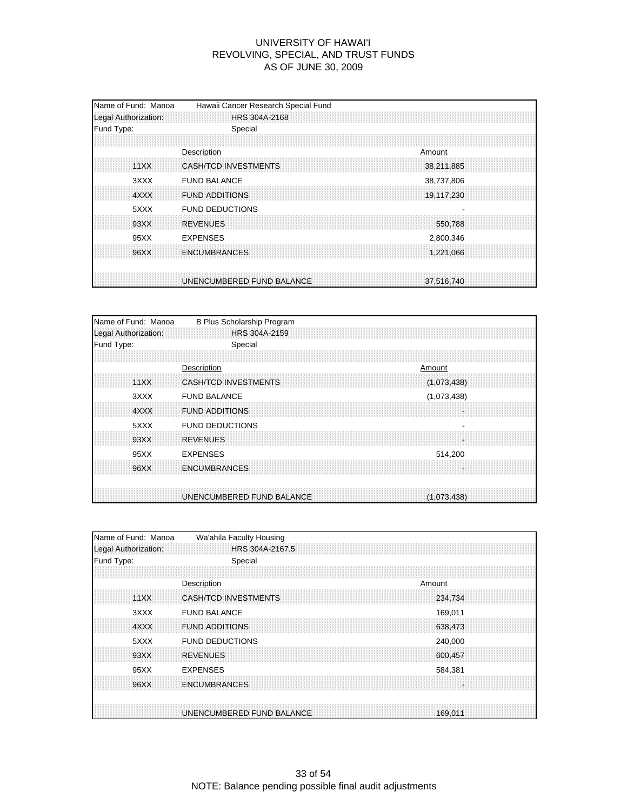| Name of Fund: Manoa<br>Legal Authorization: | Hawaii Cancer Research Special Fund<br>HRS 304A-2168                     |
|---------------------------------------------|--------------------------------------------------------------------------|
| Fund Type:                                  | Special                                                                  |
| 11XX                                        | Description<br>Amount<br><b>CASH/TCD INVESTMENTS</b><br>38,211,885       |
| 3XXX<br>4XXX                                | <b>FUND BALANCE</b><br>38,737,806<br><b>FUND ADDITIONS</b><br>19,117,230 |
| 5XXX<br>93XX                                | <b>FUND DEDUCTIONS</b><br><b>REVENUES</b>                                |
| 95XX                                        | 550.788<br><b>EXPENSES</b><br>2,800,346                                  |
| 96XX                                        | <b>ENCUMBRANCES</b><br>1,221,066                                         |
|                                             | UNENCUMBERED FUND BALANCE<br>37.516.740                                  |

| Name of Fund: Manoa  | B Plus Scholarship Program  |  |        |             |  |
|----------------------|-----------------------------|--|--------|-------------|--|
| Legal Authorization: | HRS 304A-2159               |  |        |             |  |
| Fund Type:           | Special                     |  |        |             |  |
|                      |                             |  |        |             |  |
|                      | Description                 |  | Amount |             |  |
| 11XX                 | <b>CASH/TCD INVESTMENTS</b> |  |        | (1,073,438) |  |
| 3XXX                 | <b>FUND BALANCE</b>         |  |        | (1,073,438) |  |
| 4XXX                 | <b>FUND ADDITIONS</b>       |  |        | ÷.          |  |
| 5XXX                 | <b>FUND DEDUCTIONS</b>      |  |        |             |  |
| 93XX                 | <b>REVENUES</b>             |  |        | ÷.          |  |
| 95XX                 | <b>EXPENSES</b>             |  |        | 514,200     |  |
| 96XX                 | <b>ENCUMBRANCES</b>         |  |        |             |  |
|                      | UNENCUMBERED FUND BALANCE   |  |        | (1,073,438) |  |

| Name of Fund: Manoa  | Wa'ahila Faculty Housing               |
|----------------------|----------------------------------------|
| Legal Authorization: | HRS 304A-2167.5                        |
| Fund Type:           | Special                                |
|                      |                                        |
|                      | Description<br>Amount                  |
| 11XX                 | <b>CASH/TCD INVESTMENTS</b><br>234,734 |
| 3XXX                 | <b>FUND BALANCE</b><br>169,011         |
| 4XXX                 | <b>FUND ADDITIONS</b><br>638,473       |
| 5XXX                 | <b>FUND DEDUCTIONS</b><br>240,000      |
| 93XX                 | <b>REVENUES</b><br>600.457             |
| 95XX                 | <b>EXPENSES</b><br>584,381             |
| 96XX                 | <b>ENCUMBRANCES</b>                    |
|                      |                                        |
|                      | UNENCUMBERED FUND BALANCE<br>169,011   |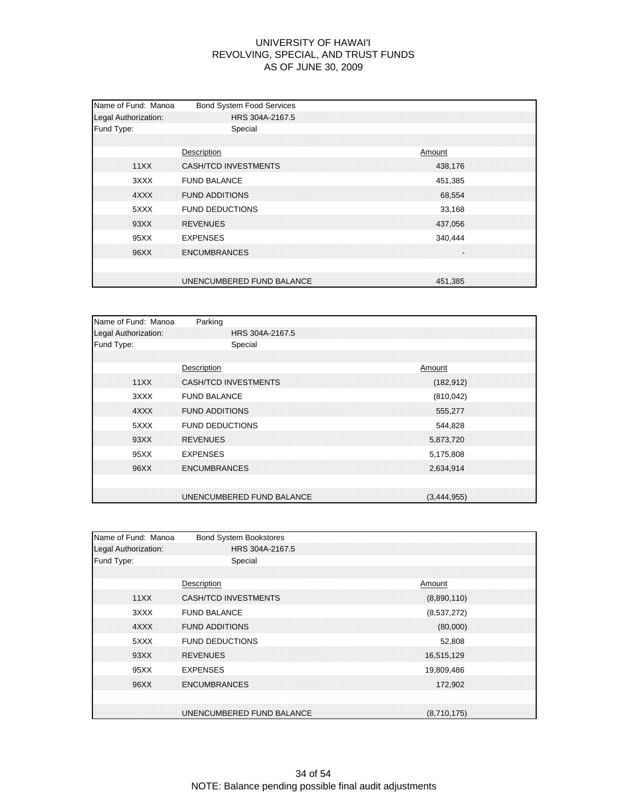| Name of Fund: Manoa<br>Legal Authorization: | <b>Bond System Food Services</b><br>HRS 304A-2167.5               |
|---------------------------------------------|-------------------------------------------------------------------|
| Fund Type:                                  | Special                                                           |
| 11XX                                        | Description<br>Amount<br>CASH/TCD INVESTMENTS<br>438,176          |
| 3XXX<br>4XXX                                | <b>FUND BALANCE</b><br>451,385<br><b>FUND ADDITIONS</b><br>68,554 |
| 5XXX<br>93XX                                | <b>FUND DEDUCTIONS</b><br>33,168<br><b>REVENUES</b><br>437,056    |
| 95XX<br>96XX                                | <b>EXPENSES</b><br>340,444<br><b>ENCUMBRANCES</b>                 |
|                                             | UNENCUMBERED FUND BALANCE<br>451,385                              |

| Name of Fund: Manoa  | Parking                     |                 |
|----------------------|-----------------------------|-----------------|
| Legal Authorization: |                             | HRS 304A-2167.5 |
| Fund Type:           | Special                     |                 |
|                      |                             |                 |
|                      | Description                 | Amount          |
| 11XX                 | <b>CASH/TCD INVESTMENTS</b> | (182, 912)      |
| 3XXX                 | <b>FUND BALANCE</b>         | (810, 042)      |
| 4XXX                 | <b>FUND ADDITIONS</b>       | 555.277         |
| 5XXX                 | <b>FUND DEDUCTIONS</b>      | 544,828         |
| 93XX                 | <b>REVENUES</b>             | 5,873,720       |
| 95XX                 | <b>EXPENSES</b>             | 5,175,808       |
| 96XX                 | <b>ENCUMBRANCES</b>         | 2,634,914       |
|                      |                             |                 |
|                      | UNENCUMBERED FUND BALANCE   | (3,444,955)     |

| Name of Fund: Manoa  | <b>Bond System Bookstores</b> |             |  |
|----------------------|-------------------------------|-------------|--|
| Legal Authorization: | HRS 304A-2167.5               |             |  |
| Fund Type:           | Special                       |             |  |
|                      |                               |             |  |
|                      | Description                   | Amount      |  |
| 11XX                 | CASH/TCD INVESTMENTS          | (8,890,110) |  |
| 3XXX                 | <b>FUND BALANCE</b>           | (8,537,272) |  |
| 4XXX                 | <b>FUND ADDITIONS</b>         | (80,000)    |  |
| 5XXX                 | <b>FUND DEDUCTIONS</b>        | 52,808      |  |
| 93XX                 | <b>REVENUES</b>               | 16,515,129  |  |
| 95XX                 | <b>EXPENSES</b>               | 19,809,486  |  |
| 96XX                 | <b>ENCUMBRANCES</b>           | 172,902     |  |
|                      |                               |             |  |
|                      | UNENCUMBERED FUND BALANCE     | (8,710,175) |  |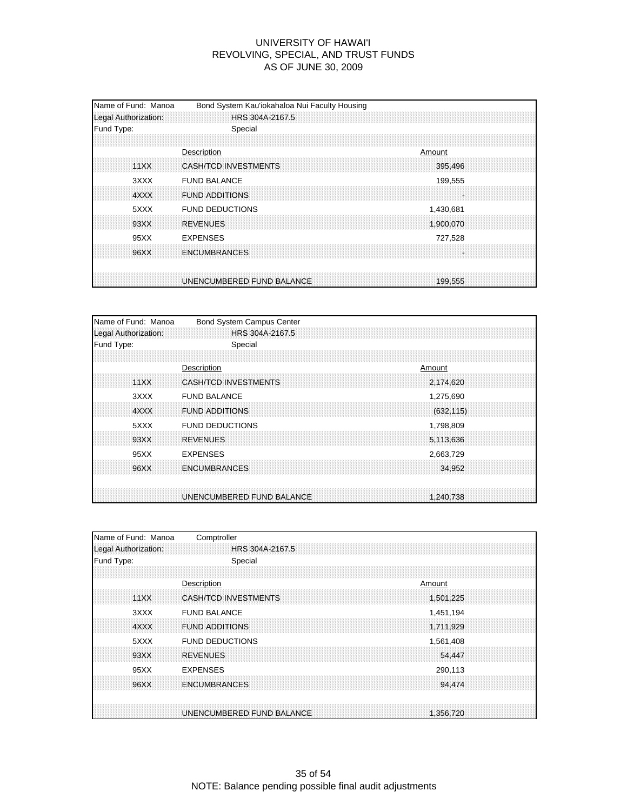| Name of Fund: Manoa<br>Legal Authorization: | Bond System Kau'iokahaloa Nui Faculty Housing<br>HRS 304A-2167.5 |
|---------------------------------------------|------------------------------------------------------------------|
| Fund Type:                                  | Special                                                          |
| 11XX                                        | Description<br>Amount<br>CASH/TCD INVESTMENTS<br>395,496         |
| 3XXX<br>4XXX                                | <b>FUND BALANCE</b><br>199,555<br><b>FUND ADDITIONS</b>          |
| 5XXX<br>93XX                                | <b>FUND DEDUCTIONS</b><br>1,430,681<br><b>REVENUES</b>           |
| 95XX                                        | 1,900,070<br><b>EXPENSES</b><br>727,528                          |
| 96XX                                        | <b>ENCUMBRANCES</b>                                              |
|                                             | UNENCUMBERED FUND BALANCE<br>199.555                             |

| Name of Fund: Manoa  | Bond System Campus Center   |  |            |  |
|----------------------|-----------------------------|--|------------|--|
| Legal Authorization: | HRS 304A-2167.5             |  |            |  |
| Fund Type:           | Special                     |  |            |  |
|                      |                             |  |            |  |
|                      | Description                 |  | Amount     |  |
| 11XX                 | <b>CASH/TCD INVESTMENTS</b> |  | 2,174,620  |  |
| 3XXX                 | <b>FUND BALANCE</b>         |  | 1,275,690  |  |
| 4XXX                 | <b>FUND ADDITIONS</b>       |  | (632, 115) |  |
| 5XXX                 | <b>FUND DEDUCTIONS</b>      |  | 1,798,809  |  |
| 93XX                 | <b>REVENUES</b>             |  | 5,113,636  |  |
| 95XX                 | <b>EXPENSES</b>             |  | 2,663,729  |  |
| 96XX                 | <b>ENCUMBRANCES</b>         |  | 34,952     |  |
|                      |                             |  |            |  |
|                      | UNENCUMBERED FUND BALANCE   |  | 1,240,738  |  |

| Name of Fund: Manoa  | Comptroller               |           |  |
|----------------------|---------------------------|-----------|--|
| Legal Authorization: | HRS 304A-2167.5           |           |  |
| Fund Type:           | Special                   |           |  |
|                      |                           |           |  |
|                      | Description               | Amount    |  |
| 11XX                 | CASH/TCD INVESTMENTS      | 1,501,225 |  |
| 3XXX                 | <b>FUND BALANCE</b>       | 1,451,194 |  |
| 4XXX                 | <b>FUND ADDITIONS</b>     | 1,711,929 |  |
| 5XXX                 | <b>FUND DEDUCTIONS</b>    | 1,561,408 |  |
| 93XX                 | <b>REVENUES</b>           | 54,447    |  |
| 95XX                 | <b>EXPENSES</b>           | 290,113   |  |
| 96XX                 | <b>ENCUMBRANCES</b>       | 94,474    |  |
|                      |                           |           |  |
|                      | UNENCUMBERED FUND BALANCE | 1.356.720 |  |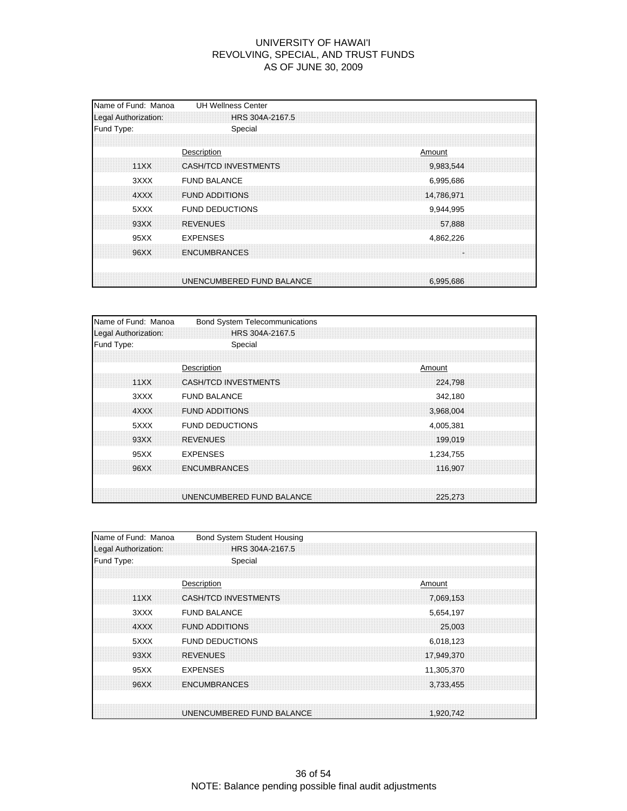| Name of Fund: Manoa<br>Legal Authorization: | <b>UH Wellness Center</b><br>HRS 304A-2167.5                            |
|---------------------------------------------|-------------------------------------------------------------------------|
| Fund Type:                                  | Special                                                                 |
| 11XX                                        | Description<br>Amount<br>CASH/TCD INVESTMENTS<br>9,983,544              |
| 3XXX<br>4XXX                                | <b>FUND BALANCE</b><br>6,995,686<br><b>FUND ADDITIONS</b><br>14,786,971 |
| 5XXX<br>93XX                                | <b>FUND DEDUCTIONS</b><br>9,944,995<br><b>REVENUES</b><br>57,888        |
| 95XX                                        | <b>EXPENSES</b><br>4,862,226                                            |
| 96XX                                        | <b>ENCUMBRANCES</b>                                                     |
|                                             | UNENCUMBERED FUND BALANCE<br>6.995.686                                  |

| Name of Fund: Manoa  | <b>Bond System Telecommunications</b> |           |
|----------------------|---------------------------------------|-----------|
| Legal Authorization: | HRS 304A-2167.5                       |           |
| Fund Type:           | Special                               |           |
|                      |                                       |           |
|                      | Description                           | Amount    |
| 11XX                 | <b>CASH/TCD INVESTMENTS</b>           | 224.798   |
| 3XXX                 | <b>FUND BALANCE</b>                   | 342,180   |
| 4XXX                 | <b>FUND ADDITIONS</b>                 | 3,968,004 |
| 5XXX                 | <b>FUND DEDUCTIONS</b>                | 4,005,381 |
| 93XX                 | <b>REVENUES</b>                       | 199,019   |
| 95XX                 | <b>EXPENSES</b>                       | 1,234,755 |
| 96XX                 | <b>ENCUMBRANCES</b>                   | 116.907   |
|                      |                                       |           |
|                      | UNENCUMBERED FUND BALANCE             | 225.273   |

| Name of Fund: Manoa  | <b>Bond System Student Housing</b> |            |  |
|----------------------|------------------------------------|------------|--|
| Legal Authorization: | HRS 304A-2167.5                    |            |  |
| Fund Type:           | Special                            |            |  |
|                      |                                    |            |  |
|                      | Description                        | Amount     |  |
| 11XX                 | CASH/TCD INVESTMENTS               | 7.069.153  |  |
| 3XXX                 | <b>FUND BALANCE</b>                | 5,654,197  |  |
| 4XXX                 | <b>FUND ADDITIONS</b>              | 25,003     |  |
| 5XXX                 | <b>FUND DEDUCTIONS</b>             | 6,018,123  |  |
| 93XX                 | <b>REVENUES</b>                    | 17,949,370 |  |
| 95XX                 | <b>EXPENSES</b>                    | 11,305,370 |  |
| 96XX                 | <b>ENCUMBRANCES</b>                | 3.733.455  |  |
|                      |                                    |            |  |
|                      | UNENCUMBERED FUND BALANCE          | 1,920,742  |  |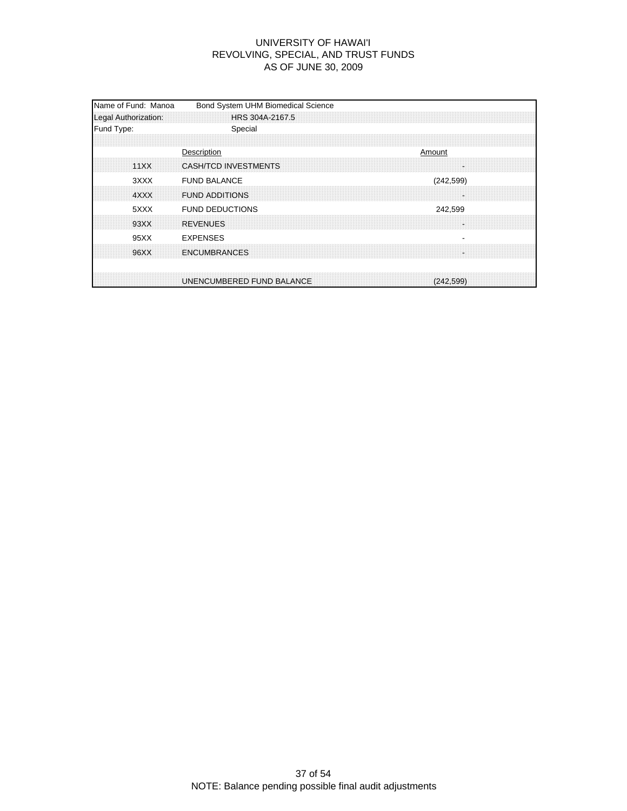| Name of Fund: Manoa<br>Bond System UHM Biomedical Science<br>HRS 304A-2167.5 |
|------------------------------------------------------------------------------|
| Special                                                                      |
| Description<br>Amount<br>CASH/TCD INVESTMENTS                                |
| <b>FUND BALANCE</b><br>(242, 599)<br><b>FUND ADDITIONS</b>                   |
| <b>FUND DEDUCTIONS</b><br>242,599<br><b>REVENUES</b>                         |
| <b>EXPENSES</b><br><b>ENCUMBRANCES</b>                                       |
| UNENCUMBERED FUND BALANCE<br>(242, 599)                                      |
|                                                                              |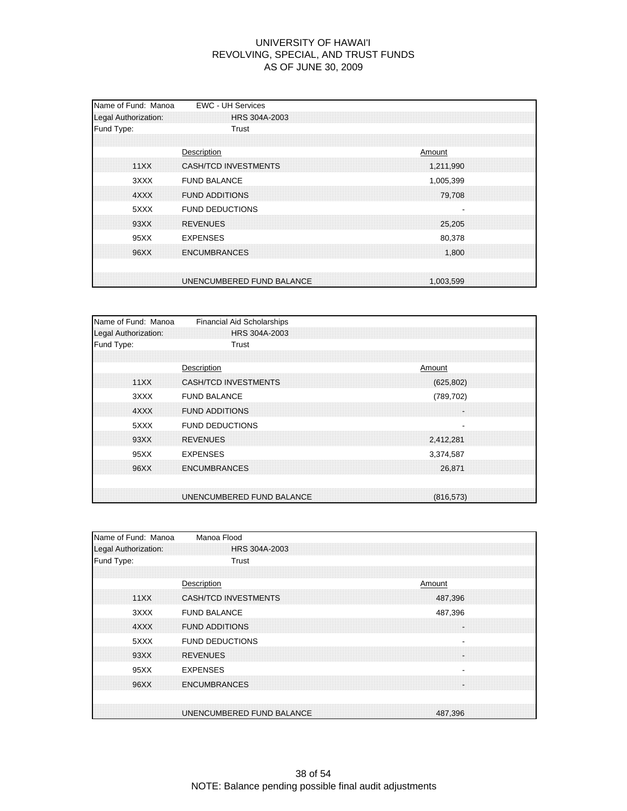| Name of Fund: Manoa<br>Legal Authorization: | <b>EWC - UH Services</b><br>HRS 304A-2003                           |
|---------------------------------------------|---------------------------------------------------------------------|
| Fund Type:                                  | Trust                                                               |
| 11XX                                        | Description<br>Amount<br>CASH/TCD INVESTMENTS<br>1,211,990          |
| 3XXX<br>4XXX                                | <b>FUND BALANCE</b><br>1,005,399<br><b>FUND ADDITIONS</b><br>79,708 |
| 5XXX<br>93XX                                | <b>FUND DEDUCTIONS</b><br><b>REVENUES</b><br>25,205                 |
| 95XX                                        | <b>EXPENSES</b><br>80,378                                           |
| 96XX                                        | <b>ENCUMBRANCES</b><br>1,800                                        |
|                                             | UNENCUMBERED FUND BALANCE<br>1.003.599                              |

| Name of Fund: Manoa  | <b>Financial Aid Scholarships</b>         |
|----------------------|-------------------------------------------|
| Legal Authorization: | HRS 304A-2003                             |
| Fund Type:           | Trust                                     |
|                      |                                           |
|                      | Description<br>Amount                     |
| 11XX                 | <b>CASH/TCD INVESTMENTS</b><br>(625, 802) |
| 3XXX                 | <b>FUND BALANCE</b><br>(789, 702)         |
| 4XXX                 | <b>FUND ADDITIONS</b><br>÷.               |
| 5XXX                 | <b>FUND DEDUCTIONS</b>                    |
| 93XX                 | <b>REVENUES</b><br>2,412,281              |
| 95XX                 | <b>EXPENSES</b><br>3,374,587              |
| 96XX                 | <b>ENCUMBRANCES</b><br>26.871             |
|                      |                                           |
|                      | UNENCUMBERED FUND BALANCE<br>(816, 573)   |

| Name of Fund: Manoa  | Manoa Flood                            |
|----------------------|----------------------------------------|
| Legal Authorization: | HRS 304A-2003                          |
| Fund Type:           | Trust                                  |
|                      |                                        |
|                      | Description<br>Amount                  |
| 11XX                 | <b>CASH/TCD INVESTMENTS</b><br>487.396 |
| 3XXX                 | <b>FUND BALANCE</b><br>487,396         |
| 4XXX                 | <b>FUND ADDITIONS</b>                  |
| 5XXX                 | <b>FUND DEDUCTIONS</b><br>۰            |
| 93XX                 | <b>REVENUES</b>                        |
| 95XX                 | <b>EXPENSES</b>                        |
| 96XX                 | <b>ENCUMBRANCES</b>                    |
|                      |                                        |
|                      | UNENCUMBERED FUND BALANCE<br>487,396   |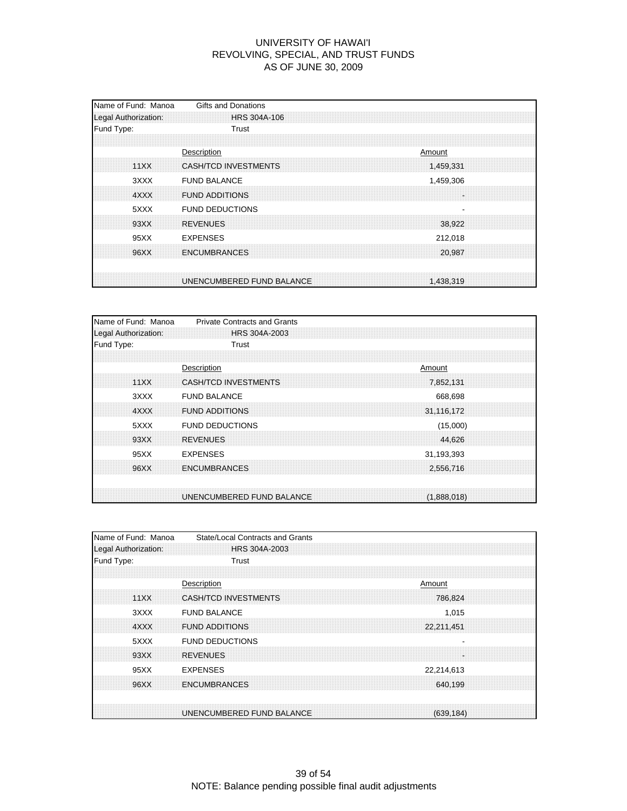| Name of Fund: Manoa<br>Legal Authorization: | Gifts and Donations<br>HRS 304A-106                         |
|---------------------------------------------|-------------------------------------------------------------|
| Fund Type:                                  | Trust                                                       |
| 11XX                                        | Description<br>Amount<br>CASH/TCD INVESTMENTS<br>1,459,331  |
| 3XXX                                        | <b>FUND BALANCE</b><br>1,459,306                            |
| 4XXX<br>5XXX                                | <b>FUND ADDITIONS</b><br>×.<br><b>FUND DEDUCTIONS</b>       |
| 93XX                                        | <b>REVENUES</b><br>38.922                                   |
| 95XX<br>96XX                                | <b>EXPENSES</b><br>212,018<br><b>ENCUMBRANCES</b><br>20,987 |
|                                             | UNENCUMBERED FUND BALANCE<br>1,438,319                      |

| Name of Fund: Manoa  | <b>Private Contracts and Grants</b> |  |             |  |
|----------------------|-------------------------------------|--|-------------|--|
| Legal Authorization: | HRS 304A-2003                       |  |             |  |
| Fund Type:           | Trust                               |  |             |  |
|                      |                                     |  |             |  |
|                      | Description                         |  | Amount      |  |
| 11XX                 | <b>CASH/TCD INVESTMENTS</b>         |  | 7,852,131   |  |
| 3XXX                 | <b>FUND BALANCE</b>                 |  | 668,698     |  |
| 4XXX                 | <b>FUND ADDITIONS</b>               |  | 31,116,172  |  |
| 5XXX                 | <b>FUND DEDUCTIONS</b>              |  | (15,000)    |  |
| 93XX                 | <b>REVENUES</b>                     |  | 44,626      |  |
| 95XX                 | <b>EXPENSES</b>                     |  | 31,193,393  |  |
| 96XX                 | <b>ENCUMBRANCES</b>                 |  | 2,556,716   |  |
|                      |                                     |  |             |  |
|                      | UNENCUMBERED FUND BALANCE           |  | (1,888,018) |  |

| Name of Fund: Manoa  | State/Local Contracts and Grants |            |
|----------------------|----------------------------------|------------|
| Legal Authorization: | HRS 304A-2003                    |            |
| Fund Type:           | Trust                            |            |
|                      |                                  |            |
|                      | Description                      | Amount     |
| 11XX                 | CASH/TCD INVESTMENTS             | 786,824    |
| 3XXX                 | <b>FUND BALANCE</b>              | 1,015      |
| 4XXX                 | <b>FUND ADDITIONS</b>            | 22,211,451 |
| 5XXX                 | <b>FUND DEDUCTIONS</b>           |            |
| 93XX                 | <b>REVENUES</b>                  |            |
| 95XX                 | <b>EXPENSES</b>                  | 22,214,613 |
| 96XX                 | <b>ENCUMBRANCES</b>              | 640.199    |
|                      |                                  |            |
|                      | UNENCUMBERED FUND BALANCE        | (639.184)  |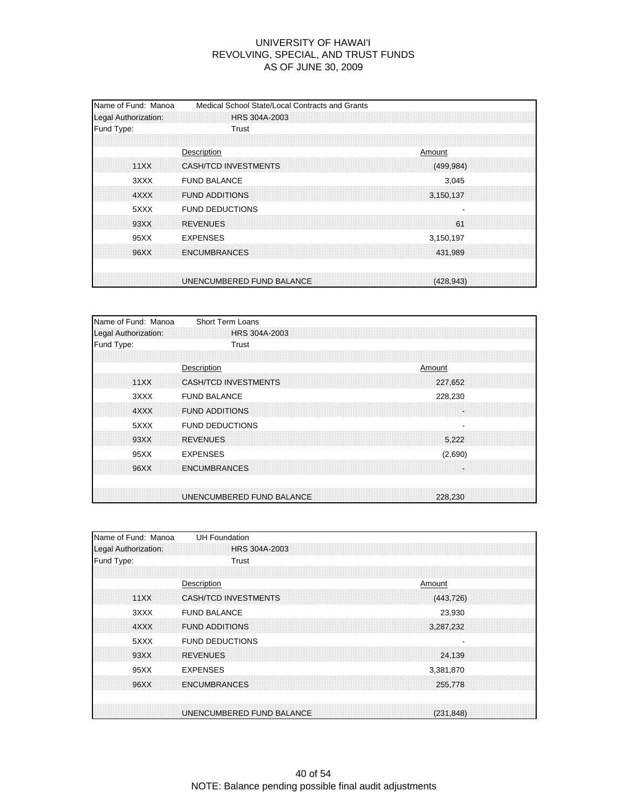| Name of Fund: Manoa<br>Legal Authorization: | Medical School State/Local Contracts and Grants<br>HRS 304A-2003   |
|---------------------------------------------|--------------------------------------------------------------------|
| Fund Type:                                  | Trust                                                              |
| 11XX                                        | Description<br>Amount<br>CASH/TCD INVESTMENTS<br>(499, 984)        |
| 3XXX<br>4XXX                                | <b>FUND BALANCE</b><br>3,045<br><b>FUND ADDITIONS</b><br>3,150,137 |
| 5XXX                                        | <b>FUND DEDUCTIONS</b>                                             |
| 93XX<br>95XX                                | <b>REVENUES</b><br>61<br><b>EXPENSES</b><br>3,150,197              |
| 96XX                                        | <b>ENCUMBRANCES</b><br>431,989                                     |
|                                             | UNENCUMBERED FUND BALANCE<br>(428.943)                             |

| Name of Fund: Manoa  | Short Term Loans                       |
|----------------------|----------------------------------------|
| Legal Authorization: | HRS 304A-2003                          |
| Fund Type:           | Trust                                  |
|                      |                                        |
|                      | Description<br>Amount                  |
| 11XX                 | <b>CASH/TCD INVESTMENTS</b><br>227.652 |
| 3XXX                 | <b>FUND BALANCE</b><br>228,230         |
| 4XXX                 | <b>FUND ADDITIONS</b><br>H.            |
| 5XXX                 | <b>FUND DEDUCTIONS</b>                 |
| 93XX                 | <b>REVENUES</b><br>5,222               |
| 95XX                 | <b>EXPENSES</b><br>(2,690)             |
| 96XX                 | <b>ENCUMBRANCES</b><br>÷               |
|                      |                                        |
|                      | UNENCUMBERED FUND BALANCE<br>228.230   |

| Name of Fund: Manoa  | <b>UH Foundation</b>                   |
|----------------------|----------------------------------------|
| Legal Authorization: | HRS 304A-2003                          |
| Fund Type:           | Trust                                  |
|                      |                                        |
|                      | Description<br>Amount                  |
| 11XX                 | CASH/TCD INVESTMENTS<br>(443, 726)     |
| 3XXX                 | <b>FUND BALANCE</b><br>23,930          |
| 4XXX                 | <b>FUND ADDITIONS</b><br>3,287,232     |
| 5XXX                 | <b>FUND DEDUCTIONS</b>                 |
| 93XX                 | <b>REVENUES</b><br>24,139              |
| 95XX                 | <b>EXPENSES</b><br>3,381,870           |
| 96XX                 | <b>ENCUMBRANCES</b><br>255,778         |
|                      |                                        |
|                      | UNENCUMBERED FUND BALANCE<br>(231.848) |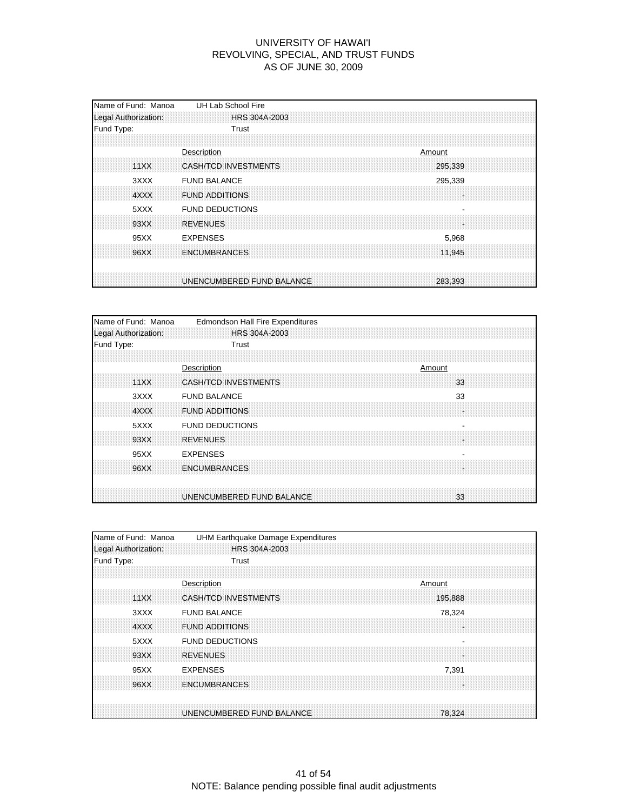| Name of Fund: Manoa<br>Legal Authorization: | UH Lab School Fire<br><b>HRS 304A-2003</b>               |  |
|---------------------------------------------|----------------------------------------------------------|--|
| Fund Type:                                  | Trust                                                    |  |
| 11XX                                        | Description<br>Amount<br>CASH/TCD INVESTMENTS<br>295,339 |  |
| 3XXX<br>4XXX                                | <b>FUND BALANCE</b><br>295,339<br><b>FUND ADDITIONS</b>  |  |
| 5XXX<br>93XX                                | <b>FUND DEDUCTIONS</b><br><b>REVENUES</b>                |  |
| 95XX                                        | <b>EXPENSES</b><br>5,968                                 |  |
| 96XX                                        | <b>ENCUMBRANCES</b><br>11.945                            |  |
|                                             | UNENCUMBERED FUND BALANCE<br>283,393                     |  |

| Name of Fund: Manoa<br>Legal Authorization: | <b>Edmondson Hall Fire Expenditures</b><br><b>HRS 304A-2003</b> |
|---------------------------------------------|-----------------------------------------------------------------|
| Fund Type:                                  | Trust                                                           |
|                                             |                                                                 |
|                                             | Description<br>Amount                                           |
| 11XX                                        | <b>CASH/TCD INVESTMENTS</b><br>33                               |
| 3XXX                                        | 33<br><b>FUND BALANCE</b>                                       |
| 4XXX                                        | <b>FUND ADDITIONS</b><br>÷                                      |
| 5XXX                                        | <b>FUND DEDUCTIONS</b>                                          |
| 93XX                                        | <b>REVENUES</b>                                                 |
| 95XX                                        | <b>EXPENSES</b>                                                 |
| 96XX                                        | <b>ENCUMBRANCES</b>                                             |
|                                             |                                                                 |
|                                             | UNENCUMBERED FUND BALANCE<br>33                                 |

| Name of Fund: Manoa  | UHM Earthquake Damage Expenditures     |
|----------------------|----------------------------------------|
| Legal Authorization: | HRS 304A-2003                          |
| Fund Type:           | Trust                                  |
|                      |                                        |
|                      | Description<br>Amount                  |
| 11XX                 | <b>CASH/TCD INVESTMENTS</b><br>195,888 |
| 3XXX                 | <b>FUND BALANCE</b><br>78,324          |
| 4XXX                 | <b>FUND ADDITIONS</b>                  |
| 5XXX                 | <b>FUND DEDUCTIONS</b>                 |
| 93XX                 | <b>REVENUES</b>                        |
| 95XX                 | <b>EXPENSES</b><br>7,391               |
| 96XX                 | <b>ENCUMBRANCES</b>                    |
|                      |                                        |
|                      | UNENCUMBERED FUND BALANCE<br>78,324    |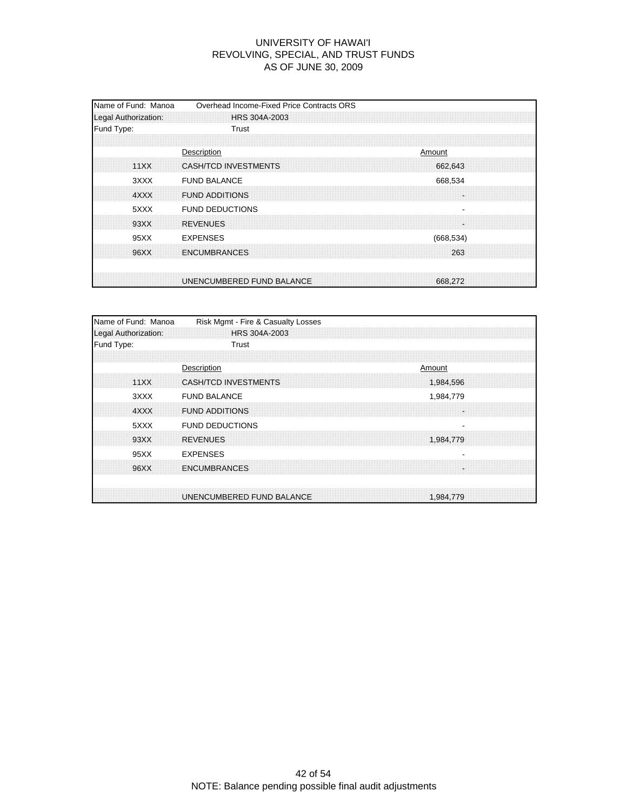| Name of Fund: Manoa<br>Legal Authorization: | Overhead Income-Fixed Price Contracts ORS<br>HRS 304A-2003 |
|---------------------------------------------|------------------------------------------------------------|
| Fund Type:                                  | Trust                                                      |
| 11XX                                        | Description<br>Amount<br>CASH/TCD INVESTMENTS<br>662,643   |
| 3XXX<br>4XXX                                | <b>FUND BALANCE</b><br>668,534<br><b>FUND ADDITIONS</b>    |
| 5XXX<br>93XX                                | <b>FUND DEDUCTIONS</b><br><b>REVENUES</b>                  |
| 95XX                                        | <b>EXPENSES</b><br>(668, 534)                              |
| 96XX                                        | <b>ENCUMBRANCES</b><br>263                                 |
|                                             | UNENCUMBERED FUND BALANCE<br>668,272                       |

| Name of Fund: Manoa                | Risk Mgmt - Fire & Casualty Losses |  |           |  |
|------------------------------------|------------------------------------|--|-----------|--|
| Legal Authorization:<br>Fund Type: | HRS 304A-2003<br>Trust             |  |           |  |
|                                    |                                    |  |           |  |
|                                    | Description                        |  | Amount    |  |
| 11XX                               | <b>CASH/TCD INVESTMENTS</b>        |  | 1,984,596 |  |
| 3XXX                               | <b>FUND BALANCE</b>                |  | 1,984,779 |  |
| 4XXX                               | <b>FUND ADDITIONS</b>              |  |           |  |
| 5XXX                               | <b>FUND DEDUCTIONS</b>             |  | -         |  |
| 93XX                               | <b>REVENUES</b>                    |  | 1,984,779 |  |
| 95XX                               | <b>EXPENSES</b>                    |  |           |  |
| 96XX                               | <b>ENCUMBRANCES</b>                |  |           |  |
|                                    | UNENCUMBERED FUND BALANCE          |  | 1,984,779 |  |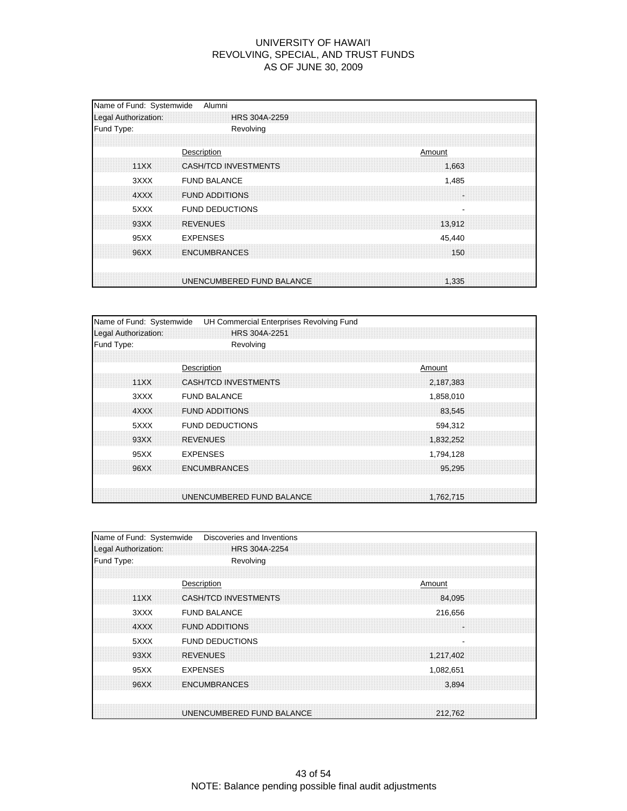| Name of Fund: Systemwide<br>Legal Authorization: | Alumni<br><b>HRS 304A-2259</b>                         |  |
|--------------------------------------------------|--------------------------------------------------------|--|
| Fund Type:                                       | Revolving                                              |  |
| 11XX                                             | Description<br>Amount<br>CASH/TCD INVESTMENTS<br>1,663 |  |
| 3XXX<br>4XXX                                     | <b>FUND BALANCE</b><br>1,485<br><b>FUND ADDITIONS</b>  |  |
| 5XXX<br>93XX                                     | <b>FUND DEDUCTIONS</b><br><b>REVENUES</b><br>13.912    |  |
| 95XX                                             | <b>EXPENSES</b><br>45,440                              |  |
| 96XX                                             | <b>ENCUMBRANCES</b><br>150                             |  |
|                                                  | UNENCUMBERED FUND BALANCE<br>1.335                     |  |

| Name of Fund: Systemwide |                             | UH Commercial Enterprises Revolving Fund |        |           |  |
|--------------------------|-----------------------------|------------------------------------------|--------|-----------|--|
| Legal Authorization:     | HRS 304A-2251               |                                          |        |           |  |
| Fund Type:               | Revolving                   |                                          |        |           |  |
|                          |                             |                                          |        |           |  |
|                          | Description                 |                                          | Amount |           |  |
| 11XX                     | <b>CASH/TCD INVESTMENTS</b> |                                          |        | 2,187,383 |  |
| 3XXX                     | <b>FUND BALANCE</b>         |                                          |        | 1,858,010 |  |
| 4XXX                     | <b>FUND ADDITIONS</b>       |                                          |        | 83.545    |  |
| 5XXX                     | <b>FUND DEDUCTIONS</b>      |                                          |        | 594,312   |  |
| 93XX                     | <b>REVENUES</b>             |                                          |        | 1,832,252 |  |
| 95XX                     | <b>EXPENSES</b>             |                                          |        | 1,794,128 |  |
| 96XX                     | <b>ENCUMBRANCES</b>         |                                          |        | 95.295    |  |
|                          |                             |                                          |        |           |  |
|                          | UNENCUMBERED FUND BALANCE   |                                          |        | 1,762,715 |  |

| Name of Fund: Systemwide | Discoveries and Inventions           |  |
|--------------------------|--------------------------------------|--|
| Legal Authorization:     | HRS 304A-2254                        |  |
| Fund Type:               | Revolving                            |  |
|                          |                                      |  |
|                          | Description<br>Amount                |  |
| 11XX                     | CASH/TCD INVESTMENTS<br>84,095       |  |
| 3XXX                     | <b>FUND BALANCE</b><br>216,656       |  |
| 4XXX                     | <b>FUND ADDITIONS</b>                |  |
| 5XXX                     | <b>FUND DEDUCTIONS</b>               |  |
| 93XX                     | <b>REVENUES</b><br>1,217,402         |  |
| 95XX                     | <b>EXPENSES</b><br>1,082,651         |  |
| 96XX                     | <b>ENCUMBRANCES</b><br>3.894         |  |
|                          |                                      |  |
|                          | UNENCUMBERED FUND BALANCE<br>212,762 |  |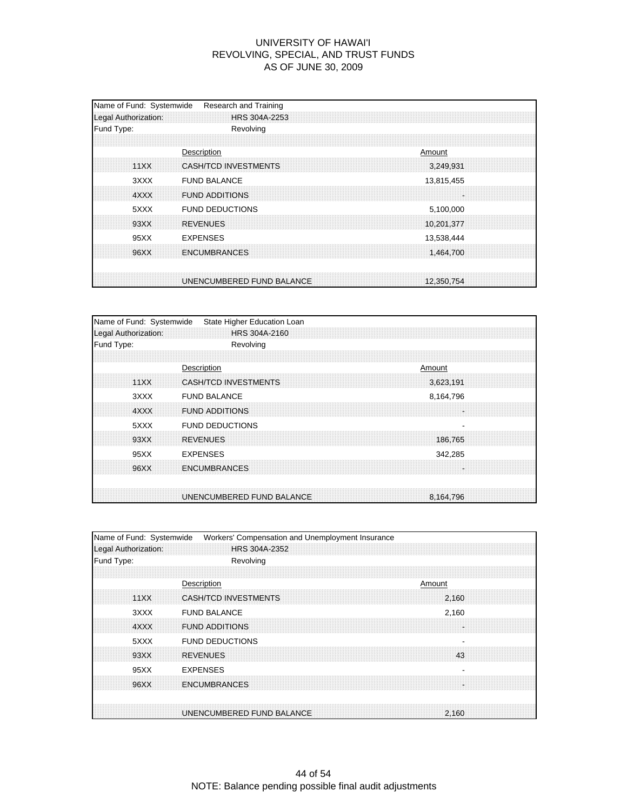| Name of Fund: Systemwide<br>Legal Authorization: | Research and Training<br>HRS 304A-2253                               |
|--------------------------------------------------|----------------------------------------------------------------------|
| Fund Type:                                       | Revolving                                                            |
| 11XX                                             | Description<br>Amount<br>CASH/TCD INVESTMENTS<br>3,249,931           |
| 3XXX<br>4XXX                                     | <b>FUND BALANCE</b><br>13,815,455<br><b>FUND ADDITIONS</b>           |
| 5XXX<br>93XX                                     | <b>FUND DEDUCTIONS</b><br>5,100,000<br><b>REVENUES</b><br>10,201,377 |
| 95XX                                             | <b>EXPENSES</b><br>13,538,444                                        |
| 96XX                                             | <b>ENCUMBRANCES</b><br>1,464,700                                     |
|                                                  | UNENCUMBERED FUND BALANCE<br>12,350,754                              |

| Name of Fund: Systemwide | State Higher Education Loan |  |           |  |
|--------------------------|-----------------------------|--|-----------|--|
| Legal Authorization:     | HRS 304A-2160               |  |           |  |
| Fund Type:               | Revolving                   |  |           |  |
|                          |                             |  |           |  |
|                          | Description                 |  | Amount    |  |
| 11XX                     | <b>CASH/TCD INVESTMENTS</b> |  | 3,623,191 |  |
| 3XXX                     | <b>FUND BALANCE</b>         |  | 8,164,796 |  |
| 4XXX                     | <b>FUND ADDITIONS</b>       |  |           |  |
| 5XXX                     | <b>FUND DEDUCTIONS</b>      |  |           |  |
| 93XX                     | <b>REVENUES</b>             |  | 186,765   |  |
| 95XX                     | <b>EXPENSES</b>             |  | 342,285   |  |
| 96XX                     | <b>ENCUMBRANCES</b>         |  |           |  |
|                          |                             |  |           |  |
|                          | UNENCUMBERED FUND BALANCE   |  | 8.164.796 |  |

| Name of Fund: Systemwide | Workers' Compensation and Unemployment Insurance   |
|--------------------------|----------------------------------------------------|
| Legal Authorization:     | HRS 304A-2352                                      |
| Fund Type:               | Revolving                                          |
|                          |                                                    |
|                          | Description<br>Amount                              |
| 11XX                     | <b>CASH/TCD INVESTMENTS</b><br>2.160               |
| 3XXX                     | <b>FUND BALANCE</b><br>2,160                       |
| 4XXX                     | <b>FUND ADDITIONS</b>                              |
| 5XXX                     | <b>FUND DEDUCTIONS</b><br>$\overline{\phantom{a}}$ |
| 93XX                     | <b>REVENUES</b><br>43                              |
| 95XX                     | <b>EXPENSES</b>                                    |
| 96XX                     | <b>ENCUMBRANCES</b>                                |
|                          |                                                    |
|                          | UNENCUMBERED FUND BALANCE<br>2.160                 |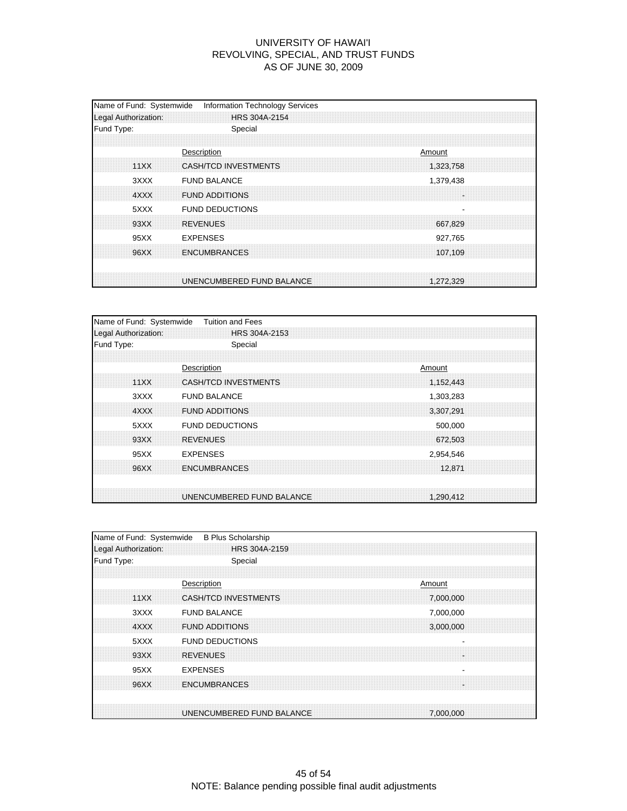| Name of Fund: Systemwide<br>Legal Authorization: | <b>Information Technology Services</b><br>HRS 304A-2154    |
|--------------------------------------------------|------------------------------------------------------------|
| Fund Type:                                       | Special                                                    |
| 11XX                                             | Description<br>Amount<br>CASH/TCD INVESTMENTS<br>1,323,758 |
| 3XXX<br>4XXX                                     | <b>FUND BALANCE</b><br>1,379,438<br><b>FUND ADDITIONS</b>  |
| 5XXX<br>93XX                                     | <b>FUND DEDUCTIONS</b><br><b>REVENUES</b><br>667.829       |
| 95XX                                             | <b>EXPENSES</b><br>927,765                                 |
| 96XX                                             | <b>ENCUMBRANCES</b><br>107.109                             |
|                                                  | UNENCUMBERED FUND BALANCE<br>1.272.329                     |

| Name of Fund: Systemwide | <b>Tuition and Fees</b>     |           |
|--------------------------|-----------------------------|-----------|
| Legal Authorization:     | HRS 304A-2153               |           |
| Fund Type:               | Special                     |           |
|                          |                             |           |
|                          | Description                 | Amount    |
| 11XX                     | <b>CASH/TCD INVESTMENTS</b> | 1,152,443 |
| 3XXX                     | <b>FUND BALANCE</b>         | 1,303,283 |
| 4XXX                     | <b>FUND ADDITIONS</b>       | 3,307,291 |
| 5XXX                     | <b>FUND DEDUCTIONS</b>      | 500,000   |
| 93XX                     | <b>REVENUES</b>             | 672,503   |
| 95XX                     | <b>EXPENSES</b>             | 2,954,546 |
| 96XX                     | <b>ENCUMBRANCES</b>         | 12.871    |
|                          | UNENCUMBERED FUND BALANCE   | 1.290.412 |

| Name of Fund: Systemwide | <b>B Plus Scholarship</b>                |
|--------------------------|------------------------------------------|
| Legal Authorization:     | HRS 304A-2159                            |
| Fund Type:               | Special                                  |
|                          |                                          |
|                          | Description<br>Amount                    |
| 11XX                     | <b>CASH/TCD INVESTMENTS</b><br>7,000,000 |
| 3XXX                     | <b>FUND BALANCE</b><br>7,000,000         |
| 4XXX                     | <b>FUND ADDITIONS</b><br>3,000,000       |
| 5XXX                     | <b>FUND DEDUCTIONS</b>                   |
| 93XX                     | <b>REVENUES</b>                          |
| 95XX                     | <b>EXPENSES</b>                          |
| 96XX                     | <b>ENCUMBRANCES</b>                      |
|                          |                                          |
|                          | UNENCUMBERED FUND BALANCE<br>7.000.000   |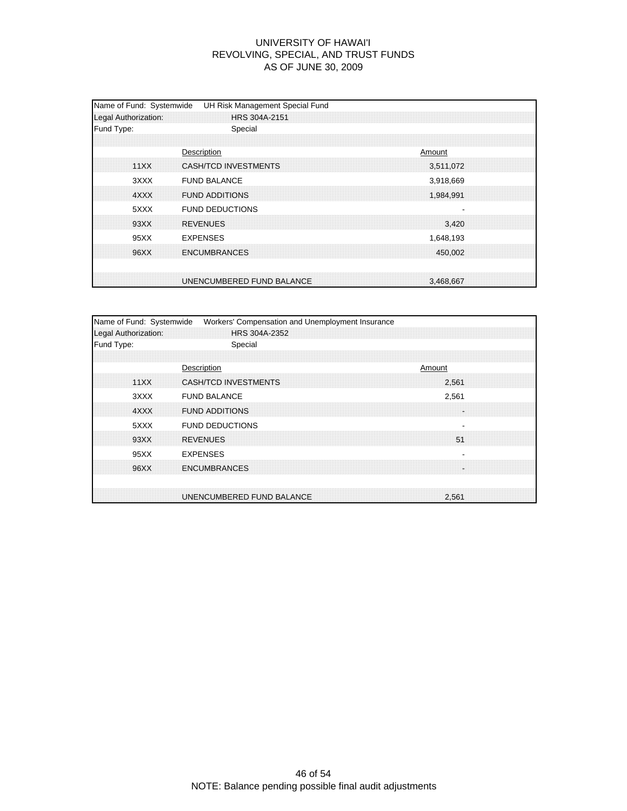| Name of Fund: Systemwide<br>Legal Authorization: | UH Risk Management Special Fund<br>HRS 304A-2151 |        |                        |  |
|--------------------------------------------------|--------------------------------------------------|--------|------------------------|--|
| Fund Type:                                       | Special                                          |        |                        |  |
| 11XX                                             | Description<br>CASH/TCD INVESTMENTS              | Amount | 3,511,072              |  |
| 3XXX<br>4XXX                                     | <b>FUND BALANCE</b><br><b>FUND ADDITIONS</b>     |        | 3,918,669<br>1,984,991 |  |
| 5XXX<br>93XX                                     | <b>FUND DEDUCTIONS</b><br><b>REVENUES</b>        |        | 3.420                  |  |
| 95XX                                             | <b>EXPENSES</b>                                  |        | 1,648,193              |  |
| 96XX                                             | <b>ENCUMBRANCES</b>                              |        | 450,002                |  |
|                                                  | UNENCUMBERED FUND BALANCE                        |        | 3.468.667              |  |

| Name of Fund: Systemwide | Workers' Compensation and Unemployment Insurance |  |                                |  |
|--------------------------|--------------------------------------------------|--|--------------------------------|--|
| Legal Authorization:     | HRS 304A-2352                                    |  |                                |  |
| Fund Type:               | Special                                          |  |                                |  |
| 11XX                     | Description<br><b>CASH/TCD INVESTMENTS</b>       |  | Amount<br>2,561                |  |
| 3XXX                     | <b>FUND BALANCE</b>                              |  | 2,561                          |  |
| 4XXX                     | <b>FUND ADDITIONS</b>                            |  |                                |  |
| 5XXX<br>93XX             | <b>FUND DEDUCTIONS</b><br><b>REVENUES</b>        |  | $\overline{\phantom{a}}$<br>51 |  |
| 95XX<br>96XX             | <b>EXPENSES</b><br><b>ENCUMBRANCES</b>           |  |                                |  |
|                          | UNENCUMBERED FUND BALANCE                        |  | 2.561                          |  |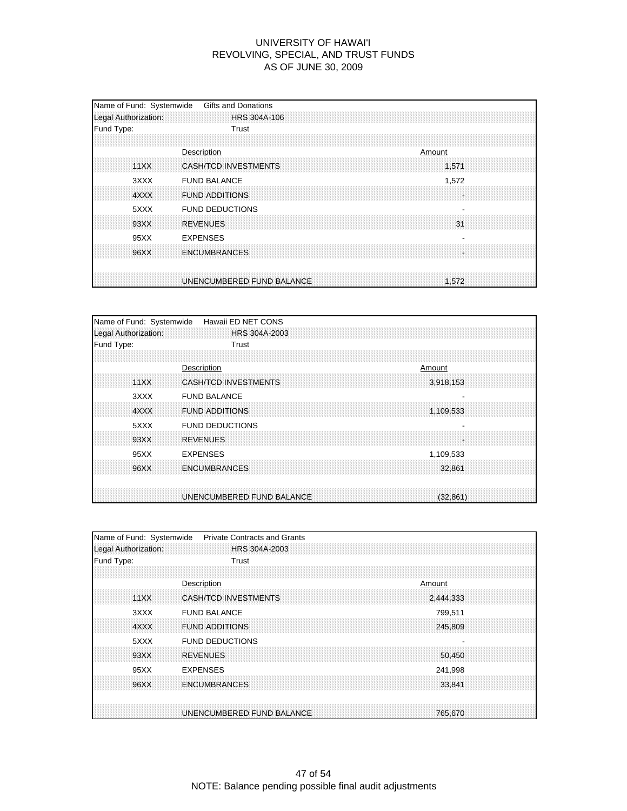| Name of Fund: Systemwide<br>Legal Authorization: | <b>Gifts and Donations</b><br>HRS 304A-106                 |
|--------------------------------------------------|------------------------------------------------------------|
| Fund Type:                                       | Trust                                                      |
| 11XX                                             | Description<br>Amount<br>CASH/TCD INVESTMENTS<br>1,571     |
| 3XXX<br>4XXX                                     | <b>FUND BALANCE</b><br>1,572<br><b>FUND ADDITIONS</b><br>× |
| 5XXX<br>93XX                                     | <b>FUND DEDUCTIONS</b><br><b>REVENUES</b><br>31            |
| 95XX                                             | <b>EXPENSES</b>                                            |
| 96XX                                             | <b>ENCUMBRANCES</b>                                        |
|                                                  | UNENCUMBERED FUND BALANCE<br>1.572                         |

| Name of Fund: Systemwide | Hawaii ED NET CONS                       |
|--------------------------|------------------------------------------|
| Legal Authorization:     | HRS 304A-2003                            |
| Fund Type:               | Trust                                    |
|                          |                                          |
|                          | Description<br>Amount                    |
| 11XX                     | <b>CASH/TCD INVESTMENTS</b><br>3,918,153 |
| 3XXX                     | <b>FUND BALANCE</b>                      |
| 4XXX                     | <b>FUND ADDITIONS</b><br>1,109,533       |
| 5XXX                     | <b>FUND DEDUCTIONS</b>                   |
| 93XX                     | <b>REVENUES</b><br>l.                    |
| 95XX                     | <b>EXPENSES</b><br>1,109,533             |
| 96XX                     | <b>ENCUMBRANCES</b><br>32.861            |
|                          |                                          |
|                          | UNENCUMBERED FUND BALANCE<br>(32, 861)   |

| Name of Fund: Systemwide | <b>Private Contracts and Grants</b>      |
|--------------------------|------------------------------------------|
| Legal Authorization:     | HRS 304A-2003                            |
| Fund Type:               | Trust                                    |
|                          |                                          |
|                          | Description<br>Amount                    |
| 11XX                     | <b>CASH/TCD INVESTMENTS</b><br>2,444,333 |
| 3XXX                     | <b>FUND BALANCE</b><br>799,511           |
| 4XXX                     | <b>FUND ADDITIONS</b><br>245,809         |
| 5XXX                     | <b>FUND DEDUCTIONS</b>                   |
| 93XX                     | <b>REVENUES</b><br>50,450                |
| 95XX                     | <b>EXPENSES</b><br>241,998               |
| 96XX                     | <b>ENCUMBRANCES</b><br>33.841            |
|                          |                                          |
|                          | UNENCUMBERED FUND BALANCE<br>765,670     |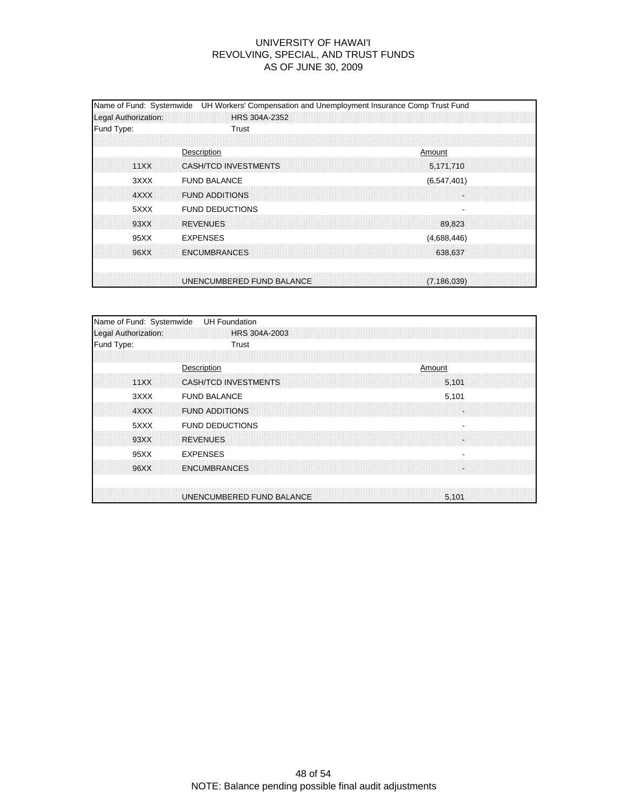| Legal Authorization: | Name of Fund: Systemwide UH Workers' Compensation and Unemployment Insurance Comp Trust Fund<br>HRS 304A-2352 |
|----------------------|---------------------------------------------------------------------------------------------------------------|
| Fund Type:           | Trust                                                                                                         |
| 11XX                 | Description<br>Amount<br>CASH/TCD INVESTMENTS<br>5,171,710                                                    |
| 3XXX<br>4XXX         | <b>FUND BALANCE</b><br>(6, 547, 401)<br><b>FUND ADDITIONS</b>                                                 |
| 5XXX<br>93XX         | <b>FUND DEDUCTIONS</b><br><b>REVENUES</b><br>89.823                                                           |
| 95XX                 | <b>EXPENSES</b><br>(4,688,446)                                                                                |
| 96XX                 | <b>ENCUMBRANCES</b><br>638.637                                                                                |
|                      | UNENCUMBERED FUND BALANCE<br>(7.186.039)                                                                      |

| Name of Fund: Systemwide<br>Legal Authorization: | <b>UH Foundation</b><br>HRS 304A-2003 |
|--------------------------------------------------|---------------------------------------|
| Fund Type:                                       | Trust                                 |
|                                                  |                                       |
|                                                  | Description<br>Amount                 |
| 11XX                                             | <b>CASH/TCD INVESTMENTS</b><br>5.101  |
| 3XXX                                             | <b>FUND BALANCE</b><br>5,101          |
| 4XXX                                             | <b>FUND ADDITIONS</b><br>۰.           |
| 5XXX                                             | <b>FUND DEDUCTIONS</b><br>٠           |
| 93XX                                             | <b>REVENUES</b>                       |
| 95XX                                             | <b>EXPENSES</b>                       |
| 96XX                                             | <b>ENCUMBRANCES</b>                   |
|                                                  |                                       |
|                                                  | UNENCUMBERED FUND BALANCE<br>5.101    |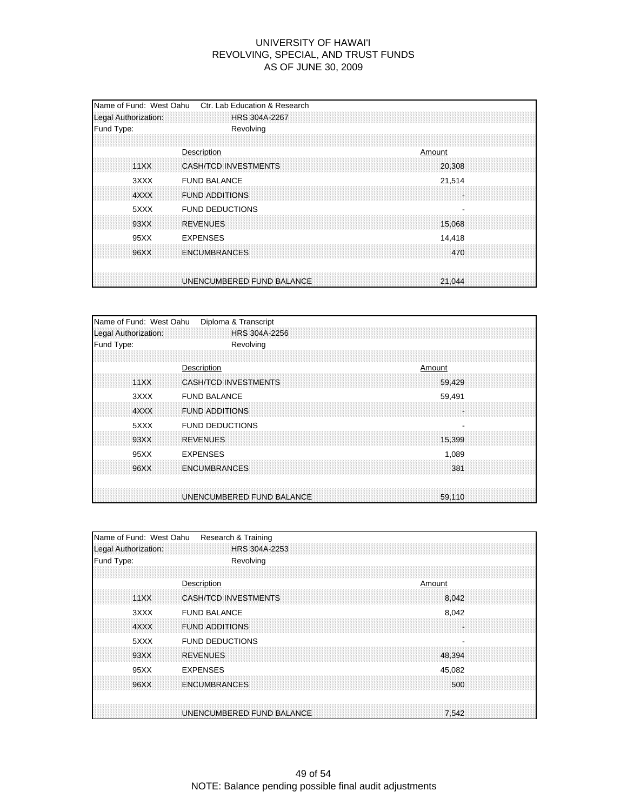| Name of Fund: West Oahu<br>Legal Authorization: | Ctr. Lab Education & Research<br><b>HRS 304A-2267</b>   |
|-------------------------------------------------|---------------------------------------------------------|
| Fund Type:                                      | Revolving                                               |
| 11XX                                            | Description<br>Amount<br>CASH/TCD INVESTMENTS<br>20,308 |
| 3XXX<br>4XXX                                    | <b>FUND BALANCE</b><br>21,514<br><b>FUND ADDITIONS</b>  |
| 5XXX<br>93XX                                    | <b>FUND DEDUCTIONS</b><br><b>REVENUES</b><br>15,068     |
| 95XX<br>96XX                                    | <b>EXPENSES</b><br>14,418<br><b>ENCUMBRANCES</b><br>470 |
|                                                 | UNENCUMBERED FUND BALANCE<br>21,044                     |

| Name of Fund: West Oahu | Diploma & Transcript                  |
|-------------------------|---------------------------------------|
| Legal Authorization:    | HRS 304A-2256                         |
| Fund Type:              | Revolving                             |
|                         |                                       |
|                         | Description<br>Amount                 |
| 11XX                    | <b>CASH/TCD INVESTMENTS</b><br>59.429 |
| 3XXX                    | <b>FUND BALANCE</b><br>59,491         |
| 4XXX                    | <b>FUND ADDITIONS</b><br>÷.           |
| 5XXX                    | <b>FUND DEDUCTIONS</b>                |
| 93XX                    | <b>REVENUES</b><br>15,399             |
| 95XX                    | <b>EXPENSES</b><br>1,089              |
| 96XX                    | <b>ENCUMBRANCES</b><br>381            |
|                         | UNENCUMBERED FUND BALANCE<br>59,110   |
|                         |                                       |

| Name of Fund: West Oahu | Research & Training                      |
|-------------------------|------------------------------------------|
| Legal Authorization:    | HRS 304A-2253                            |
| Fund Type:              | Revolving                                |
|                         |                                          |
|                         | Description<br>Amount                    |
| 11XX                    | <b>CASH/TCD INVESTMENTS</b><br>8.042     |
| 3XXX                    | <b>FUND BALANCE</b><br>8,042             |
| 4XXX                    | <b>FUND ADDITIONS</b>                    |
| 5XXX                    | <b>FUND DEDUCTIONS</b><br>$\blacksquare$ |
| 93XX                    | <b>REVENUES</b><br>48,394                |
| 95XX                    | <b>EXPENSES</b><br>45,082                |
| 96XX                    | <b>ENCUMBRANCES</b><br>500               |
|                         |                                          |
|                         | UNENCUMBERED FUND BALANCE<br>7.542       |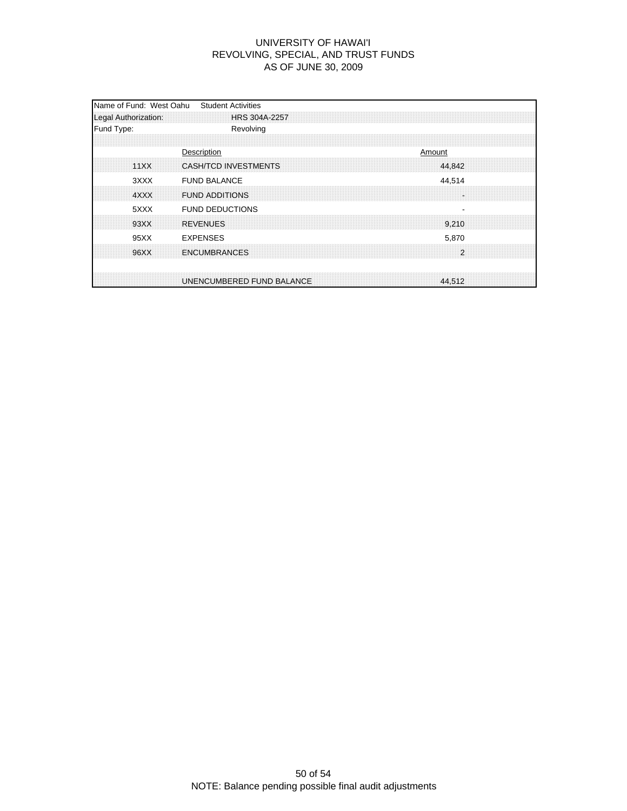| Name of Fund: West Oahu<br>Legal Authorization: | <b>Student Activities</b><br>HRS 304A-2257              |
|-------------------------------------------------|---------------------------------------------------------|
| Fund Type:                                      | Revolving                                               |
| 11XX                                            | Description<br>Amount<br>CASH/TCD INVESTMENTS<br>44,842 |
| 3XXX<br>4XXX                                    | <b>FUND BALANCE</b><br>44,514<br><b>FUND ADDITIONS</b>  |
| 5XXX<br>93XX                                    | <b>FUND DEDUCTIONS</b><br><b>REVENUES</b><br>9,210      |
| 95XX<br>96XX                                    | <b>EXPENSES</b><br>5,870<br>2<br><b>ENCUMBRANCES</b>    |
|                                                 | UNENCUMBERED FUND BALANCE<br>44.512                     |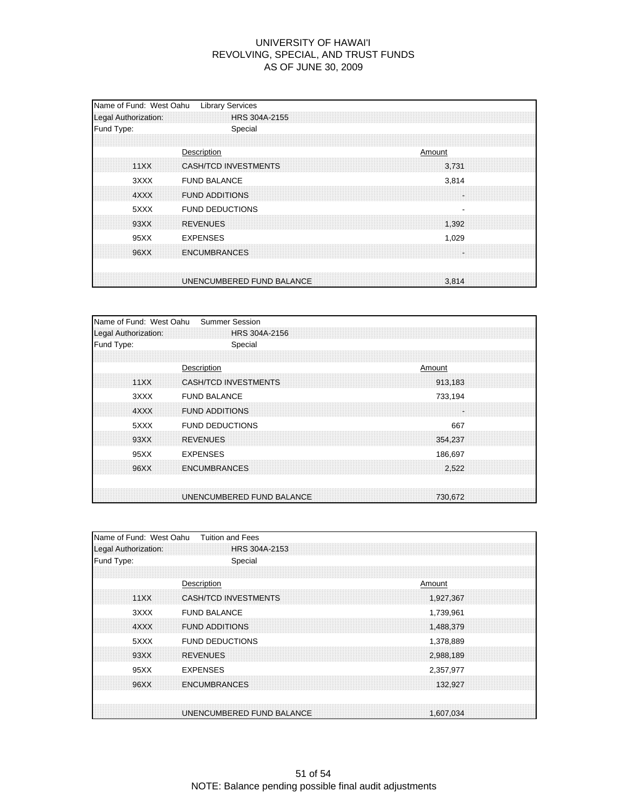| Name of Fund: West Oahu<br>Legal Authorization: | <b>Library Services</b><br>HRS 304A-2155               |
|-------------------------------------------------|--------------------------------------------------------|
| Fund Type:                                      | Special                                                |
| 11XX                                            | Description<br>Amount<br>CASH/TCD INVESTMENTS<br>3.731 |
| 3XXX<br>4XXX                                    | <b>FUND BALANCE</b><br>3,814<br><b>FUND ADDITIONS</b>  |
| 5XXX<br>93XX                                    | <b>FUND DEDUCTIONS</b><br><b>REVENUES</b><br>1,392     |
| 95XX                                            | <b>EXPENSES</b><br>1,029                               |
| 96XX                                            | <b>ENCUMBRANCES</b>                                    |
|                                                 | UNENCUMBERED FUND BALANCE<br>3.814                     |

| Name of Fund: West Oahu | <b>Summer Session</b>                  |
|-------------------------|----------------------------------------|
| Legal Authorization:    | HRS 304A-2156                          |
| Fund Type:              | Special                                |
|                         |                                        |
|                         | Description<br>Amount                  |
| 11XX                    | <b>CASH/TCD INVESTMENTS</b><br>913,183 |
| 3XXX                    | <b>FUND BALANCE</b><br>733,194         |
| 4XXX                    | <b>FUND ADDITIONS</b><br>÷.            |
| 5XXX                    | <b>FUND DEDUCTIONS</b><br>667          |
| 93XX                    | <b>REVENUES</b><br>354,237             |
| 95XX                    | <b>EXPENSES</b><br>186,697             |
| 96XX                    | <b>ENCUMBRANCES</b><br>2,522           |
|                         |                                        |
|                         | UNENCUMBERED FUND BALANCE<br>730,672   |

| Name of Fund: West Oahu | <b>Tuition and Fees</b>   |           |
|-------------------------|---------------------------|-----------|
| Legal Authorization:    | HRS 304A-2153             |           |
| Fund Type:              | Special                   |           |
|                         |                           |           |
|                         | Description               | Amount    |
| 11XX                    | CASH/TCD INVESTMENTS      | 1,927,367 |
| 3XXX                    | <b>FUND BALANCE</b>       | 1,739,961 |
| 4XXX                    | <b>FUND ADDITIONS</b>     | 1,488,379 |
| 5XXX                    | <b>FUND DEDUCTIONS</b>    | 1,378,889 |
| 93XX                    | <b>REVENUES</b>           | 2,988,189 |
| 95XX                    | <b>EXPENSES</b>           | 2,357,977 |
| 96XX                    | <b>ENCUMBRANCES</b>       | 132,927   |
|                         |                           |           |
|                         | UNENCUMBERED FUND BALANCE | 1.607.034 |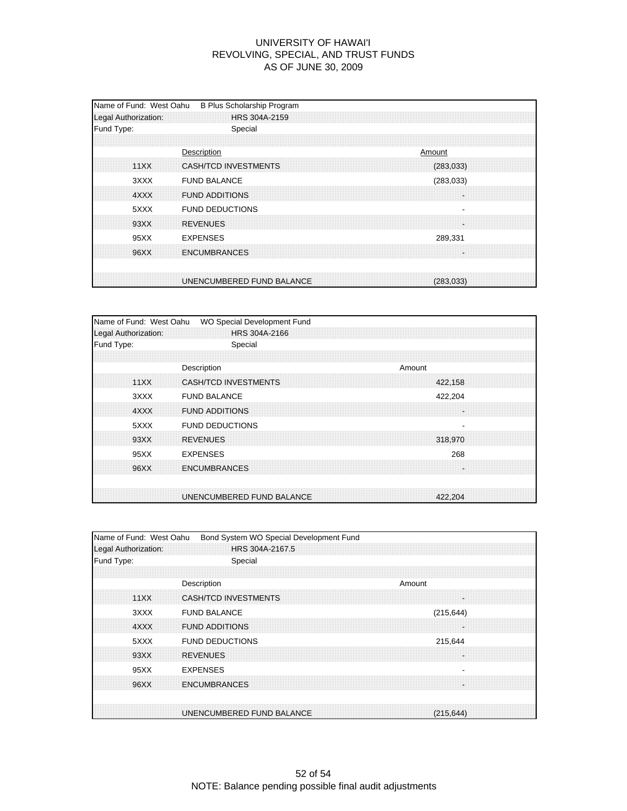| Name of Fund: West Oahu<br>Legal Authorization: | B Plus Scholarship Program<br>HRS 304A-2159                 |
|-------------------------------------------------|-------------------------------------------------------------|
| Fund Type:                                      | Special                                                     |
| 11XX                                            | Description<br>Amount<br>CASH/TCD INVESTMENTS<br>(283, 033) |
| 3XXX<br>4XXX                                    | <b>FUND BALANCE</b><br>(283, 033)<br><b>FUND ADDITIONS</b>  |
| 5XXX<br>93XX                                    | <b>FUND DEDUCTIONS</b><br><b>REVENUES</b>                   |
| 95XX                                            | <b>EXPENSES</b><br>289,331                                  |
| 96XX                                            | <b>ENCUMBRANCES</b>                                         |
|                                                 | UNENCUMBERED FUND BALANCE<br>(283.033)                      |

| Name of Fund: West Oahu | WO Special Development Fund |  |        |         |  |
|-------------------------|-----------------------------|--|--------|---------|--|
| Legal Authorization:    | HRS 304A-2166               |  |        |         |  |
| Fund Type:              | Special                     |  |        |         |  |
|                         |                             |  |        |         |  |
|                         | Description                 |  | Amount |         |  |
| 11XX                    | <b>CASH/TCD INVESTMENTS</b> |  |        | 422,158 |  |
| 3XXX                    | <b>FUND BALANCE</b>         |  |        | 422,204 |  |
| 4XXX                    | <b>FUND ADDITIONS</b>       |  |        |         |  |
| 5XXX                    | <b>FUND DEDUCTIONS</b>      |  |        |         |  |
| 93XX                    | <b>REVENUES</b>             |  |        | 318,970 |  |
| 95XX                    | <b>EXPENSES</b>             |  |        | 268     |  |
| 96XX                    | <b>ENCUMBRANCES</b>         |  |        |         |  |
|                         |                             |  |        |         |  |
|                         | UNENCUMBERED FUND BALANCE   |  |        | 422.204 |  |

| Name of Fund: West Oahu |                       | Bond System WO Special Development Fund |  |        |            |  |
|-------------------------|-----------------------|-----------------------------------------|--|--------|------------|--|
| Legal Authorization:    |                       | HRS 304A-2167.5                         |  |        |            |  |
| Fund Type:              |                       | Special                                 |  |        |            |  |
|                         |                       |                                         |  |        |            |  |
|                         | Description           |                                         |  | Amount |            |  |
| 11XX                    |                       | <b>CASH/TCD INVESTMENTS</b>             |  |        |            |  |
| 3XXX                    | <b>FUND BALANCE</b>   |                                         |  |        | (215, 644) |  |
| 4XXX                    | <b>FUND ADDITIONS</b> |                                         |  |        |            |  |
| 5XXX                    |                       | <b>FUND DEDUCTIONS</b>                  |  |        | 215,644    |  |
| 93XX                    | <b>REVENUES</b>       |                                         |  |        |            |  |
| 95XX                    | <b>EXPENSES</b>       |                                         |  |        |            |  |
| 96XX                    | <b>ENCUMBRANCES</b>   |                                         |  |        |            |  |
|                         |                       |                                         |  |        |            |  |
|                         |                       | UNENCUMBERED FUND BALANCE               |  |        | (215.644)  |  |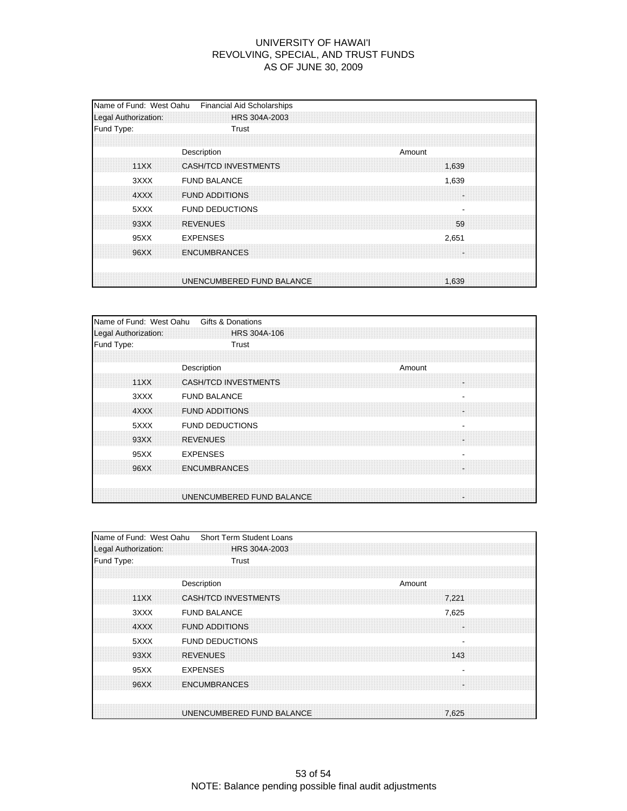| Fund Type:<br>Trust<br>Description<br>Amount<br>11XX<br>CASH/TCD INVESTMENTS<br>1.639<br>3XXX<br><b>FUND BALANCE</b><br>1,639<br><b>FUND ADDITIONS</b><br>4XXX |  |
|----------------------------------------------------------------------------------------------------------------------------------------------------------------|--|
|                                                                                                                                                                |  |
|                                                                                                                                                                |  |
|                                                                                                                                                                |  |
| <b>FUND DEDUCTIONS</b><br>5XXX<br>93XX<br><b>REVENUES</b><br>59                                                                                                |  |
| <b>EXPENSES</b><br>95XX<br>2,651<br><b>ENCUMBRANCES</b><br>96XX                                                                                                |  |
| UNENCUMBERED FUND BALANCE<br>1.639                                                                                                                             |  |

| Name of Fund: West Oahu | Gifts & Donations                               |
|-------------------------|-------------------------------------------------|
| Legal Authorization:    | <b>HRS 304A-106</b>                             |
| Fund Type:              | Trust                                           |
|                         |                                                 |
|                         | Description<br>Amount                           |
| 11XX                    | <b>CASH/TCD INVESTMENTS</b>                     |
| 3XXX                    | <b>FUND BALANCE</b><br>$\overline{\phantom{a}}$ |
| 4XXX                    | <b>FUND ADDITIONS</b><br>÷                      |
| 5XXX                    | <b>FUND DEDUCTIONS</b>                          |
| 93XX                    | <b>REVENUES</b><br>÷.                           |
| 95XX                    | <b>EXPENSES</b>                                 |
| 96XX                    | <b>ENCUMBRANCES</b>                             |
|                         | UNENCUMBERED FUND BALANCE<br>×                  |

| Name of Fund: West Oahu | <b>Short Term Student Loans</b>      |
|-------------------------|--------------------------------------|
| Legal Authorization:    | HRS 304A-2003                        |
| Fund Type:              | Trust                                |
|                         |                                      |
|                         | Description<br>Amount                |
| 11XX                    | <b>CASH/TCD INVESTMENTS</b><br>7.221 |
| 3XXX                    | <b>FUND BALANCE</b><br>7,625         |
| 4XXX                    | <b>FUND ADDITIONS</b>                |
| 5XXX                    | <b>FUND DEDUCTIONS</b>               |
| 93XX                    | <b>REVENUES</b><br>143               |
| 95XX                    | <b>EXPENSES</b>                      |
| 96XX                    | <b>ENCUMBRANCES</b>                  |
|                         |                                      |
|                         | UNENCUMBERED FUND BALANCE<br>7.625   |